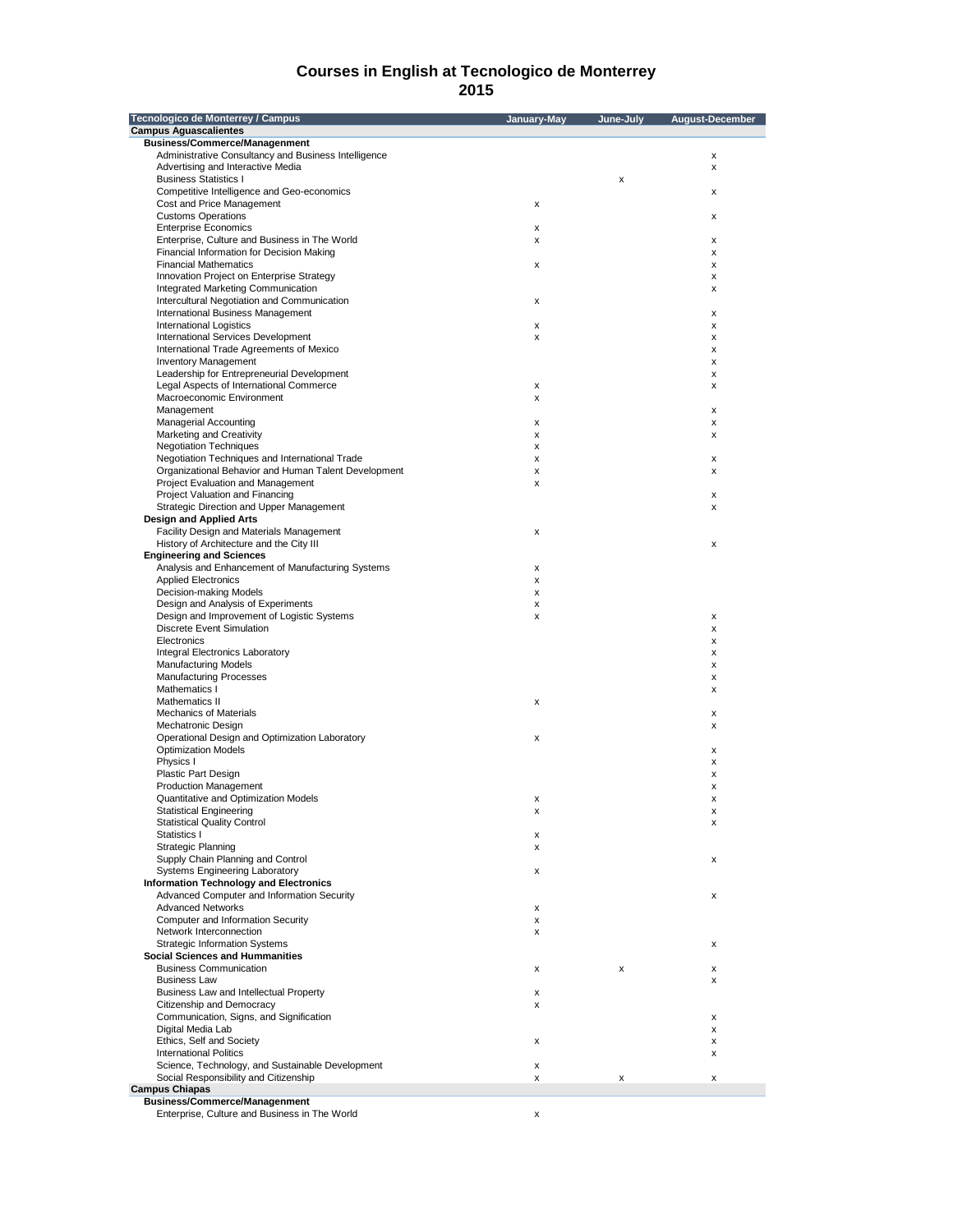| Tecnologico de Monterrey / Campus                                                       | January-May | June-July | August-December |
|-----------------------------------------------------------------------------------------|-------------|-----------|-----------------|
| <b>Campus Aquascalientes</b>                                                            |             |           |                 |
| <b>Business/Commerce/Managenment</b>                                                    |             |           |                 |
| Administrative Consultancy and Business Intelligence                                    |             |           | x               |
| Advertising and Interactive Media                                                       |             |           | x               |
| <b>Business Statistics I</b>                                                            |             | x         |                 |
| Competitive Intelligence and Geo-economics                                              |             |           | x               |
| Cost and Price Management                                                               | x           |           |                 |
| <b>Customs Operations</b>                                                               |             |           | x               |
| <b>Enterprise Economics</b>                                                             | x           |           |                 |
| Enterprise, Culture and Business in The World                                           | x           |           | x               |
| Financial Information for Decision Making                                               |             |           | x               |
| <b>Financial Mathematics</b>                                                            | x           |           | x               |
| Innovation Project on Enterprise Strategy                                               |             |           | х               |
| Integrated Marketing Communication                                                      |             |           |                 |
|                                                                                         |             |           | x               |
| Intercultural Negotiation and Communication<br><b>International Business Management</b> | x           |           |                 |
|                                                                                         |             |           | х               |
| <b>International Logistics</b>                                                          | x           |           | х               |
| <b>International Services Development</b>                                               | x           |           | х               |
| International Trade Agreements of Mexico                                                |             |           | x               |
| <b>Inventory Management</b>                                                             |             |           | х               |
| Leadership for Entrepreneurial Development                                              |             |           | x               |
| Legal Aspects of International Commerce                                                 | x           |           | х               |
| Macroeconomic Environment                                                               | x           |           |                 |
| Management                                                                              |             |           | х               |
| <b>Managerial Accounting</b>                                                            | x           |           | х               |
| Marketing and Creativity                                                                | x           |           | х               |
| <b>Negotiation Techniques</b>                                                           | x           |           |                 |
| Negotiation Techniques and International Trade                                          | x           |           | х               |
| Organizational Behavior and Human Talent Development                                    | x           |           | x               |
| Project Evaluation and Management                                                       | x           |           |                 |
| Project Valuation and Financing                                                         |             |           | х               |
| Strategic Direction and Upper Management                                                |             |           | x               |
| <b>Design and Applied Arts</b>                                                          |             |           |                 |
| Facility Design and Materials Management                                                | x           |           |                 |
| History of Architecture and the City III                                                |             |           | х               |
| <b>Engineering and Sciences</b>                                                         |             |           |                 |
|                                                                                         |             |           |                 |
| Analysis and Enhancement of Manufacturing Systems                                       | x           |           |                 |
| <b>Applied Electronics</b>                                                              | x           |           |                 |
| Decision-making Models                                                                  | x           |           |                 |
| Design and Analysis of Experiments                                                      | x           |           |                 |
| Design and Improvement of Logistic Systems                                              | x           |           | х               |
| <b>Discrete Event Simulation</b>                                                        |             |           | х               |
| Electronics                                                                             |             |           | х               |
| Integral Electronics Laboratory                                                         |             |           | x               |
| <b>Manufacturing Models</b>                                                             |             |           | x               |
| <b>Manufacturing Processes</b>                                                          |             |           | x               |
| Mathematics I                                                                           |             |           | x               |
| Mathematics II                                                                          | x           |           |                 |
| <b>Mechanics of Materials</b>                                                           |             |           | х               |
| Mechatronic Design                                                                      |             |           | x               |
| Operational Design and Optimization Laboratory                                          | x           |           |                 |
| <b>Optimization Models</b>                                                              |             |           | x               |
| Physics I                                                                               |             |           | x               |
| <b>Plastic Part Design</b>                                                              |             |           | x               |
| <b>Production Management</b>                                                            |             |           | x               |
| Quantitative and Optimization Models                                                    | х           |           | x               |
| Statistical Engineering                                                                 | x           |           | $\mathbf x$     |
| <b>Statistical Quality Control</b>                                                      |             |           | X               |
| Statistics I                                                                            | x           |           |                 |
| Strategic Planning                                                                      | x           |           |                 |
| Supply Chain Planning and Control                                                       |             |           | x               |
| Systems Engineering Laboratory                                                          | x           |           |                 |
| <b>Information Technology and Electronics</b>                                           |             |           |                 |
| Advanced Computer and Information Security                                              |             |           |                 |
|                                                                                         |             |           | x               |
| <b>Advanced Networks</b>                                                                | x           |           |                 |
| Computer and Information Security                                                       | x           |           |                 |
| Network Interconnection                                                                 | x           |           |                 |
| <b>Strategic Information Systems</b>                                                    |             |           | x               |
| <b>Social Sciences and Hummanities</b>                                                  |             |           |                 |
| <b>Business Communication</b>                                                           | x           | x         | x               |
| <b>Business Law</b>                                                                     |             |           | x               |
| Business Law and Intellectual Property                                                  | x           |           |                 |
| Citizenship and Democracy                                                               | x           |           |                 |
| Communication, Signs, and Signification                                                 |             |           | х               |
| Digital Media Lab                                                                       |             |           | x               |
| Ethics, Self and Society                                                                | x           |           | x               |
| <b>International Politics</b>                                                           |             |           | x               |
| Science, Technology, and Sustainable Development                                        | x           |           |                 |
| Social Responsibility and Citizenship                                                   | x           | x         | x               |
| <b>Campus Chiapas</b>                                                                   |             |           |                 |
| <b>Business/Commerce/Managenment</b>                                                    |             |           |                 |
| Enterprise, Culture and Business in The World                                           | x           |           |                 |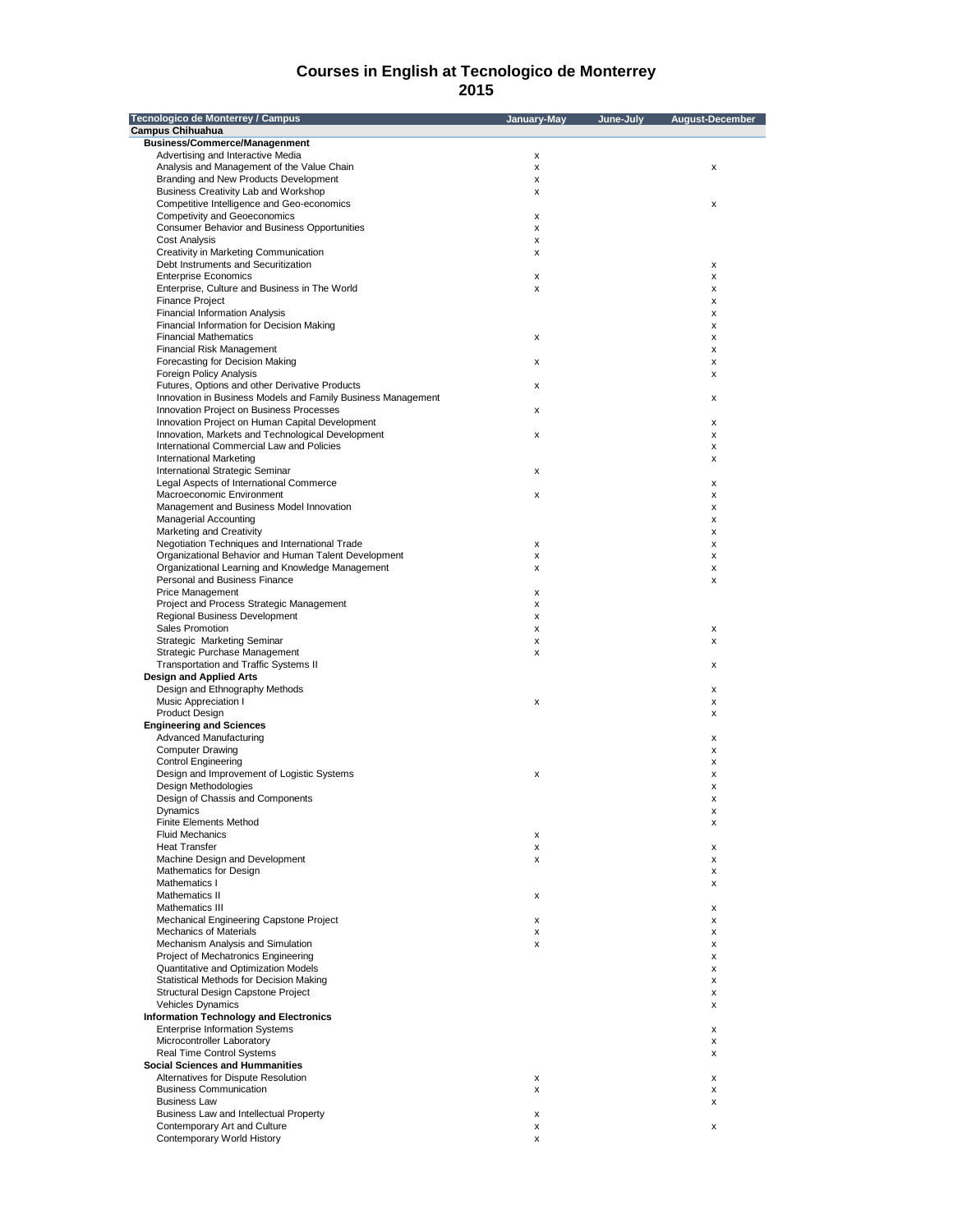| Tecnologico de Monterrey / Campus                                                                        | January-May | June-July | <b>August-December</b> |
|----------------------------------------------------------------------------------------------------------|-------------|-----------|------------------------|
| <b>Campus Chihuahua</b>                                                                                  |             |           |                        |
| <b>Business/Commerce/Managenment</b>                                                                     |             |           |                        |
| Advertising and Interactive Media                                                                        | x           |           |                        |
| Analysis and Management of the Value Chain<br>Branding and New Products Development                      | x<br>x      |           | x                      |
| Business Creativity Lab and Workshop                                                                     | x           |           |                        |
| Competitive Intelligence and Geo-economics                                                               |             |           | x                      |
| <b>Competivity and Geoeconomics</b>                                                                      | X           |           |                        |
| <b>Consumer Behavior and Business Opportunities</b>                                                      | x           |           |                        |
| <b>Cost Analysis</b>                                                                                     | x           |           |                        |
| Creativity in Marketing Communication<br>Debt Instruments and Securitization                             | x           |           | x                      |
| <b>Enterprise Economics</b>                                                                              | x           |           | x                      |
| Enterprise, Culture and Business in The World                                                            | x           |           | x                      |
| <b>Finance Project</b>                                                                                   |             |           | x                      |
| <b>Financial Information Analysis</b>                                                                    |             |           | х                      |
| Financial Information for Decision Making                                                                |             |           | x                      |
| <b>Financial Mathematics</b>                                                                             | х           |           | x                      |
| Financial Risk Management<br>Forecasting for Decision Making                                             | x           |           | x<br>x                 |
| Foreign Policy Analysis                                                                                  |             |           | x                      |
| Futures, Options and other Derivative Products                                                           | x           |           |                        |
| Innovation in Business Models and Family Business Management                                             |             |           | х                      |
| Innovation Project on Business Processes                                                                 | x           |           |                        |
| Innovation Project on Human Capital Development                                                          |             |           | х                      |
| Innovation, Markets and Technological Development                                                        | x           |           | x                      |
| International Commercial Law and Policies                                                                |             |           | x                      |
| <b>International Marketing</b><br>International Strategic Seminar                                        | x           |           | х                      |
| Legal Aspects of International Commerce                                                                  |             |           | х                      |
| Macroeconomic Environment                                                                                | x           |           | x                      |
| Management and Business Model Innovation                                                                 |             |           | x                      |
| <b>Managerial Accounting</b>                                                                             |             |           | x                      |
| Marketing and Creativity                                                                                 |             |           | x                      |
| Negotiation Techniques and International Trade                                                           | x           |           | x                      |
| Organizational Behavior and Human Talent Development<br>Organizational Learning and Knowledge Management | x<br>x      |           | х<br>x                 |
| Personal and Business Finance                                                                            |             |           | x                      |
| Price Management                                                                                         | x           |           |                        |
| Project and Process Strategic Management                                                                 | x           |           |                        |
| <b>Regional Business Development</b>                                                                     | x           |           |                        |
| Sales Promotion                                                                                          | x           |           | x                      |
| Strategic Marketing Seminar                                                                              | x           |           | x                      |
| Strategic Purchase Management                                                                            | x           |           |                        |
| Transportation and Traffic Systems II<br><b>Design and Applied Arts</b>                                  |             |           | x                      |
| Design and Ethnography Methods                                                                           |             |           | x                      |
| Music Appreciation I                                                                                     | X           |           | x                      |
| <b>Product Design</b>                                                                                    |             |           | x                      |
| <b>Engineering and Sciences</b>                                                                          |             |           |                        |
| Advanced Manufacturing                                                                                   |             |           | х                      |
| <b>Computer Drawing</b>                                                                                  |             |           | x                      |
| <b>Control Engineering</b><br>Design and Improvement of Logistic Systems                                 | x           |           | х<br>x                 |
| Design Methodologies                                                                                     |             |           | x                      |
| Design of Chassis and Components                                                                         |             |           | x                      |
| Dynamics                                                                                                 |             |           | х                      |
| <b>Finite Elements Method</b>                                                                            |             |           | х                      |
| <b>Fluid Mechanics</b>                                                                                   | x           |           |                        |
| <b>Heat Transfer</b>                                                                                     | x           |           | х                      |
| Machine Design and Development<br>Mathematics for Design                                                 | x           |           | х                      |
| Mathematics I                                                                                            |             |           | х<br>x                 |
| Mathematics II                                                                                           | x           |           |                        |
| Mathematics III                                                                                          |             |           | x                      |
| Mechanical Engineering Capstone Project                                                                  | x           |           | x                      |
| <b>Mechanics of Materials</b>                                                                            | x           |           | х                      |
| Mechanism Analysis and Simulation                                                                        | x           |           | x                      |
| Project of Mechatronics Engineering                                                                      |             |           | x                      |
| Quantitative and Optimization Models<br>Statistical Methods for Decision Making                          |             |           | x                      |
| Structural Design Capstone Project                                                                       |             |           | x<br>x                 |
| Vehicles Dynamics                                                                                        |             |           | x                      |
| <b>Information Technology and Electronics</b>                                                            |             |           |                        |
| <b>Enterprise Information Systems</b>                                                                    |             |           | x                      |
| Microcontroller Laboratory                                                                               |             |           | x                      |
| Real Time Control Systems                                                                                |             |           | x                      |
| <b>Social Sciences and Hummanities</b>                                                                   |             |           |                        |
| Alternatives for Dispute Resolution                                                                      | x           |           | x                      |
| <b>Business Communication</b><br><b>Business Law</b>                                                     | x           |           | x                      |
| Business Law and Intellectual Property                                                                   | x           |           | x                      |
| Contemporary Art and Culture                                                                             | x           |           | x                      |
| Contemporary World History                                                                               | x           |           |                        |
|                                                                                                          |             |           |                        |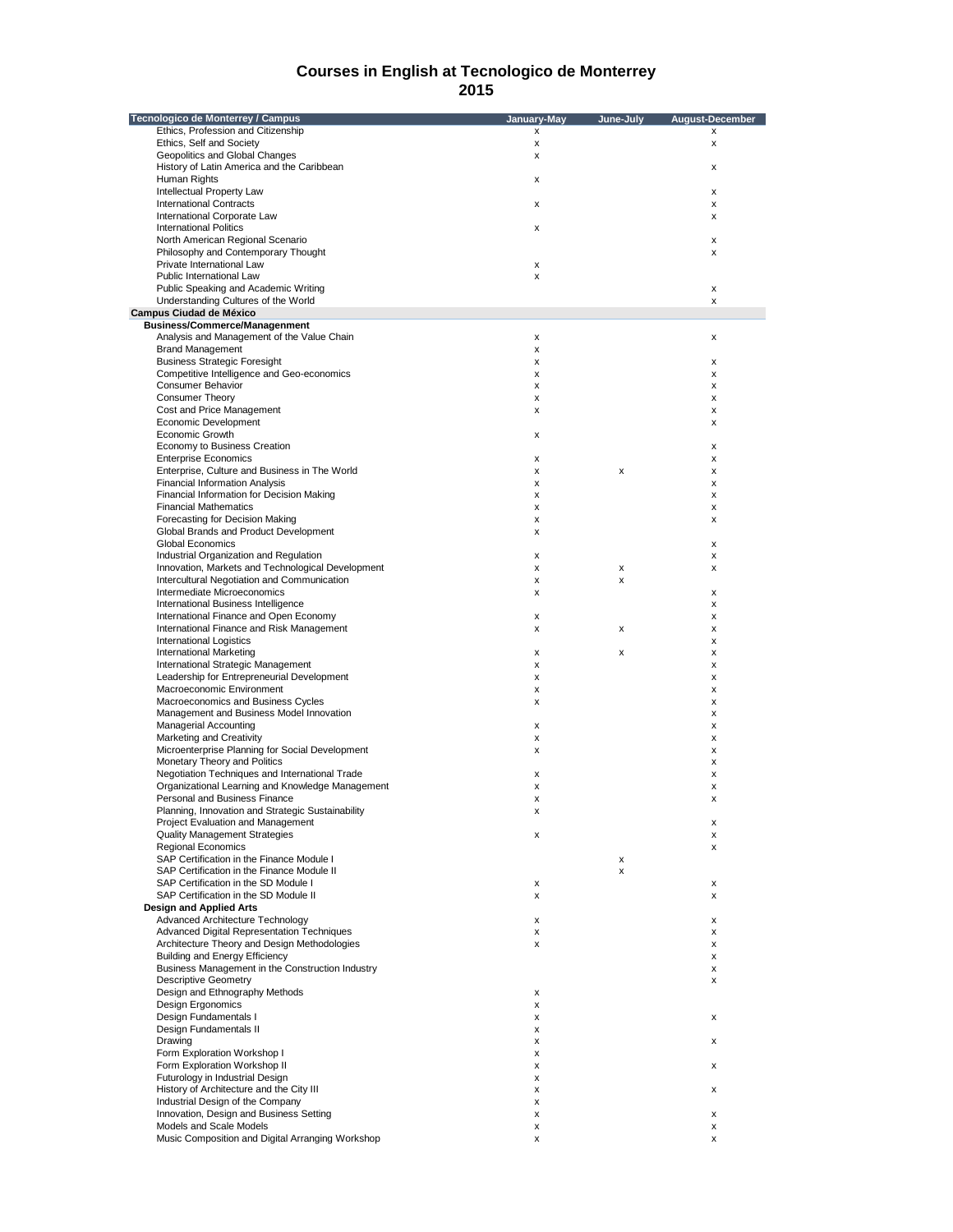| Tecnologico de Monterrey / Campus                                                           | January-May | June-July | August-December |
|---------------------------------------------------------------------------------------------|-------------|-----------|-----------------|
| Ethics, Profession and Citizenship                                                          | x           |           | x               |
| Ethics, Self and Society                                                                    | x           |           | x               |
| Geopolitics and Global Changes                                                              | x           |           |                 |
| History of Latin America and the Caribbean                                                  |             |           | x               |
| Human Rights                                                                                | x           |           |                 |
| Intellectual Property Law                                                                   |             |           | x               |
| <b>International Contracts</b>                                                              | х           |           | x               |
| International Corporate Law                                                                 |             |           | x               |
| <b>International Politics</b>                                                               | x           |           |                 |
| North American Regional Scenario                                                            |             |           | x               |
| Philosophy and Contemporary Thought                                                         |             |           | x               |
| Private International Law                                                                   | x           |           |                 |
| Public International Law                                                                    | x           |           |                 |
| Public Speaking and Academic Writing                                                        |             |           | x               |
| Understanding Cultures of the World                                                         |             |           | x               |
| <b>Campus Ciudad de México</b>                                                              |             |           |                 |
| <b>Business/Commerce/Managenment</b>                                                        |             |           |                 |
| Analysis and Management of the Value Chain                                                  | x           |           | x               |
| <b>Brand Management</b>                                                                     | x           |           |                 |
| <b>Business Strategic Foresight</b>                                                         | x           |           | x               |
| Competitive Intelligence and Geo-economics                                                  | x           |           | x               |
| Consumer Behavior                                                                           | x           |           | x               |
| <b>Consumer Theory</b>                                                                      | x           |           | x               |
| Cost and Price Management                                                                   | x           |           | x               |
| Economic Development                                                                        |             |           | x               |
| Economic Growth                                                                             | х           |           |                 |
| Economy to Business Creation                                                                |             |           | x               |
| <b>Enterprise Economics</b>                                                                 | x           |           | x               |
| Enterprise, Culture and Business in The World                                               | x           | х         | x               |
| <b>Financial Information Analysis</b>                                                       | x           |           | x               |
| Financial Information for Decision Making                                                   |             |           |                 |
| <b>Financial Mathematics</b>                                                                | x           |           | x               |
| Forecasting for Decision Making                                                             | x           |           | x               |
| Global Brands and Product Development                                                       | x           |           | x               |
| Global Economics                                                                            | x           |           |                 |
|                                                                                             |             |           | x               |
| Industrial Organization and Regulation<br>Innovation, Markets and Technological Development | x           |           | x               |
|                                                                                             | x           | x         | x               |
| Intercultural Negotiation and Communication                                                 | x           | x         |                 |
| Intermediate Microeconomics                                                                 | x           |           | x               |
| International Business Intelligence                                                         |             |           | x               |
| International Finance and Open Economy                                                      | x           |           | x               |
| International Finance and Risk Management                                                   | x           | х         | x               |
| <b>International Logistics</b>                                                              |             |           | x               |
| <b>International Marketing</b>                                                              | x           | x         | x               |
| International Strategic Management                                                          | x           |           | x               |
| Leadership for Entrepreneurial Development                                                  | x           |           | х               |
| Macroeconomic Environment                                                                   | x           |           | x               |
| Macroeconomics and Business Cycles                                                          | x           |           | x               |
| Management and Business Model Innovation                                                    |             |           | x               |
| <b>Managerial Accounting</b>                                                                | x           |           | x               |
| Marketing and Creativity                                                                    | x           |           | x               |
| Microenterprise Planning for Social Development                                             | x           |           | Χ               |
| Monetary Theory and Politics                                                                |             |           | x               |
| Negotiation Techniques and International Trade                                              | x           |           | x               |
| Organizational Learning and Knowledge Management                                            | x           |           | x               |
| Personal and Business Finance                                                               | x           |           | x               |
| Planning, Innovation and Strategic Sustainability                                           |             |           |                 |
| Project Evaluation and Management                                                           |             |           | х               |
| <b>Quality Management Strategies</b>                                                        | x           |           | x               |
| <b>Regional Economics</b>                                                                   |             |           | x               |
| SAP Certification in the Finance Module I                                                   |             | x         |                 |
| SAP Certification in the Finance Module II                                                  |             | х         |                 |
| SAP Certification in the SD Module I                                                        | х           |           | х               |
| SAP Certification in the SD Module II                                                       | x           |           | x               |
| <b>Design and Applied Arts</b>                                                              |             |           |                 |
| Advanced Architecture Technology                                                            | х           |           | х               |
| <b>Advanced Digital Representation Techniques</b>                                           | x           |           | x               |
| Architecture Theory and Design Methodologies                                                | x           |           | x               |
| <b>Building and Energy Efficiency</b>                                                       |             |           | x               |
| Business Management in the Construction Industry                                            |             |           | x               |
| <b>Descriptive Geometry</b>                                                                 |             |           | x               |
| Design and Ethnography Methods                                                              | x           |           |                 |
| <b>Design Ergonomics</b>                                                                    | x           |           |                 |
| Design Fundamentals I                                                                       | x           |           | x               |
| Design Fundamentals II                                                                      | x           |           |                 |
| Drawing                                                                                     | x           |           | x               |
| Form Exploration Workshop I                                                                 | x           |           |                 |
| Form Exploration Workshop II                                                                | х           |           | х               |
| Futurology in Industrial Design                                                             | x           |           |                 |
| History of Architecture and the City III                                                    | x           |           | x               |
| Industrial Design of the Company                                                            | x           |           |                 |
| Innovation, Design and Business Setting                                                     | x           |           | х               |
| Models and Scale Models                                                                     | x           |           | x               |
| Music Composition and Digital Arranging Workshop                                            | x           |           | x               |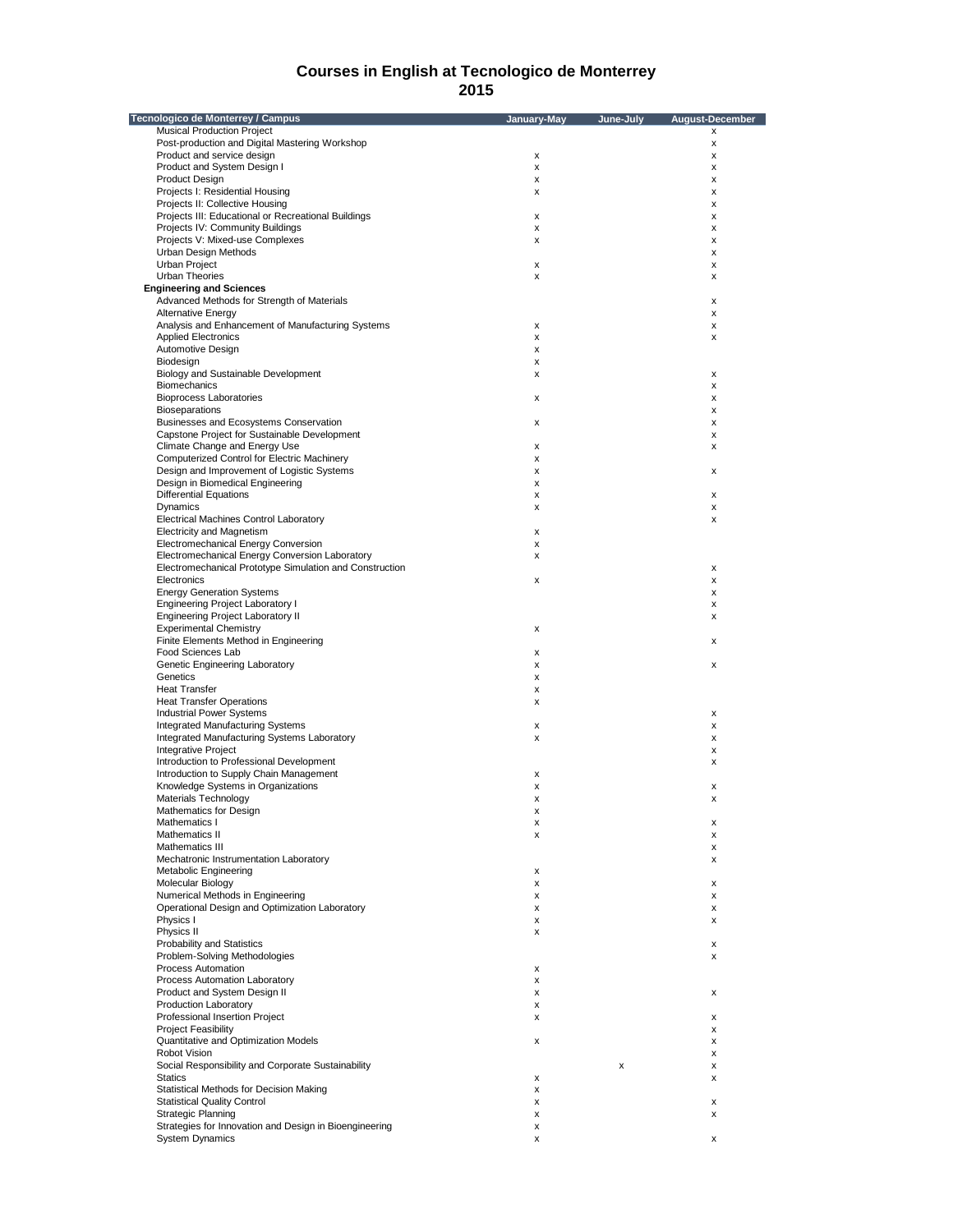| Tecnologico de Monterrey / Campus                                                      | January-May | June-July | <b>August-December</b> |
|----------------------------------------------------------------------------------------|-------------|-----------|------------------------|
| <b>Musical Production Project</b>                                                      |             |           | x                      |
| Post-production and Digital Mastering Workshop                                         |             |           | x                      |
| Product and service design                                                             | х           |           | x                      |
| Product and System Design I                                                            | x           |           | x                      |
| <b>Product Design</b>                                                                  | x           |           | x                      |
| Projects I: Residential Housing                                                        | x           |           | x                      |
| Projects II: Collective Housing<br>Projects III: Educational or Recreational Buildings |             |           | x                      |
| Projects IV: Community Buildings                                                       | x<br>x      |           | x<br>x                 |
| Projects V: Mixed-use Complexes                                                        | x           |           | x                      |
| Urban Design Methods                                                                   |             |           | x                      |
| Urban Project                                                                          | x           |           | x                      |
| Urban Theories                                                                         | x           |           | х                      |
| <b>Engineering and Sciences</b>                                                        |             |           |                        |
| Advanced Methods for Strength of Materials                                             |             |           | x                      |
| <b>Alternative Energy</b>                                                              |             |           | x                      |
| Analysis and Enhancement of Manufacturing Systems                                      | х           |           | x                      |
| <b>Applied Electronics</b>                                                             | x           |           | x                      |
| Automotive Design                                                                      | x           |           |                        |
| Biodesign                                                                              | x           |           |                        |
| Biology and Sustainable Development                                                    | x           |           | x                      |
| <b>Biomechanics</b><br><b>Bioprocess Laboratories</b>                                  |             |           | x                      |
| <b>Bioseparations</b>                                                                  | х           |           | х<br>x                 |
| Businesses and Ecosystems Conservation                                                 | x           |           | x                      |
| Capstone Project for Sustainable Development                                           |             |           | x                      |
| Climate Change and Energy Use                                                          | х           |           | x                      |
| <b>Computerized Control for Electric Machinery</b>                                     | x           |           |                        |
| Design and Improvement of Logistic Systems                                             | x           |           | х                      |
| Design in Biomedical Engineering                                                       | x           |           |                        |
| <b>Differential Equations</b>                                                          | х           |           | х                      |
| Dynamics                                                                               | x           |           | х                      |
| <b>Electrical Machines Control Laboratory</b>                                          |             |           | x                      |
| <b>Electricity and Magnetism</b>                                                       | x           |           |                        |
| Electromechanical Energy Conversion                                                    | x           |           |                        |
| Electromechanical Energy Conversion Laboratory                                         | x           |           |                        |
| Electromechanical Prototype Simulation and Construction                                |             |           | х                      |
| Electronics                                                                            | x           |           | x                      |
| <b>Energy Generation Systems</b>                                                       |             |           | х                      |
| <b>Engineering Project Laboratory I</b>                                                |             |           | х                      |
| <b>Engineering Project Laboratory II</b><br><b>Experimental Chemistry</b>              | x           |           | х                      |
| Finite Elements Method in Engineering                                                  |             |           | x                      |
| Food Sciences Lab                                                                      | x           |           |                        |
| Genetic Engineering Laboratory                                                         | x           |           | x                      |
| Genetics                                                                               | x           |           |                        |
| <b>Heat Transfer</b>                                                                   | x           |           |                        |
| <b>Heat Transfer Operations</b>                                                        | x           |           |                        |
| <b>Industrial Power Systems</b>                                                        |             |           | х                      |
| <b>Integrated Manufacturing Systems</b>                                                | x           |           | x                      |
| Integrated Manufacturing Systems Laboratory                                            | x           |           | х                      |
| Integrative Project                                                                    |             |           | x                      |
| Introduction to Professional Development                                               |             |           | х                      |
| Introduction to Supply Chain Management                                                | x           |           |                        |
| Knowledge Systems in Organizations<br>Materials Technology                             | x<br>x      |           | x<br>х                 |
| Mathematics for Design                                                                 |             |           |                        |
| Mathematics I                                                                          | х           |           | х                      |
| Mathematics II                                                                         | x           |           | x                      |
| Mathematics III                                                                        |             |           | x                      |
| Mechatronic Instrumentation Laboratory                                                 |             |           | x                      |
| Metabolic Engineering                                                                  | x           |           |                        |
| Molecular Biology                                                                      | х           |           | x                      |
| Numerical Methods in Engineering                                                       | x           |           | x                      |
| Operational Design and Optimization Laboratory                                         | x           |           | x                      |
| Physics I                                                                              | x           |           | x                      |
| Physics II                                                                             | x           |           |                        |
| Probability and Statistics<br>Problem-Solving Methodologies                            |             |           | х                      |
| Process Automation                                                                     |             |           | x                      |
| Process Automation Laboratory                                                          | x<br>x      |           |                        |
| Product and System Design II                                                           | x           |           | x                      |
| Production Laboratory                                                                  | x           |           |                        |
| Professional Insertion Project                                                         | x           |           | x                      |
| <b>Project Feasibility</b>                                                             |             |           | x                      |
| Quantitative and Optimization Models                                                   | x           |           | x                      |
| Robot Vision                                                                           |             |           | x                      |
| Social Responsibility and Corporate Sustainability                                     |             | x         | x                      |
| <b>Statics</b>                                                                         | x           |           | x                      |
| Statistical Methods for Decision Making                                                | x           |           |                        |
| <b>Statistical Quality Control</b>                                                     | x           |           | x                      |
| <b>Strategic Planning</b>                                                              | x           |           | x                      |
| Strategies for Innovation and Design in Bioengineering                                 | x           |           |                        |
| <b>System Dynamics</b>                                                                 | x           |           | x                      |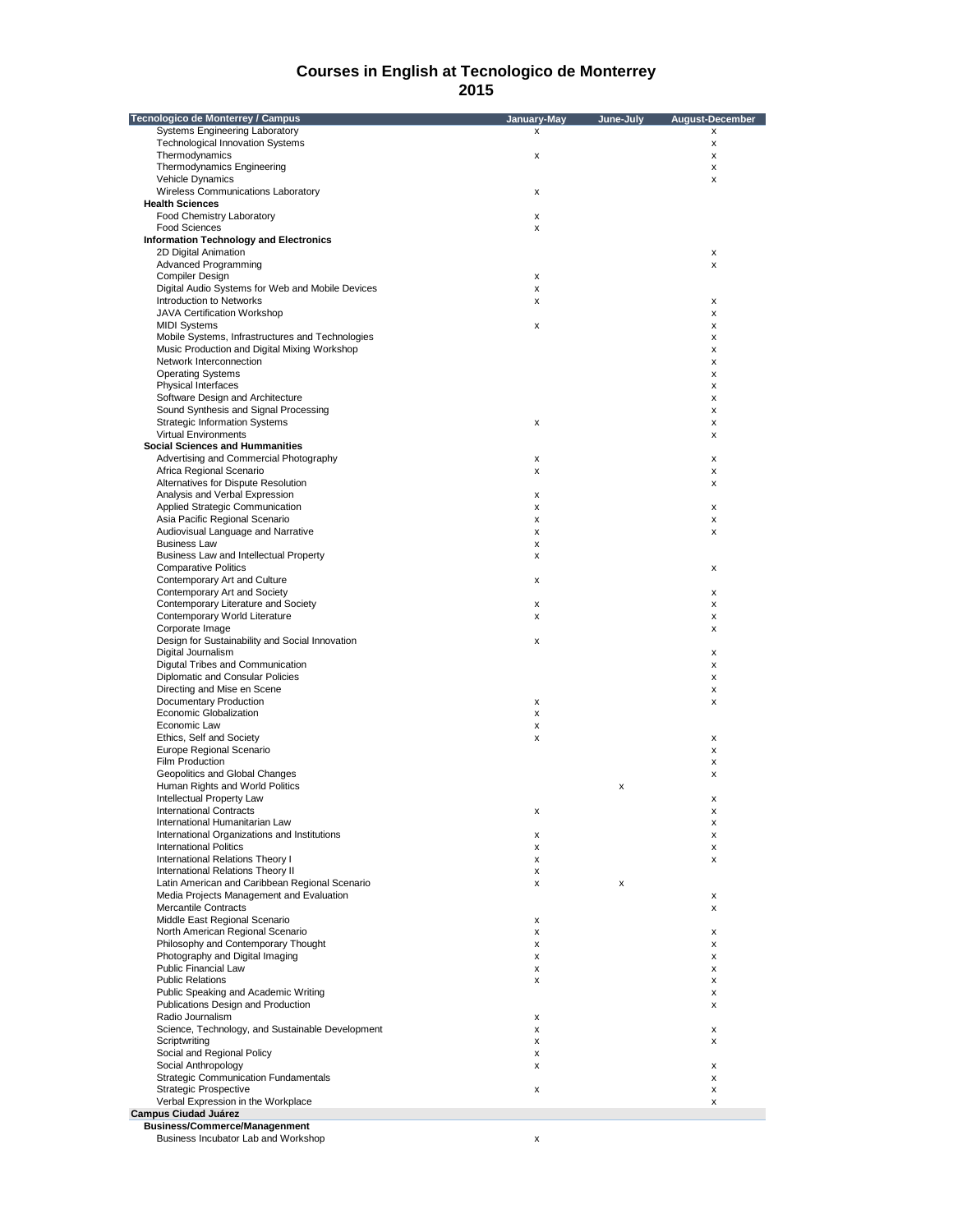| Tecnologico de Monterrey / Campus                | January-May | June-July | <b>August-December</b> |
|--------------------------------------------------|-------------|-----------|------------------------|
| Systems Engineering Laboratory                   | x           |           | x                      |
| <b>Technological Innovation Systems</b>          |             |           | x                      |
| Thermodynamics                                   | x           |           | $\pmb{\times}$         |
| Thermodynamics Engineering                       |             |           | $\pmb{\times}$         |
| <b>Vehicle Dynamics</b>                          |             |           | x                      |
| Wireless Communications Laboratory               | x           |           |                        |
| <b>Health Sciences</b>                           |             |           |                        |
| Food Chemistry Laboratory                        | x           |           |                        |
| <b>Food Sciences</b>                             | x           |           |                        |
| <b>Information Technology and Electronics</b>    |             |           |                        |
| 2D Digital Animation                             |             |           | x                      |
| Advanced Programming                             |             |           | X                      |
| Compiler Design                                  | x           |           |                        |
| Digital Audio Systems for Web and Mobile Devices | x           |           |                        |
| Introduction to Networks                         | x           |           | х                      |
| JAVA Certification Workshop                      |             |           | х                      |
| <b>MIDI Systems</b>                              | x           |           | x                      |
| Mobile Systems, Infrastructures and Technologies |             |           | х                      |
| Music Production and Digital Mixing Workshop     |             |           | х                      |
| Network Interconnection                          |             |           | x                      |
| <b>Operating Systems</b>                         |             |           | х                      |
| Physical Interfaces                              |             |           | x                      |
| Software Design and Architecture                 |             |           | x                      |
| Sound Synthesis and Signal Processing            |             |           | х                      |
| <b>Strategic Information Systems</b>             | x           |           | x                      |
| <b>Virtual Environments</b>                      |             |           | x                      |
| <b>Social Sciences and Hummanities</b>           |             |           |                        |
| Advertising and Commercial Photography           | x           |           | х                      |
| Africa Regional Scenario                         | x           |           | х                      |
| Alternatives for Dispute Resolution              |             |           |                        |
|                                                  |             |           | x                      |
| Analysis and Verbal Expression                   | x           |           |                        |
| Applied Strategic Communication                  | x           |           | x                      |
| Asia Pacific Regional Scenario                   | x           |           | x                      |
| Audiovisual Language and Narrative               | x           |           | x                      |
| <b>Business Law</b>                              | x           |           |                        |
| Business Law and Intellectual Property           | x           |           |                        |
| <b>Comparative Politics</b>                      |             |           | х                      |
| Contemporary Art and Culture                     | x           |           |                        |
| Contemporary Art and Society                     |             |           | х                      |
| Contemporary Literature and Society              | x           |           | x                      |
| Contemporary World Literature                    | x           |           | х                      |
| Corporate Image                                  |             |           | х                      |
| Design for Sustainability and Social Innovation  | x           |           |                        |
| Digital Journalism                               |             |           | х                      |
| Digutal Tribes and Communication                 |             |           | х                      |
| Diplomatic and Consular Policies                 |             |           | х                      |
| Directing and Mise en Scene                      |             |           | х                      |
| Documentary Production                           | x           |           | x                      |
| <b>Economic Globalization</b>                    | x           |           |                        |
| Economic Law                                     | x           |           |                        |
| Ethics, Self and Society                         | x           |           | х                      |
| Europe Regional Scenario                         |             |           | х                      |
| Film Production                                  |             |           | x                      |
| Geopolitics and Global Changes                   |             |           | х                      |
| Human Rights and World Politics                  |             | х         |                        |
| Intellectual Property Law                        |             |           | х                      |
| <b>International Contracts</b>                   |             |           |                        |
| International Humanitarian Law                   | х           |           | х<br>X                 |
| International Organizations and Institutions     | х           |           | х                      |
| <b>International Politics</b>                    | x           |           |                        |
| International Relations Theory I                 |             |           | x                      |
| International Relations Theory II                | x           |           | х                      |
|                                                  | x           |           |                        |
| Latin American and Caribbean Regional Scenario   | x           | x         |                        |
| Media Projects Management and Evaluation         |             |           | х                      |
| <b>Mercantile Contracts</b>                      |             |           | х                      |
| Middle East Regional Scenario                    | x           |           |                        |
| North American Regional Scenario                 | x           |           | х                      |
| Philosophy and Contemporary Thought              | x           |           | х                      |
| Photography and Digital Imaging                  | x           |           | х                      |
| Public Financial Law                             | x           |           | х                      |
| <b>Public Relations</b>                          | x           |           | х                      |
| Public Speaking and Academic Writing             |             |           | х                      |
| Publications Design and Production               |             |           | x                      |
| Radio Journalism                                 | x           |           |                        |
| Science, Technology, and Sustainable Development | x           |           | х                      |
| Scriptwriting                                    | x           |           | x                      |
| Social and Regional Policy                       | x           |           |                        |
| Social Anthropology                              | x           |           | х                      |
| <b>Strategic Communication Fundamentals</b>      |             |           | х                      |
| <b>Strategic Prospective</b>                     | x           |           | x                      |
| Verbal Expression in the Workplace               |             |           | x                      |
| <b>Campus Ciudad Juárez</b>                      |             |           |                        |
| <b>Business/Commerce/Managenment</b>             |             |           |                        |
| Business Incubator Lab and Workshop              | x           |           |                        |
|                                                  |             |           |                        |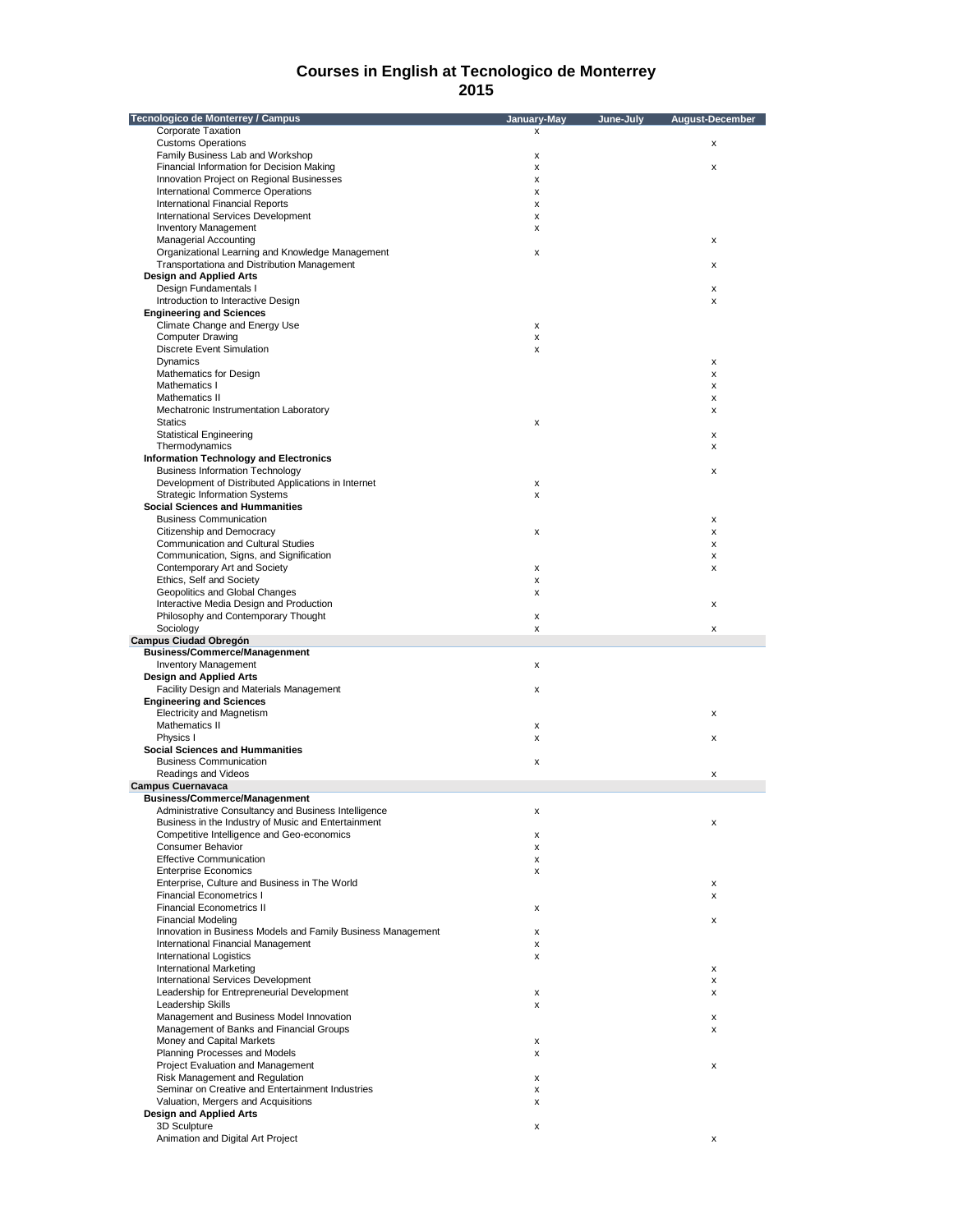| Tecnologico de Monterrey / Campus                                                       | January-May | June-July | August-December |
|-----------------------------------------------------------------------------------------|-------------|-----------|-----------------|
| Corporate Taxation                                                                      | x           |           |                 |
| <b>Customs Operations</b>                                                               |             |           | x               |
| Family Business Lab and Workshop                                                        | x           |           |                 |
| Financial Information for Decision Making                                               | x           |           | x               |
| Innovation Project on Regional Businesses                                               | x           |           |                 |
| <b>International Commerce Operations</b>                                                | x           |           |                 |
| <b>International Financial Reports</b>                                                  | x           |           |                 |
| International Services Development<br><b>Inventory Management</b>                       | x<br>x      |           |                 |
| <b>Managerial Accounting</b>                                                            |             |           | x               |
| Organizational Learning and Knowledge Management                                        | x           |           |                 |
| Transportationa and Distribution Management                                             |             |           | x               |
| <b>Design and Applied Arts</b>                                                          |             |           |                 |
| Design Fundamentals I                                                                   |             |           | x               |
| Introduction to Interactive Design                                                      |             |           | x               |
| <b>Engineering and Sciences</b>                                                         |             |           |                 |
| Climate Change and Energy Use                                                           | x           |           |                 |
| <b>Computer Drawing</b>                                                                 | x           |           |                 |
| <b>Discrete Event Simulation</b>                                                        | x           |           |                 |
| Dynamics                                                                                |             |           | x               |
| Mathematics for Design                                                                  |             |           | x               |
| Mathematics I                                                                           |             |           | x               |
| Mathematics II                                                                          |             |           | x               |
| Mechatronic Instrumentation Laboratory                                                  |             |           | x               |
| <b>Statics</b>                                                                          | x           |           |                 |
| <b>Statistical Engineering</b>                                                          |             |           | x               |
| Thermodynamics                                                                          |             |           | x               |
| <b>Information Technology and Electronics</b><br><b>Business Information Technology</b> |             |           |                 |
| Development of Distributed Applications in Internet                                     | x           |           | x               |
| <b>Strategic Information Systems</b>                                                    | x           |           |                 |
| <b>Social Sciences and Hummanities</b>                                                  |             |           |                 |
| <b>Business Communication</b>                                                           |             |           | x               |
| Citizenship and Democracy                                                               | x           |           | x               |
| <b>Communication and Cultural Studies</b>                                               |             |           | x               |
| Communication, Signs, and Signification                                                 |             |           | x               |
| Contemporary Art and Society                                                            | x           |           | x               |
| Ethics, Self and Society                                                                | x           |           |                 |
| Geopolitics and Global Changes                                                          | x           |           |                 |
| Interactive Media Design and Production                                                 |             |           | x               |
| Philosophy and Contemporary Thought                                                     | x           |           |                 |
| Sociology                                                                               | x           |           | x               |
| <b>Campus Ciudad Obregón</b>                                                            |             |           |                 |
| <b>Business/Commerce/Managenment</b>                                                    |             |           |                 |
| <b>Inventory Management</b>                                                             | x           |           |                 |
| <b>Design and Applied Arts</b>                                                          |             |           |                 |
| Facility Design and Materials Management<br><b>Engineering and Sciences</b>             | x           |           |                 |
| <b>Electricity and Magnetism</b>                                                        |             |           | x               |
| Mathematics II                                                                          | x           |           |                 |
| Physics I                                                                               | x           |           | x               |
| <b>Social Sciences and Hummanities</b>                                                  |             |           |                 |
| <b>Business Communication</b>                                                           | x           |           |                 |
| Readings and Videos                                                                     |             |           | x               |
| <b>Campus Cuernavaca</b>                                                                |             |           |                 |
| <b>Business/Commerce/Managenment</b>                                                    |             |           |                 |
| Administrative Consultancy and Business Intelligence                                    |             |           |                 |
| Business in the Industry of Music and Entertainment                                     |             |           | x               |
| Competitive Intelligence and Geo-economics                                              | x           |           |                 |
| <b>Consumer Behavior</b>                                                                | x           |           |                 |
| <b>Effective Communication</b>                                                          | x           |           |                 |
| <b>Enterprise Economics</b>                                                             | x           |           |                 |
| Enterprise, Culture and Business in The World                                           |             |           | x               |
| <b>Financial Econometrics I</b>                                                         |             |           | X               |
| <b>Financial Econometrics II</b>                                                        | x           |           |                 |
| Financial Modeling                                                                      |             |           | x               |
| Innovation in Business Models and Family Business Management                            | x           |           |                 |
| International Financial Management<br>International Logistics                           | x<br>x      |           |                 |
| <b>International Marketing</b>                                                          |             |           | x               |
| International Services Development                                                      |             |           | x               |
| Leadership for Entrepreneurial Development                                              | x           |           | x               |
| Leadership Skills                                                                       | x           |           |                 |
| Management and Business Model Innovation                                                |             |           | x               |
| Management of Banks and Financial Groups                                                |             |           | x               |
| Money and Capital Markets                                                               | х           |           |                 |
| Planning Processes and Models                                                           | x           |           |                 |
| Project Evaluation and Management                                                       |             |           | x               |
| Risk Management and Regulation                                                          | x           |           |                 |
| Seminar on Creative and Entertainment Industries                                        | x           |           |                 |
| Valuation, Mergers and Acquisitions                                                     | x           |           |                 |
| <b>Design and Applied Arts</b>                                                          |             |           |                 |
| 3D Sculpture                                                                            | x           |           |                 |
| Animation and Digital Art Project                                                       |             |           | x               |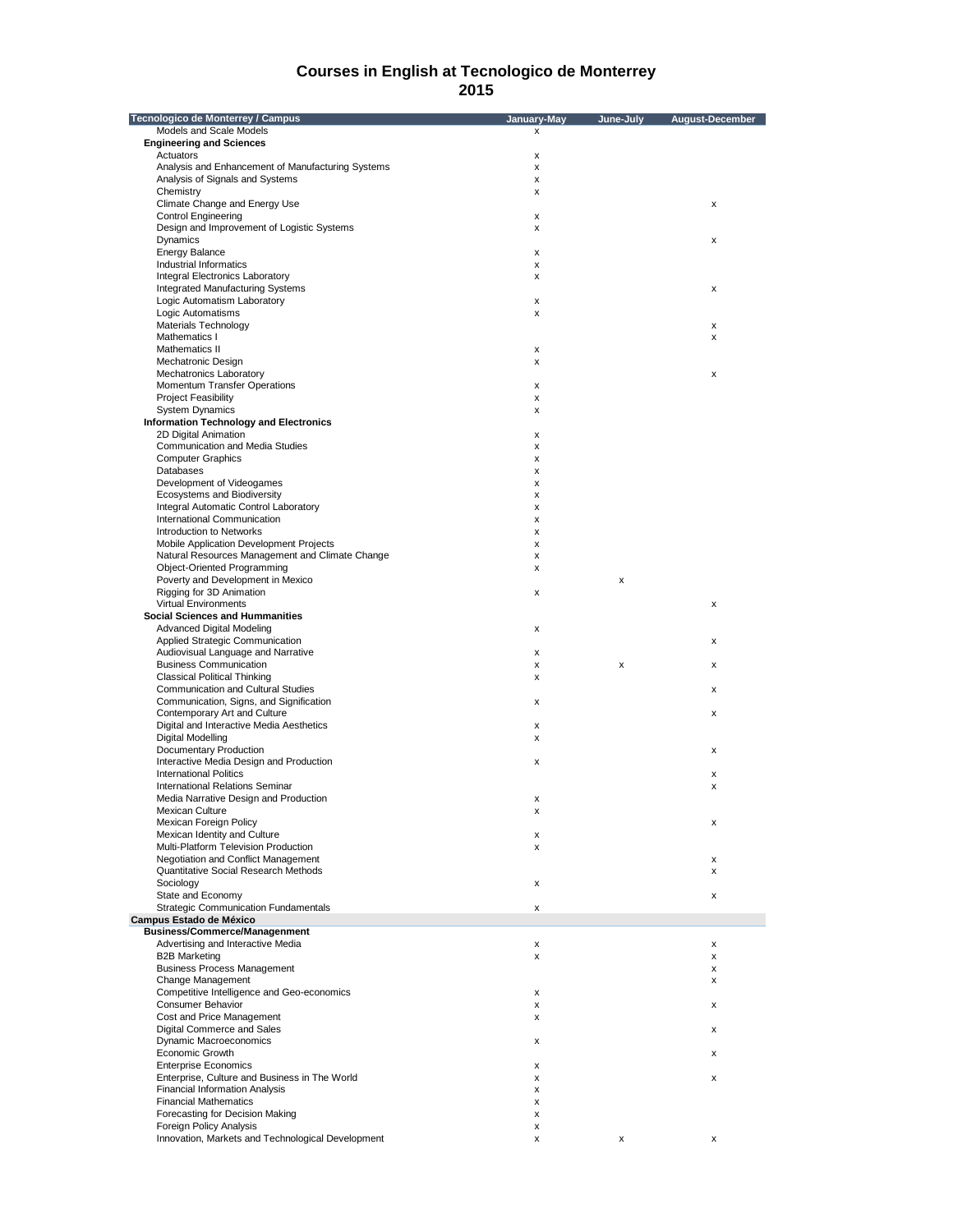| Tecnologico de Monterrey / Campus                 | January-May | June-July | <b>August-December</b> |
|---------------------------------------------------|-------------|-----------|------------------------|
| Models and Scale Models                           | X           |           |                        |
| <b>Engineering and Sciences</b>                   |             |           |                        |
| Actuators                                         | x           |           |                        |
| Analysis and Enhancement of Manufacturing Systems | x           |           |                        |
| Analysis of Signals and Systems                   | x           |           |                        |
| Chemistry                                         | x           |           |                        |
| Climate Change and Energy Use                     |             |           | x                      |
| <b>Control Engineering</b>                        | x           |           |                        |
| Design and Improvement of Logistic Systems        |             |           |                        |
| Dynamics                                          | x           |           |                        |
|                                                   |             |           | х                      |
| <b>Energy Balance</b>                             | x           |           |                        |
| Industrial Informatics                            | x           |           |                        |
| <b>Integral Electronics Laboratory</b>            | x           |           |                        |
| Integrated Manufacturing Systems                  |             |           | х                      |
| Logic Automatism Laboratory                       | x           |           |                        |
| Logic Automatisms                                 | x           |           |                        |
| Materials Technology                              |             |           | x                      |
| Mathematics I                                     |             |           | X                      |
| Mathematics II                                    | x           |           |                        |
| Mechatronic Design                                | x           |           |                        |
| Mechatronics Laboratory                           |             |           | х                      |
| Momentum Transfer Operations                      | x           |           |                        |
| <b>Project Feasibility</b>                        | x           |           |                        |
| <b>System Dynamics</b>                            | x           |           |                        |
| <b>Information Technology and Electronics</b>     |             |           |                        |
| 2D Digital Animation                              | x           |           |                        |
| Communication and Media Studies                   | x           |           |                        |
|                                                   |             |           |                        |
| <b>Computer Graphics</b><br>Databases             | x           |           |                        |
|                                                   | x           |           |                        |
| Development of Videogames                         | x           |           |                        |
| Ecosystems and Biodiversity                       | x           |           |                        |
| Integral Automatic Control Laboratory             | x           |           |                        |
| International Communication                       | x           |           |                        |
| Introduction to Networks                          | x           |           |                        |
| Mobile Application Development Projects           | x           |           |                        |
| Natural Resources Management and Climate Change   | x           |           |                        |
| Object-Oriented Programming                       | x           |           |                        |
| Poverty and Development in Mexico                 |             | X         |                        |
| Rigging for 3D Animation                          | x           |           |                        |
| <b>Virtual Environments</b>                       |             |           | x                      |
| <b>Social Sciences and Hummanities</b>            |             |           |                        |
| <b>Advanced Digital Modeling</b>                  | x           |           |                        |
|                                                   |             |           |                        |
| Applied Strategic Communication                   |             |           | $\pmb{\times}$         |
| Audiovisual Language and Narrative                | x           |           |                        |
| <b>Business Communication</b>                     | x           | x         | x                      |
| <b>Classical Political Thinking</b>               | x           |           |                        |
| Communication and Cultural Studies                |             |           | x                      |
| Communication, Signs, and Signification           | x           |           |                        |
| Contemporary Art and Culture                      |             |           | х                      |
| Digital and Interactive Media Aesthetics          | x           |           |                        |
| Digital Modelling                                 | x           |           |                        |
| Documentary Production                            |             |           | х                      |
| Interactive Media Design and Production           | x           |           |                        |
| <b>International Politics</b>                     |             |           | x                      |
| <b>International Relations Seminar</b>            |             |           | x                      |
| Media Narrative Design and Production             | x           |           |                        |
| Mexican Culture                                   | х           |           |                        |
| Mexican Foreign Policy                            |             |           | x                      |
| Mexican Identity and Culture                      | х           |           |                        |
|                                                   |             |           |                        |
| Multi-Platform Television Production              | x           |           |                        |
| Negotiation and Conflict Management               |             |           | х                      |
| Quantitative Social Research Methods              |             |           | x                      |
| Sociology                                         | X           |           |                        |
| State and Economy                                 |             |           | х                      |
| <b>Strategic Communication Fundamentals</b>       | x           |           |                        |
| Campus Estado de México                           |             |           |                        |
| <b>Business/Commerce/Managenment</b>              |             |           |                        |
| Advertising and Interactive Media                 | x           |           | $\pmb{\mathsf{x}}$     |
| <b>B2B Marketing</b>                              | x           |           | х                      |
| <b>Business Process Management</b>                |             |           | x                      |
| Change Management                                 |             |           | x                      |
| Competitive Intelligence and Geo-economics        | x           |           |                        |
| Consumer Behavior                                 | x           |           | х                      |
| Cost and Price Management                         | x           |           |                        |
| Digital Commerce and Sales                        |             |           | x                      |
| <b>Dynamic Macroeconomics</b>                     |             |           |                        |
| <b>Economic Growth</b>                            | x           |           |                        |
|                                                   |             |           | x                      |
| <b>Enterprise Economics</b>                       | x           |           |                        |
| Enterprise, Culture and Business in The World     | x           |           | х                      |
| <b>Financial Information Analysis</b>             | x           |           |                        |
| <b>Financial Mathematics</b>                      | x           |           |                        |
| Forecasting for Decision Making                   | x           |           |                        |
| Foreign Policy Analysis                           | x           |           |                        |
| Innovation, Markets and Technological Development | x           | х         |                        |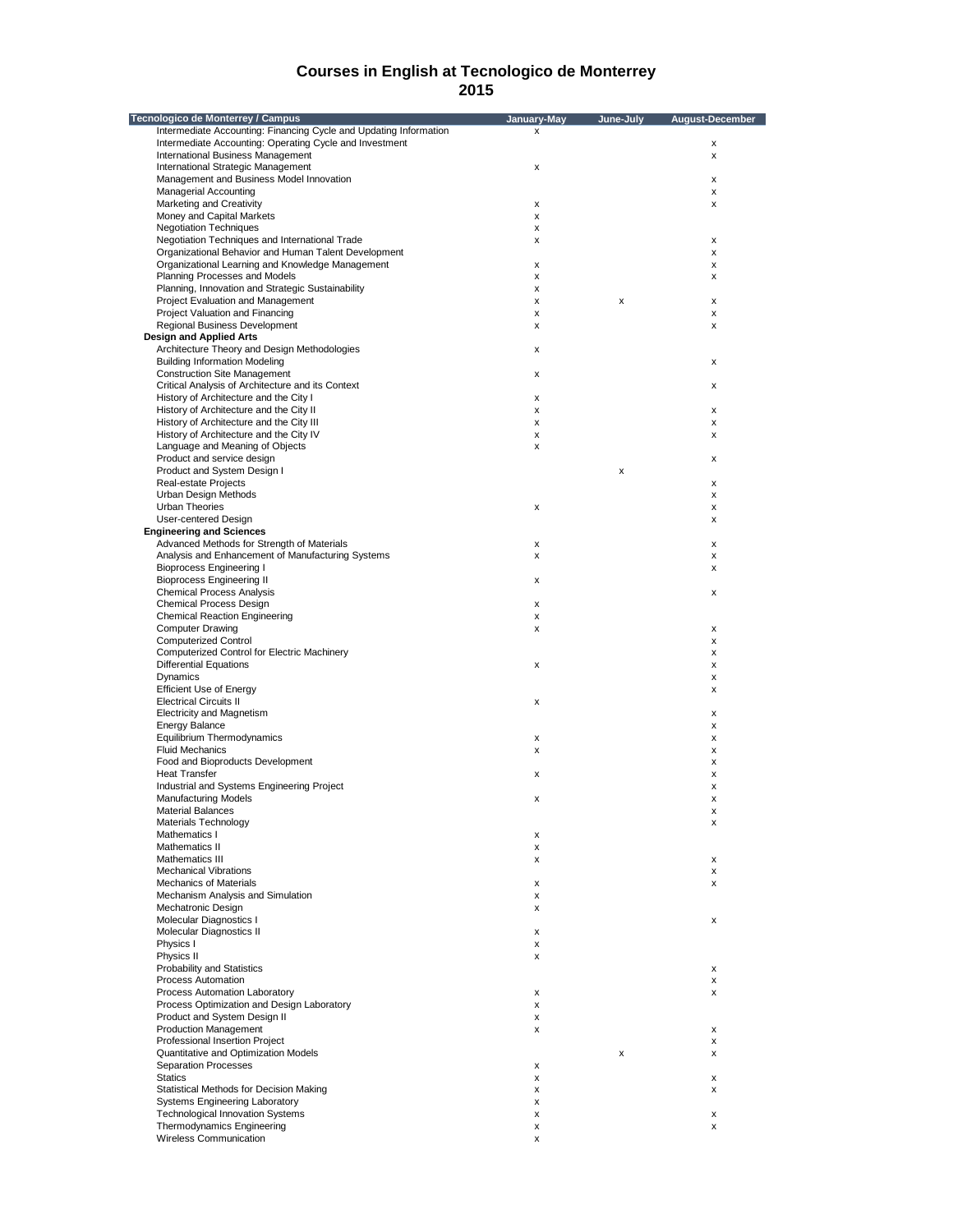| Tecnologico de Monterrey / Campus                                 | January-May | June-July | August-December |
|-------------------------------------------------------------------|-------------|-----------|-----------------|
| Intermediate Accounting: Financing Cycle and Updating Information | X           |           |                 |
| Intermediate Accounting: Operating Cycle and Investment           |             |           | х               |
| <b>International Business Management</b>                          |             |           | x               |
| International Strategic Management                                | x           |           |                 |
| Management and Business Model Innovation                          |             |           | x               |
| <b>Managerial Accounting</b>                                      |             |           | x               |
| Marketing and Creativity                                          | x           |           | x               |
| Money and Capital Markets                                         | x           |           |                 |
| <b>Negotiation Techniques</b>                                     | x           |           |                 |
| Negotiation Techniques and International Trade                    | x           |           | x               |
| Organizational Behavior and Human Talent Development              |             |           | x               |
|                                                                   |             |           |                 |
| Organizational Learning and Knowledge Management                  | х           |           | x               |
| Planning Processes and Models                                     | x           |           | x               |
| Planning, Innovation and Strategic Sustainability                 | x           |           |                 |
| Project Evaluation and Management                                 | x           | x         | x               |
| Project Valuation and Financing                                   | x           |           | x               |
| Regional Business Development                                     | x           |           | x               |
| <b>Design and Applied Arts</b>                                    |             |           |                 |
| Architecture Theory and Design Methodologies                      | x           |           |                 |
| <b>Building Information Modeling</b>                              |             |           | x               |
| <b>Construction Site Management</b>                               | x           |           |                 |
| Critical Analysis of Architecture and its Context                 |             |           | x               |
| History of Architecture and the City I                            | x           |           |                 |
| History of Architecture and the City II                           | x           |           | x               |
| History of Architecture and the City III                          | x           |           | x               |
| History of Architecture and the City IV                           | x           |           | x               |
| Language and Meaning of Objects                                   | x           |           |                 |
|                                                                   |             |           |                 |
| Product and service design                                        |             |           | х               |
| Product and System Design I                                       |             | x         |                 |
| Real-estate Projects                                              |             |           | x               |
| Urban Design Methods                                              |             |           | x               |
| <b>Urban Theories</b>                                             | x           |           | x               |
| User-centered Design                                              |             |           | x               |
| <b>Engineering and Sciences</b>                                   |             |           |                 |
| Advanced Methods for Strength of Materials                        | x           |           | x               |
| Analysis and Enhancement of Manufacturing Systems                 | x           |           | x               |
| <b>Bioprocess Engineering I</b>                                   |             |           | x               |
| <b>Bioprocess Engineering II</b>                                  | x           |           |                 |
|                                                                   |             |           |                 |
| <b>Chemical Process Analysis</b>                                  |             |           | x               |
| Chemical Process Design                                           | x           |           |                 |
| <b>Chemical Reaction Engineering</b>                              | x           |           |                 |
| <b>Computer Drawing</b>                                           | x           |           | х               |
| <b>Computerized Control</b>                                       |             |           | x               |
| <b>Computerized Control for Electric Machinery</b>                |             |           | x               |
| <b>Differential Equations</b>                                     | x           |           | x               |
| Dynamics                                                          |             |           | x               |
| <b>Efficient Use of Energy</b>                                    |             |           | x               |
| <b>Electrical Circuits II</b>                                     | x           |           |                 |
| <b>Electricity and Magnetism</b>                                  |             |           | х               |
| <b>Energy Balance</b>                                             |             |           | x               |
| Equilibrium Thermodynamics                                        | х           |           | x               |
| <b>Fluid Mechanics</b>                                            | x           |           | x               |
| Food and Bioproducts Development                                  |             |           | х               |
| <b>Heat Transfer</b>                                              | x           |           | x               |
| Industrial and Systems Engineering Project                        |             |           |                 |
|                                                                   |             |           | x               |
| <b>Manufacturing Models</b>                                       | х           |           | x               |
| <b>Material Balances</b>                                          |             |           | x               |
| Materials Technology                                              |             |           | x               |
| Mathematics I                                                     | x           |           |                 |
| Mathematics II                                                    | X           |           |                 |
| Mathematics III                                                   | x           |           | x               |
| <b>Mechanical Vibrations</b>                                      |             |           | x               |
| <b>Mechanics of Materials</b>                                     | x           |           | x               |
| Mechanism Analysis and Simulation                                 | x           |           |                 |
| Mechatronic Design                                                | x           |           |                 |
| Molecular Diagnostics I                                           |             |           | x               |
| Molecular Diagnostics II                                          | х           |           |                 |
|                                                                   |             |           |                 |
| Physics I                                                         | x           |           |                 |
| Physics II                                                        | x           |           |                 |
| <b>Probability and Statistics</b>                                 |             |           | x               |
| Process Automation                                                |             |           | x               |
| Process Automation Laboratory                                     | x           |           | x               |
| Process Optimization and Design Laboratory                        | x           |           |                 |
| Product and System Design II                                      | x           |           |                 |
| <b>Production Management</b>                                      | x           |           | x               |
| Professional Insertion Project                                    |             |           | x               |
| Quantitative and Optimization Models                              |             | x         | x               |
| <b>Separation Processes</b>                                       | x           |           |                 |
| <b>Statics</b>                                                    | x           |           | x               |
|                                                                   |             |           |                 |
| Statistical Methods for Decision Making                           | x           |           | x               |
| Systems Engineering Laboratory                                    | x           |           |                 |
| <b>Technological Innovation Systems</b>                           | x           |           | x               |
| Thermodynamics Engineering                                        | x           |           | x               |
| Wireless Communication                                            | x           |           |                 |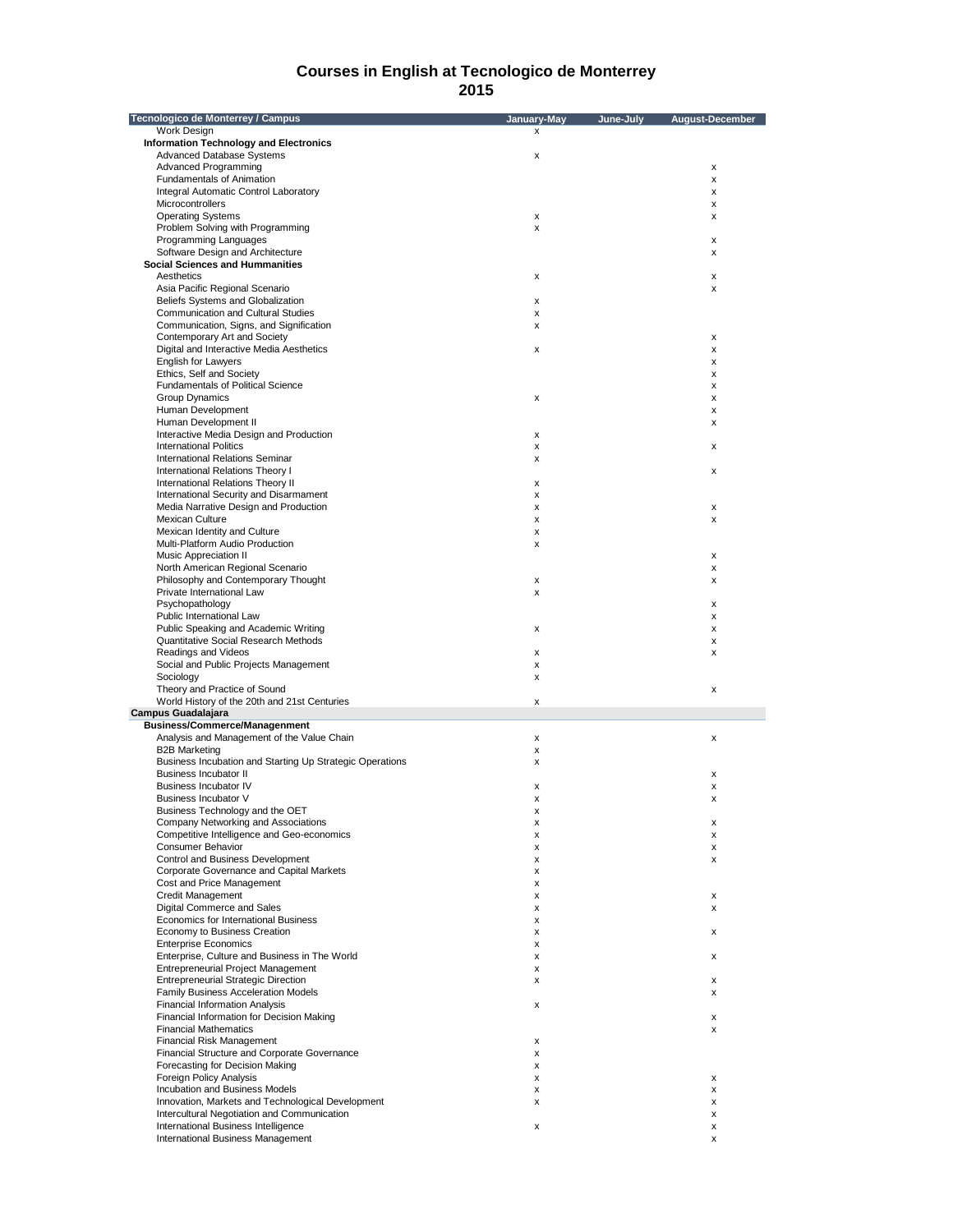| Tecnologico de Monterrey / Campus                        | January-May | June-July | August-December |
|----------------------------------------------------------|-------------|-----------|-----------------|
| Work Design                                              | x           |           |                 |
| <b>Information Technology and Electronics</b>            |             |           |                 |
| Advanced Database Systems                                | х           |           |                 |
| Advanced Programming                                     |             |           | x               |
| Fundamentals of Animation                                |             |           | X               |
| Integral Automatic Control Laboratory                    |             |           | x               |
| Microcontrollers                                         |             |           | x               |
| <b>Operating Systems</b>                                 | x           |           | x               |
| Problem Solving with Programming                         | x           |           |                 |
| Programming Languages                                    |             |           | X               |
| Software Design and Architecture                         |             |           | х               |
| <b>Social Sciences and Hummanities</b>                   |             |           |                 |
| Aesthetics                                               | x           |           | х               |
| Asia Pacific Regional Scenario                           |             |           | x               |
| Beliefs Systems and Globalization                        | x           |           |                 |
| Communication and Cultural Studies                       | x           |           |                 |
| Communication, Signs, and Signification                  | x           |           |                 |
| Contemporary Art and Society                             |             |           | x               |
| Digital and Interactive Media Aesthetics                 | x           |           | x               |
| <b>English for Lawyers</b>                               |             |           | х               |
| Ethics, Self and Society                                 |             |           | х               |
| Fundamentals of Political Science                        |             |           | x               |
|                                                          |             |           |                 |
| <b>Group Dynamics</b>                                    | x           |           | x               |
| Human Development                                        |             |           | x               |
| Human Development II                                     |             |           | х               |
| Interactive Media Design and Production                  | x           |           |                 |
| <b>International Politics</b>                            | x           |           | х               |
| <b>International Relations Seminar</b>                   | x           |           |                 |
| International Relations Theory I                         |             |           | x               |
| International Relations Theory II                        | x           |           |                 |
| International Security and Disarmament                   | x           |           |                 |
| Media Narrative Design and Production                    | x           |           | х               |
| <b>Mexican Culture</b>                                   | x           |           | x               |
| Mexican Identity and Culture                             | x           |           |                 |
| Multi-Platform Audio Production                          | x           |           |                 |
| <b>Music Appreciation II</b>                             |             |           | х               |
| North American Regional Scenario                         |             |           | х               |
| Philosophy and Contemporary Thought                      | x           |           | x               |
| Private International Law                                | x           |           |                 |
| Psychopathology                                          |             |           | х               |
| Public International Law                                 |             |           | х               |
| Public Speaking and Academic Writing                     | x           |           | x               |
| Quantitative Social Research Methods                     |             |           |                 |
|                                                          |             |           | x               |
| Readings and Videos                                      | x           |           | x               |
| Social and Public Projects Management                    | x           |           |                 |
| Sociology                                                | x           |           |                 |
| Theory and Practice of Sound                             |             |           | X               |
| World History of the 20th and 21st Centuries             | x           |           |                 |
| Campus Guadalajara                                       |             |           |                 |
| <b>Business/Commerce/Managenment</b>                     |             |           |                 |
| Analysis and Management of the Value Chain               | x           |           | х               |
| <b>B2B Marketing</b>                                     | x           |           |                 |
| Business Incubation and Starting Up Strategic Operations | x           |           |                 |
| <b>Business Incubator II</b>                             |             |           | х               |
| <b>Business Incubator IV</b>                             | x           |           | х               |
| Business Incubator V                                     | x           |           | x               |
| Business Technology and the OET                          | х           |           |                 |
| Company Networking and Associations                      | x           |           | x               |
| Competitive Intelligence and Geo-economics               | x           |           | x               |
| <b>Consumer Behavior</b>                                 | x           |           | х               |
| Control and Business Development                         | x           |           | х               |
| Corporate Governance and Capital Markets                 | х           |           |                 |
| Cost and Price Management                                | x           |           |                 |
| Credit Management                                        | x           |           | х               |
| Digital Commerce and Sales                               | x           |           | х               |
| Economics for International Business                     | x           |           |                 |
| Economy to Business Creation                             | x           |           | х               |
| <b>Enterprise Economics</b>                              | x           |           |                 |
| Enterprise, Culture and Business in The World            | x           |           | х               |
| <b>Entrepreneurial Project Management</b>                | x           |           |                 |
|                                                          |             |           |                 |
| <b>Entrepreneurial Strategic Direction</b>               | x           |           | х               |
| Family Business Acceleration Models                      |             |           | х               |
| <b>Financial Information Analysis</b>                    | x           |           |                 |
| Financial Information for Decision Making                |             |           | х               |
| <b>Financial Mathematics</b>                             |             |           | X               |
| <b>Financial Risk Management</b>                         | x           |           |                 |
| Financial Structure and Corporate Governance             | x           |           |                 |
| Forecasting for Decision Making                          | x           |           |                 |
| Foreign Policy Analysis                                  | x           |           | х               |
| Incubation and Business Models                           | x           |           | х               |
| Innovation, Markets and Technological Development        | x           |           | х               |
| Intercultural Negotiation and Communication              |             |           | x               |
| International Business Intelligence                      | x           |           | х               |
| International Business Management                        |             |           | x               |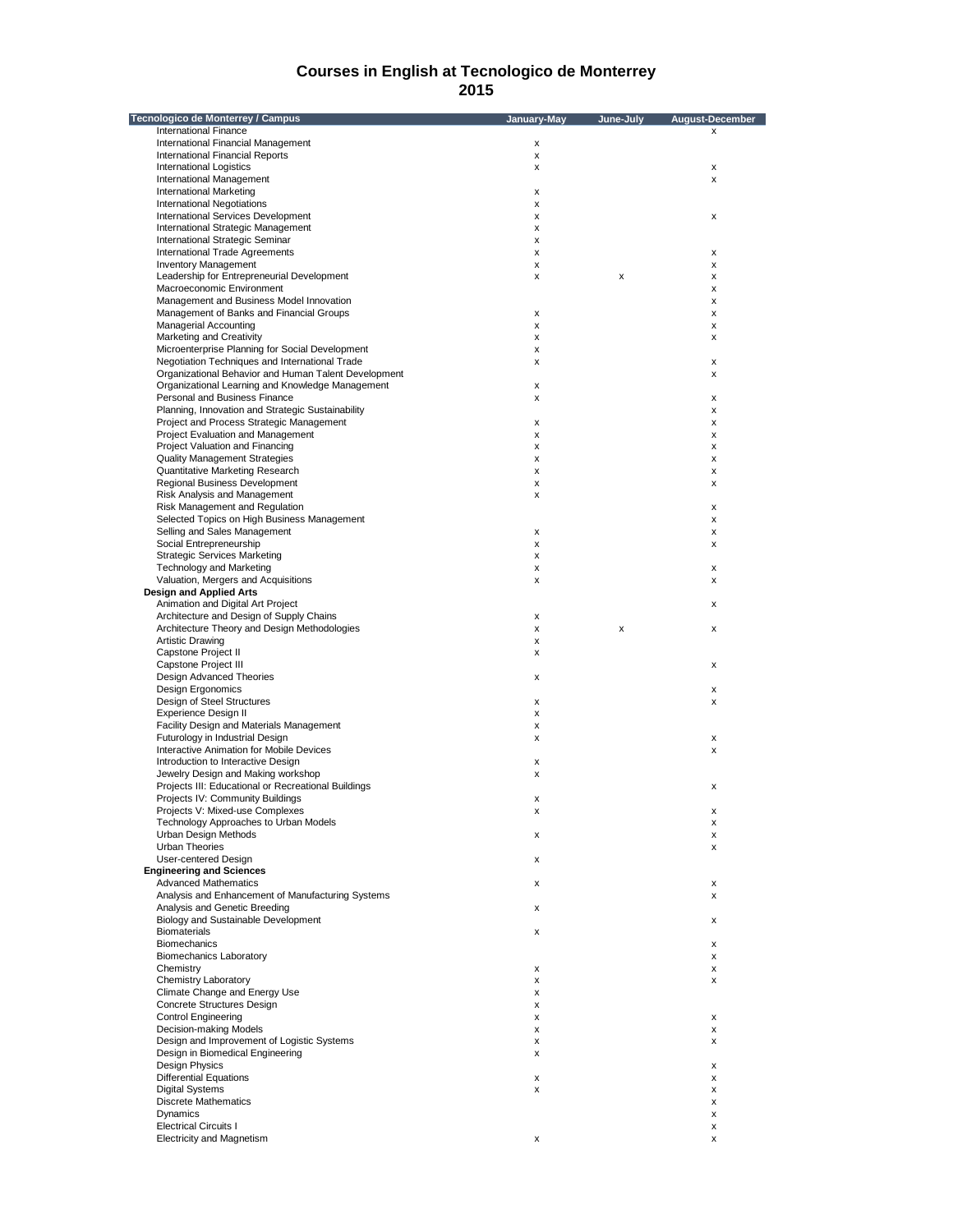| Tecnologico de Monterrey / Campus                                             | January-May | June-July | <b>August-December</b> |
|-------------------------------------------------------------------------------|-------------|-----------|------------------------|
| <b>International Finance</b>                                                  |             |           | x                      |
| International Financial Management                                            | x           |           |                        |
| International Financial Reports                                               | x           |           |                        |
| <b>International Logistics</b>                                                | x           |           | $\pmb{\mathsf{x}}$     |
| <b>International Management</b><br>International Marketing                    | х           |           | X                      |
| International Negotiations                                                    | x           |           |                        |
| International Services Development                                            | X           |           | x                      |
| International Strategic Management                                            | x           |           |                        |
| International Strategic Seminar                                               | x           |           |                        |
| International Trade Agreements                                                | x           |           | х                      |
| <b>Inventory Management</b>                                                   | x           |           | x                      |
| Leadership for Entrepreneurial Development                                    | X           | X         | x                      |
| Macroeconomic Environment                                                     |             |           | X                      |
| Management and Business Model Innovation                                      |             |           | х                      |
| Management of Banks and Financial Groups                                      | x           |           | х                      |
| <b>Managerial Accounting</b><br>Marketing and Creativity                      | x<br>X      |           | х                      |
| Microenterprise Planning for Social Development                               | x           |           | x                      |
| Negotiation Techniques and International Trade                                | x           |           | х                      |
| Organizational Behavior and Human Talent Development                          |             |           | х                      |
| Organizational Learning and Knowledge Management                              | x           |           |                        |
| Personal and Business Finance                                                 | X           |           | x                      |
| Planning, Innovation and Strategic Sustainability                             |             |           | X                      |
| Project and Process Strategic Management                                      | x           |           | х                      |
| Project Evaluation and Management                                             | x           |           | x                      |
| Project Valuation and Financing                                               | x           |           | х                      |
| <b>Quality Management Strategies</b>                                          | X           |           | x                      |
| Quantitative Marketing Research                                               | x           |           | х                      |
| Regional Business Development                                                 | x           |           | х                      |
| <b>Risk Analysis and Management</b>                                           | x           |           |                        |
| Risk Management and Regulation                                                |             |           | x                      |
| Selected Topics on High Business Management                                   |             |           | x                      |
| Selling and Sales Management                                                  | x           |           | X                      |
| Social Entrepreneurship                                                       | x           |           | x                      |
| Strategic Services Marketing                                                  | x           |           |                        |
| <b>Technology and Marketing</b>                                               | x           |           | х                      |
| Valuation, Mergers and Acquisitions                                           | X           |           | x                      |
| <b>Design and Applied Arts</b>                                                |             |           |                        |
| Animation and Digital Art Project<br>Architecture and Design of Supply Chains |             |           | х                      |
| Architecture Theory and Design Methodologies                                  | x<br>x      | х         | x                      |
| <b>Artistic Drawing</b>                                                       | x           |           |                        |
| Capstone Project II                                                           | x           |           |                        |
| Capstone Project III                                                          |             |           | х                      |
| <b>Design Advanced Theories</b>                                               | х           |           |                        |
| Design Ergonomics                                                             |             |           | х                      |
| Design of Steel Structures                                                    | x           |           | x                      |
| <b>Experience Design II</b>                                                   | x           |           |                        |
| Facility Design and Materials Management                                      | x           |           |                        |
| Futurology in Industrial Design                                               | х           |           | x                      |
| Interactive Animation for Mobile Devices                                      |             |           | x                      |
| Introduction to Interactive Design                                            | х           |           |                        |
| Jewelry Design and Making workshop                                            | х           |           |                        |
| Projects III: Educational or Recreational Buildings                           |             |           | x                      |
| Projects IV: Community Buildings                                              | х           |           |                        |
| Projects V: Mixed-use Complexes                                               | x           |           | х                      |
| Technology Approaches to Urban Models                                         |             |           | х                      |
| Urban Design Methods                                                          | x           |           | х                      |
| <b>Urban Theories</b><br>User-centered Design                                 |             |           | х                      |
| <b>Engineering and Sciences</b>                                               | x           |           |                        |
| <b>Advanced Mathematics</b>                                                   | x           |           | х                      |
| Analysis and Enhancement of Manufacturing Systems                             |             |           | X                      |
| Analysis and Genetic Breeding                                                 | x           |           |                        |
| Biology and Sustainable Development                                           |             |           | х                      |
| <b>Biomaterials</b>                                                           | x           |           |                        |
| <b>Biomechanics</b>                                                           |             |           | х                      |
| <b>Biomechanics Laboratory</b>                                                |             |           | х                      |
| Chemistry                                                                     | x           |           | х                      |
| <b>Chemistry Laboratory</b>                                                   | x           |           | x                      |
| Climate Change and Energy Use                                                 | x           |           |                        |
| Concrete Structures Design                                                    | x           |           |                        |
| <b>Control Engineering</b>                                                    | x           |           | $\pmb{\mathsf{x}}$     |
| Decision-making Models                                                        | x           |           | х                      |
| Design and Improvement of Logistic Systems                                    | x           |           | x                      |
| Design in Biomedical Engineering                                              | x           |           |                        |
| <b>Design Physics</b>                                                         |             |           | х                      |
| <b>Differential Equations</b>                                                 | x           |           | х                      |
| <b>Digital Systems</b>                                                        | x           |           | х                      |
| <b>Discrete Mathematics</b>                                                   |             |           | x                      |
| Dynamics                                                                      |             |           | х                      |
| <b>Electrical Circuits I</b>                                                  |             |           | х                      |
| <b>Electricity and Magnetism</b>                                              | х           |           | X                      |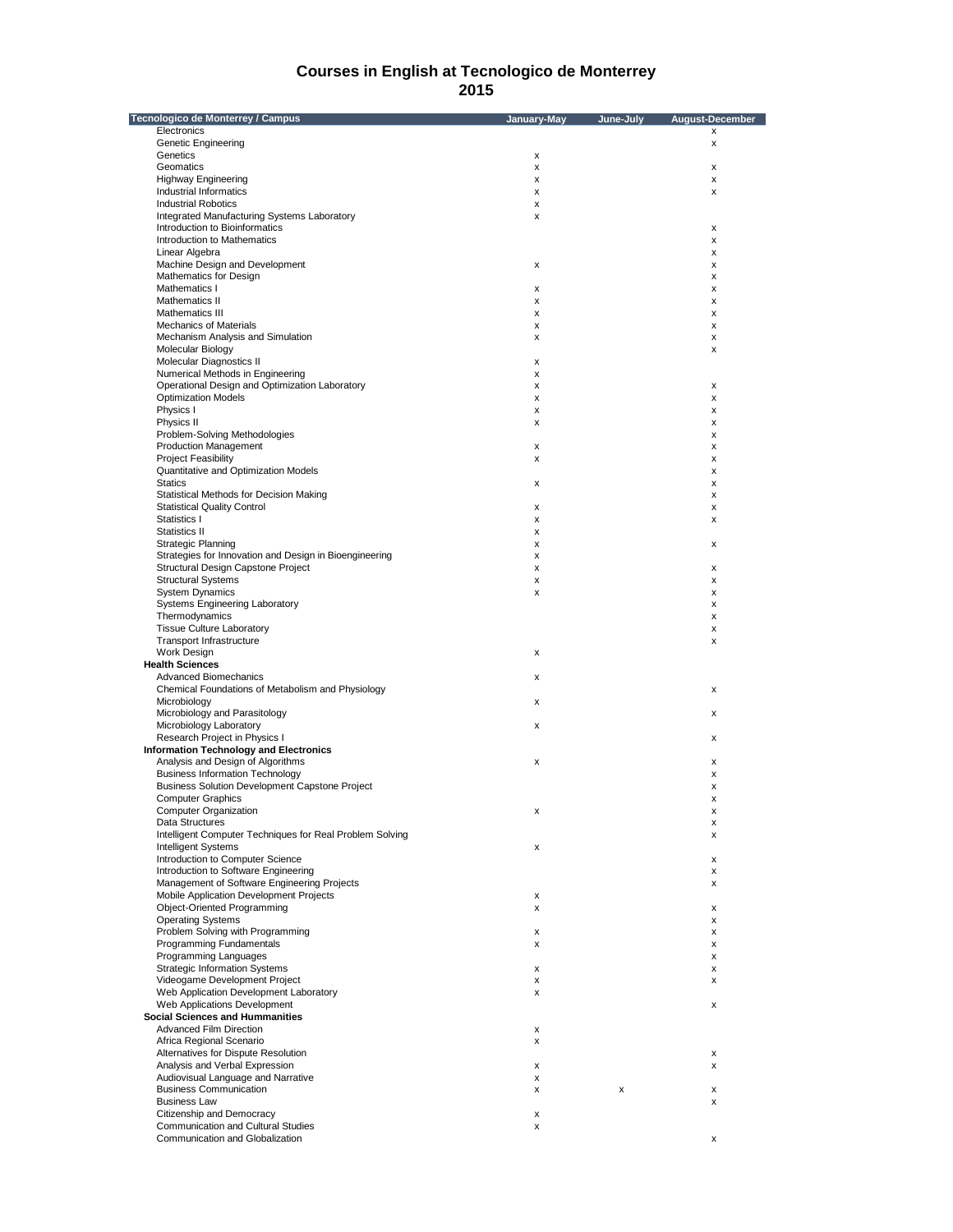| Tecnologico de Monterrey / Campus                        | January-May | June-July | August-December    |
|----------------------------------------------------------|-------------|-----------|--------------------|
| Electronics                                              |             |           | X                  |
| <b>Genetic Engineering</b>                               |             |           | X                  |
| Genetics                                                 | х           |           |                    |
| Geomatics                                                | x           |           | x                  |
| <b>Highway Engineering</b>                               | X           |           | x                  |
| <b>Industrial Informatics</b>                            | x           |           | x                  |
| <b>Industrial Robotics</b>                               | X           |           |                    |
| Integrated Manufacturing Systems Laboratory              | x           |           |                    |
| Introduction to Bioinformatics                           |             |           | x                  |
| Introduction to Mathematics                              |             |           | x                  |
| Linear Algebra                                           |             |           | x                  |
| Machine Design and Development                           | х           |           | x                  |
| Mathematics for Design                                   |             |           | x                  |
| Mathematics I                                            | x           |           | x                  |
| Mathematics II                                           | x           |           | x                  |
| Mathematics III                                          | x           |           | x                  |
| <b>Mechanics of Materials</b>                            | х           |           | X                  |
| Mechanism Analysis and Simulation                        | x           |           | x                  |
| Molecular Biology                                        |             |           | x                  |
| Molecular Diagnostics II                                 | X           |           |                    |
| Numerical Methods in Engineering                         | x           |           |                    |
| Operational Design and Optimization Laboratory           | x           |           | x                  |
| <b>Optimization Models</b>                               | x           |           | x                  |
| Physics I                                                | x           |           | x                  |
| Physics II                                               | X           |           | x                  |
| Problem-Solving Methodologies                            |             |           | х                  |
| <b>Production Management</b>                             | x           |           | x                  |
| <b>Project Feasibility</b>                               | x           |           | x                  |
| Quantitative and Optimization Models                     |             |           | x                  |
| <b>Statics</b>                                           | X           |           | x                  |
| Statistical Methods for Decision Making                  |             |           |                    |
| <b>Statistical Quality Control</b>                       | x           |           | х                  |
| Statistics I                                             |             |           | x                  |
|                                                          | x           |           | x                  |
| Statistics II                                            | x           |           |                    |
| <b>Strategic Planning</b>                                | X           |           | x                  |
| Strategies for Innovation and Design in Bioengineering   | x           |           |                    |
| Structural Design Capstone Project                       | x           |           | X                  |
| <b>Structural Systems</b>                                | x           |           | x                  |
| <b>System Dynamics</b>                                   | x           |           | x                  |
| <b>Systems Engineering Laboratory</b>                    |             |           | x                  |
| Thermodynamics                                           |             |           | х                  |
| <b>Tissue Culture Laboratory</b>                         |             |           | x                  |
| <b>Transport Infrastructure</b>                          |             |           | x                  |
| Work Design                                              | x           |           |                    |
| <b>Health Sciences</b>                                   |             |           |                    |
| <b>Advanced Biomechanics</b>                             | x           |           |                    |
| Chemical Foundations of Metabolism and Physiology        |             |           | X                  |
| Microbiology                                             | x           |           |                    |
| Microbiology and Parasitology                            |             |           | x                  |
| Microbiology Laboratory                                  | x           |           |                    |
| Research Project in Physics I                            |             |           | x                  |
| <b>Information Technology and Electronics</b>            |             |           |                    |
| Analysis and Design of Algorithms                        | x           |           | x                  |
| <b>Business Information Technology</b>                   |             |           | x                  |
| <b>Business Solution Development Capstone Project</b>    |             |           | x                  |
| <b>Computer Graphics</b>                                 |             |           | х                  |
| Computer Organization                                    | X           |           | x                  |
| Data Structures                                          |             |           | х                  |
| Intelligent Computer Techniques for Real Problem Solving |             |           | x                  |
| Intelligent Systems                                      | x           |           |                    |
| Introduction to Computer Science                         |             |           | x                  |
| Introduction to Software Engineering                     |             |           | x                  |
| Management of Software Engineering Projects              |             |           | x                  |
| Mobile Application Development Projects                  |             |           |                    |
| Object-Oriented Programming                              | x           |           |                    |
|                                                          | x           |           | х                  |
| <b>Operating Systems</b>                                 |             |           | x                  |
| Problem Solving with Programming                         | x           |           | х                  |
| Programming Fundamentals                                 | x           |           | x                  |
| Programming Languages                                    |             |           | x                  |
| <b>Strategic Information Systems</b>                     | x           |           | х                  |
| Videogame Development Project                            | x           |           | x                  |
| Web Application Development Laboratory                   | x           |           |                    |
| Web Applications Development                             |             |           | х                  |
| <b>Social Sciences and Hummanities</b>                   |             |           |                    |
| <b>Advanced Film Direction</b>                           | x           |           |                    |
| Africa Regional Scenario                                 | x           |           |                    |
| Alternatives for Dispute Resolution                      |             |           | $\pmb{\mathsf{x}}$ |
| Analysis and Verbal Expression                           | х           |           | x                  |
| Audiovisual Language and Narrative                       | x           |           |                    |
| <b>Business Communication</b>                            | x           | x         | х                  |
| <b>Business Law</b>                                      |             |           | x                  |
| Citizenship and Democracy                                | x           |           |                    |
| <b>Communication and Cultural Studies</b>                | x           |           |                    |
| Communication and Globalization                          |             |           | x                  |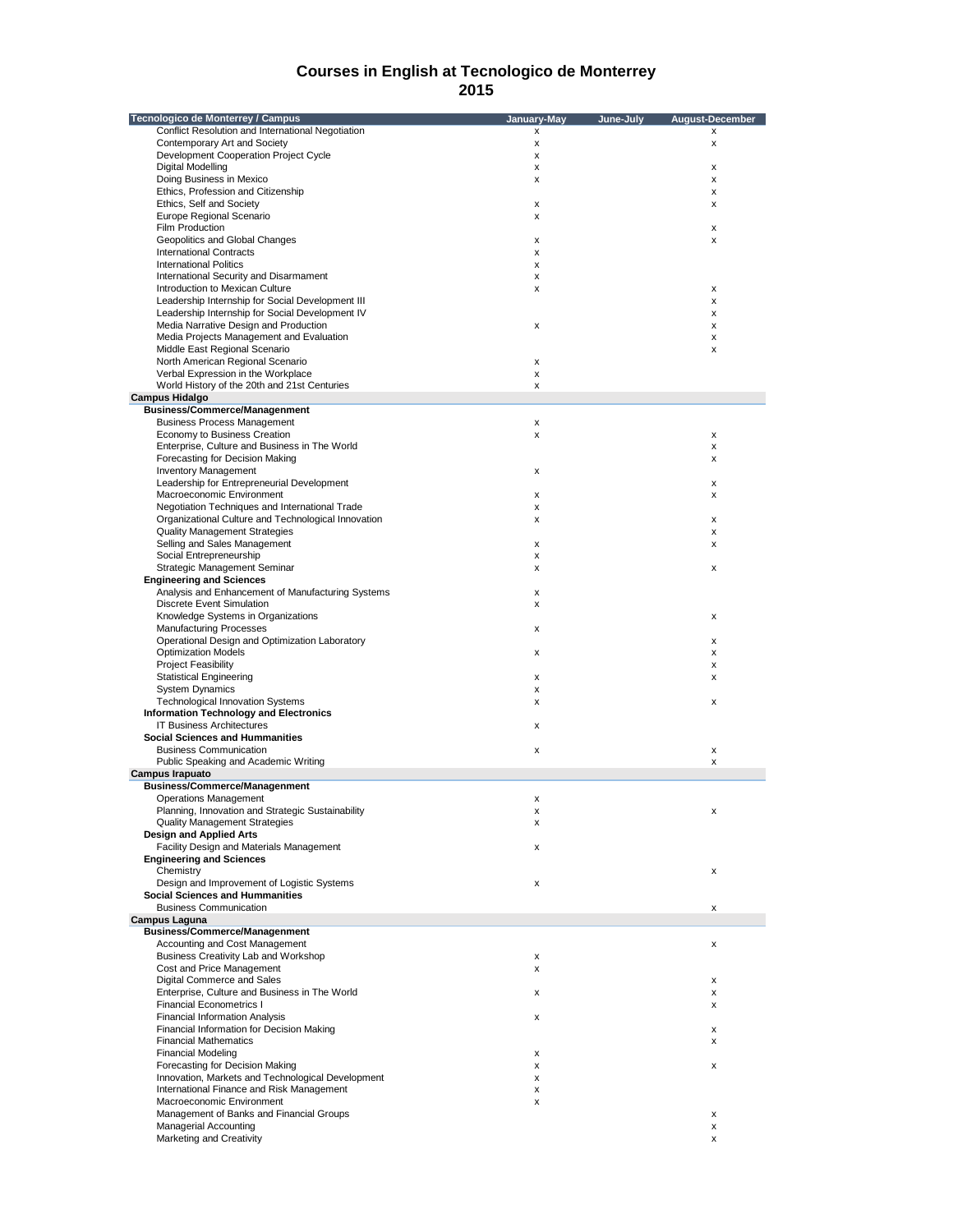| Tecnologico de Monterrey / Campus                   | January-May | June-July | <b>August-December</b>    |
|-----------------------------------------------------|-------------|-----------|---------------------------|
| Conflict Resolution and International Negotiation   | x           |           | х                         |
| Contemporary Art and Society                        | x           |           | X                         |
| Development Cooperation Project Cycle               | x           |           |                           |
| Digital Modelling                                   | x           |           | X                         |
| Doing Business in Mexico                            | x           |           | $\boldsymbol{\mathsf{x}}$ |
| Ethics, Profession and Citizenship                  |             |           | х                         |
| Ethics, Self and Society                            | x           |           | x                         |
| Europe Regional Scenario                            | x           |           |                           |
| Film Production                                     |             |           | x                         |
| Geopolitics and Global Changes                      | x           |           | X                         |
| <b>International Contracts</b>                      | x           |           |                           |
| <b>International Politics</b>                       |             |           |                           |
|                                                     | x           |           |                           |
| International Security and Disarmament              | x           |           |                           |
| Introduction to Mexican Culture                     | x           |           | X                         |
| Leadership Internship for Social Development III    |             |           | $\boldsymbol{\mathsf{x}}$ |
| Leadership Internship for Social Development IV     |             |           | x                         |
| Media Narrative Design and Production               | x           |           | x                         |
| Media Projects Management and Evaluation            |             |           | x                         |
| Middle East Regional Scenario                       |             |           | X                         |
| North American Regional Scenario                    | x           |           |                           |
| Verbal Expression in the Workplace                  | x           |           |                           |
| World History of the 20th and 21st Centuries        | x           |           |                           |
| <b>Campus Hidalgo</b>                               |             |           |                           |
| <b>Business/Commerce/Managenment</b>                |             |           |                           |
| <b>Business Process Management</b>                  | x           |           |                           |
|                                                     |             |           |                           |
| Economy to Business Creation                        | x           |           | x                         |
| Enterprise, Culture and Business in The World       |             |           | x                         |
| Forecasting for Decision Making                     |             |           | х                         |
| <b>Inventory Management</b>                         | x           |           |                           |
| Leadership for Entrepreneurial Development          |             |           | x                         |
| Macroeconomic Environment                           | x           |           | x                         |
| Negotiation Techniques and International Trade      | x           |           |                           |
| Organizational Culture and Technological Innovation | x           |           | х                         |
| <b>Quality Management Strategies</b>                |             |           | x                         |
| Selling and Sales Management                        | x           |           | x                         |
| Social Entrepreneurship                             | x           |           |                           |
| Strategic Management Seminar                        | x           |           | x                         |
| <b>Engineering and Sciences</b>                     |             |           |                           |
| Analysis and Enhancement of Manufacturing Systems   | x           |           |                           |
| <b>Discrete Event Simulation</b>                    | x           |           |                           |
|                                                     |             |           |                           |
| Knowledge Systems in Organizations                  |             |           | x                         |
| <b>Manufacturing Processes</b>                      | x           |           |                           |
| Operational Design and Optimization Laboratory      |             |           | х                         |
| <b>Optimization Models</b>                          | x           |           | x                         |
| <b>Project Feasibility</b>                          |             |           | x                         |
| <b>Statistical Engineering</b>                      | x           |           | x                         |
| <b>System Dynamics</b>                              | x           |           |                           |
| <b>Technological Innovation Systems</b>             | x           |           | x                         |
| <b>Information Technology and Electronics</b>       |             |           |                           |
| <b>IT Business Architectures</b>                    | x           |           |                           |
| <b>Social Sciences and Hummanities</b>              |             |           |                           |
| <b>Business Communication</b>                       | x           |           | $\pmb{\mathsf{x}}$        |
| Public Speaking and Academic Writing                |             |           | x                         |
| <b>Campus Irapuato</b>                              |             |           |                           |
| <b>Business/Commerce/Managenment</b>                |             |           |                           |
|                                                     |             |           |                           |
| <b>Operations Management</b>                        | x           |           |                           |
| Planning, Innovation and Strategic Sustainability   |             |           |                           |
| <b>Quality Management Strategies</b>                | x           |           |                           |
| <b>Design and Applied Arts</b>                      |             |           |                           |
| Facility Design and Materials Management            | x           |           |                           |
| <b>Engineering and Sciences</b>                     |             |           |                           |
| Chemistry                                           |             |           | x                         |
| Design and Improvement of Logistic Systems          | x           |           |                           |
| <b>Social Sciences and Hummanities</b>              |             |           |                           |
| <b>Business Communication</b>                       |             |           | х                         |
| <b>Campus Laguna</b>                                |             |           |                           |
| <b>Business/Commerce/Managenment</b>                |             |           |                           |
| Accounting and Cost Management                      |             |           | х                         |
| Business Creativity Lab and Workshop                | x           |           |                           |
| Cost and Price Management                           | x           |           |                           |
| Digital Commerce and Sales                          |             |           |                           |
| Enterprise, Culture and Business in The World       |             |           | x                         |
|                                                     | x           |           | х                         |
| <b>Financial Econometrics I</b>                     |             |           | х                         |
| <b>Financial Information Analysis</b>               | x           |           |                           |
| Financial Information for Decision Making           |             |           | x                         |
| <b>Financial Mathematics</b>                        |             |           | x                         |
| <b>Financial Modeling</b>                           | x           |           |                           |
| Forecasting for Decision Making                     | x           |           | x                         |
| Innovation, Markets and Technological Development   | x           |           |                           |
| International Finance and Risk Management           | x           |           |                           |
| Macroeconomic Environment                           | x           |           |                           |
| Management of Banks and Financial Groups            |             |           |                           |
|                                                     |             |           | х                         |
| <b>Managerial Accounting</b>                        |             |           | х                         |
| Marketing and Creativity                            |             |           | x                         |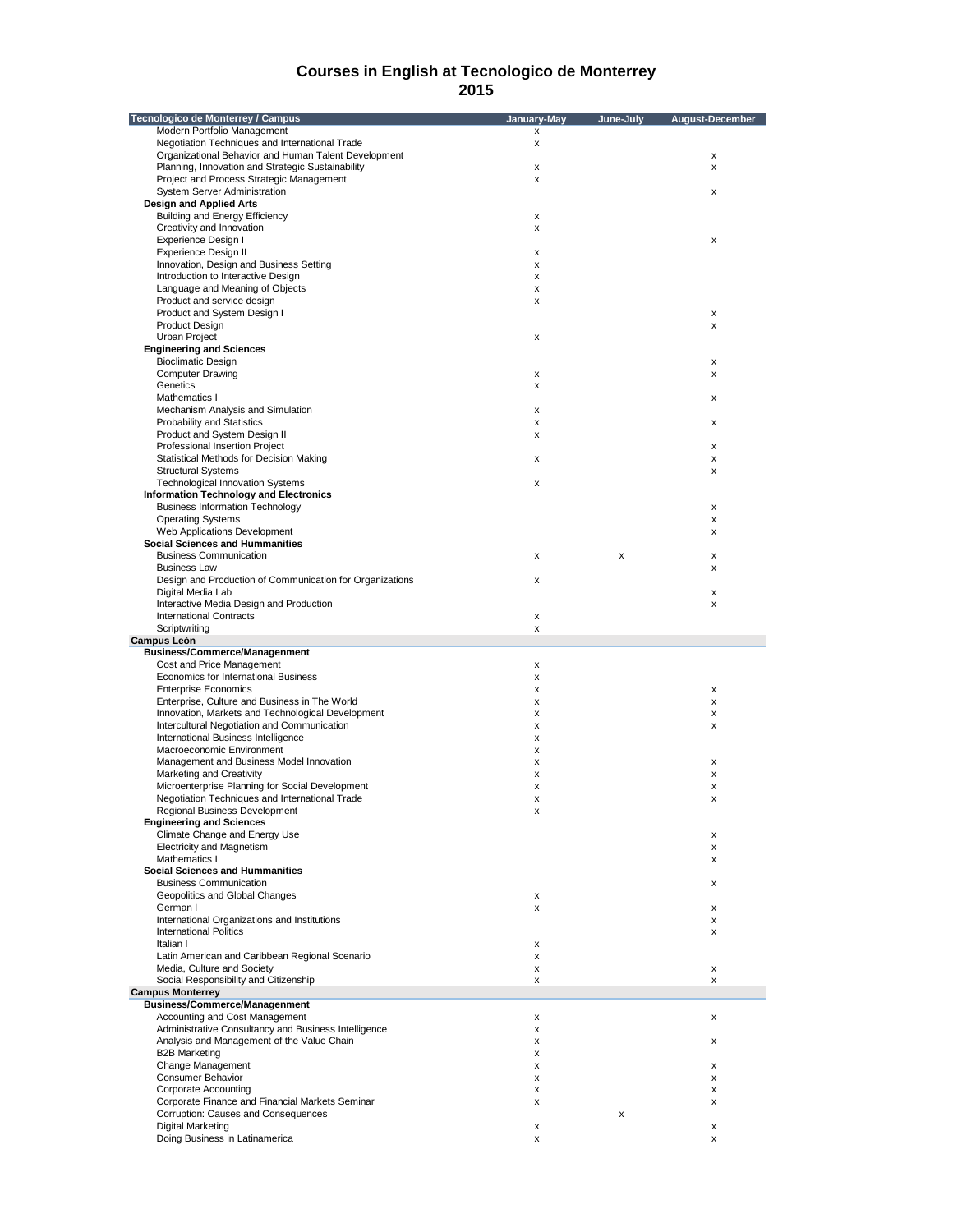| Tecnologico de Monterrey / Campus                        | January-May | June-July | <b>August-December</b> |
|----------------------------------------------------------|-------------|-----------|------------------------|
| Modern Portfolio Management                              | x           |           |                        |
| Negotiation Techniques and International Trade           | x           |           |                        |
| Organizational Behavior and Human Talent Development     |             |           | x                      |
| Planning, Innovation and Strategic Sustainability        | x           |           | x                      |
| Project and Process Strategic Management                 | x           |           |                        |
| System Server Administration                             |             |           | x                      |
| <b>Design and Applied Arts</b>                           |             |           |                        |
| <b>Building and Energy Efficiency</b>                    | x           |           |                        |
| Creativity and Innovation                                | x           |           |                        |
| Experience Design I                                      |             |           | x                      |
| Experience Design II                                     | x           |           |                        |
| Innovation, Design and Business Setting                  | x           |           |                        |
| Introduction to Interactive Design                       | x           |           |                        |
| Language and Meaning of Objects                          | x           |           |                        |
| Product and service design                               |             |           |                        |
| Product and System Design I                              | x           |           | X                      |
| <b>Product Design</b>                                    |             |           | x                      |
| <b>Urban Project</b>                                     |             |           |                        |
| <b>Engineering and Sciences</b>                          | x           |           |                        |
| <b>Bioclimatic Design</b>                                |             |           |                        |
|                                                          |             |           | x                      |
| <b>Computer Drawing</b>                                  | x           |           | x                      |
| Genetics                                                 | x           |           |                        |
| Mathematics I                                            |             |           | x                      |
| Mechanism Analysis and Simulation                        | x           |           |                        |
| Probability and Statistics                               | x           |           | x                      |
| Product and System Design II                             | x           |           |                        |
| Professional Insertion Project                           |             |           | x                      |
| Statistical Methods for Decision Making                  | x           |           | x                      |
| <b>Structural Systems</b>                                |             |           | x                      |
| <b>Technological Innovation Systems</b>                  | x           |           |                        |
| <b>Information Technology and Electronics</b>            |             |           |                        |
| <b>Business Information Technology</b>                   |             |           | x                      |
| <b>Operating Systems</b>                                 |             |           | x                      |
| Web Applications Development                             |             |           | x                      |
| <b>Social Sciences and Hummanities</b>                   |             |           |                        |
| <b>Business Communication</b>                            | x           | x         | x                      |
| <b>Business Law</b>                                      |             |           | x                      |
| Design and Production of Communication for Organizations | x           |           |                        |
| Digital Media Lab                                        |             |           | x                      |
| Interactive Media Design and Production                  |             |           | x                      |
| <b>International Contracts</b>                           | x           |           |                        |
| Scriptwriting                                            | x           |           |                        |
| Campus León                                              |             |           |                        |
| <b>Business/Commerce/Managenment</b>                     |             |           |                        |
| Cost and Price Management                                | x           |           |                        |
| Economics for International Business                     | x           |           |                        |
| <b>Enterprise Economics</b>                              | x           |           | x                      |
| Enterprise, Culture and Business in The World            | x           |           | x                      |
| Innovation, Markets and Technological Development        | x           |           | x                      |
| Intercultural Negotiation and Communication              | x           |           | x                      |
| International Business Intelligence                      | x           |           |                        |
| Macroeconomic Environment                                | x           |           |                        |
| Management and Business Model Innovation                 | x           |           | x                      |
| Marketing and Creativity                                 | x           |           | x                      |
| Microenterprise Planning for Social Development          | x           |           | x                      |
| Negotiation Techniques and International Trade           | x           |           | x                      |
| Regional Business Development                            | x           |           |                        |
| <b>Engineering and Sciences</b>                          |             |           |                        |
| Climate Change and Energy Use                            |             |           | x                      |
| <b>Electricity and Magnetism</b>                         |             |           | X                      |
| Mathematics I                                            |             |           | x                      |
| <b>Social Sciences and Hummanities</b>                   |             |           |                        |
| <b>Business Communication</b>                            |             |           | x                      |
| Geopolitics and Global Changes                           | x           |           |                        |
| German I                                                 | x           |           | x                      |
| International Organizations and Institutions             |             |           | x                      |
| <b>International Politics</b>                            |             |           | x                      |
| Italian I                                                | x           |           |                        |
| Latin American and Caribbean Regional Scenario           | x           |           |                        |
| Media, Culture and Society                               | x           |           | x                      |
| Social Responsibility and Citizenship                    | x           |           | x                      |
| <b>Campus Monterrey</b>                                  |             |           |                        |
| <b>Business/Commerce/Managenment</b>                     |             |           |                        |
| Accounting and Cost Management                           | x           |           | x                      |
| Administrative Consultancy and Business Intelligence     | x           |           |                        |
| Analysis and Management of the Value Chain               | x           |           | x                      |
| <b>B2B Marketing</b>                                     | x           |           |                        |
| Change Management                                        | x           |           | x                      |
| Consumer Behavior                                        | x           |           | x                      |
| <b>Corporate Accounting</b>                              | x           |           | x                      |
| Corporate Finance and Financial Markets Seminar          | x           |           | x                      |
| Corruption: Causes and Consequences                      |             | x         |                        |
| <b>Digital Marketing</b>                                 | x           |           | x                      |
| Doing Business in Latinamerica                           | x           |           | x                      |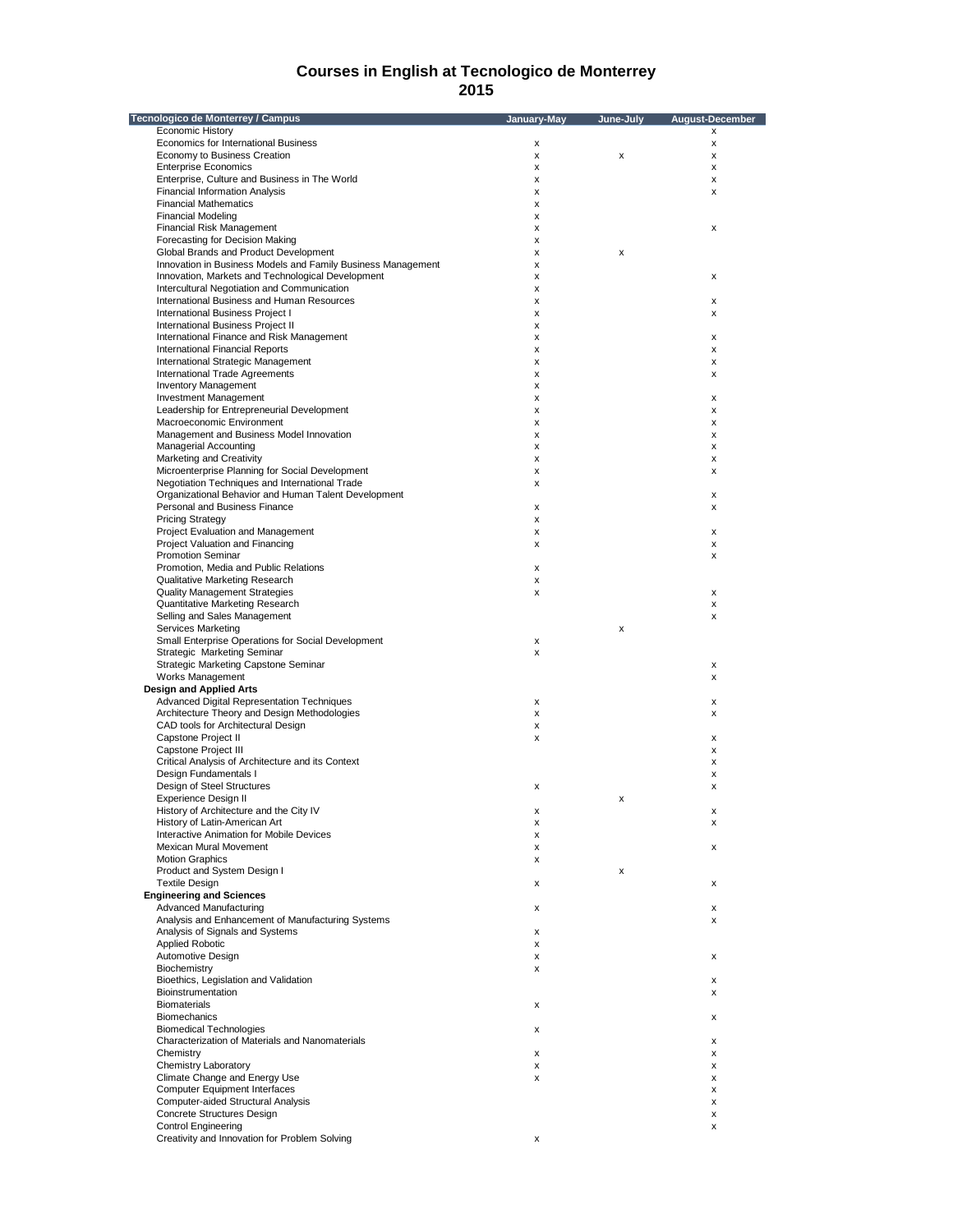| Tecnologico de Monterrey / Campus                            | January-May | June-July | <b>August-December</b> |
|--------------------------------------------------------------|-------------|-----------|------------------------|
| Economic History                                             |             |           | X                      |
| Economics for International Business                         | x           |           | X                      |
| Economy to Business Creation                                 | x           | x         | X                      |
| <b>Enterprise Economics</b>                                  | x           |           | x                      |
| Enterprise, Culture and Business in The World                | x           |           | x                      |
| <b>Financial Information Analysis</b>                        | x           |           | x                      |
| <b>Financial Mathematics</b>                                 | x           |           |                        |
| <b>Financial Modeling</b>                                    | x           |           |                        |
| Financial Risk Management                                    | x           |           | x                      |
| Forecasting for Decision Making                              | x           |           |                        |
| Global Brands and Product Development                        | x           | x         |                        |
| Innovation in Business Models and Family Business Management | x           |           |                        |
| Innovation, Markets and Technological Development            | x           |           | x                      |
| Intercultural Negotiation and Communication                  | x           |           |                        |
| International Business and Human Resources                   | x           |           | x                      |
| International Business Project I                             | x           |           | x                      |
| <b>International Business Project II</b>                     | x           |           |                        |
| International Finance and Risk Management                    | x           |           | х                      |
| <b>International Financial Reports</b>                       | x           |           | x                      |
| International Strategic Management                           | x           |           | x                      |
| International Trade Agreements                               | x           |           | x                      |
| <b>Inventory Management</b>                                  | x           |           |                        |
| <b>Investment Management</b>                                 | x           |           | x                      |
| Leadership for Entrepreneurial Development                   | x           |           | x                      |
| Macroeconomic Environment                                    | x           |           | x                      |
| Management and Business Model Innovation                     | x           |           | x                      |
| <b>Managerial Accounting</b>                                 | x           |           | х                      |
| Marketing and Creativity                                     | x           |           | x                      |
| Microenterprise Planning for Social Development              | x           |           | x                      |
| Negotiation Techniques and International Trade               | x           |           |                        |
| Organizational Behavior and Human Talent Development         |             |           | x                      |
| Personal and Business Finance                                | x           |           | x                      |
| <b>Pricing Strategy</b>                                      | x           |           |                        |
| Project Evaluation and Management                            | x           |           | x                      |
| Project Valuation and Financing                              | x           |           | x                      |
| <b>Promotion Seminar</b>                                     |             |           | x                      |
| Promotion, Media and Public Relations                        | x           |           |                        |
| Qualitative Marketing Research                               | x           |           |                        |
| Quality Management Strategies                                | x           |           | x                      |
| Quantitative Marketing Research                              |             |           | x                      |
| Selling and Sales Management                                 |             |           | x                      |
| Services Marketing                                           |             | X         |                        |
| Small Enterprise Operations for Social Development           | х           |           |                        |
| Strategic Marketing Seminar                                  | x           |           |                        |
| <b>Strategic Marketing Capstone Seminar</b>                  |             |           | х                      |
| Works Management                                             |             |           | x                      |
| <b>Design and Applied Arts</b>                               |             |           |                        |
| Advanced Digital Representation Techniques                   | x           |           | х                      |
| Architecture Theory and Design Methodologies                 | x           |           | x                      |
| CAD tools for Architectural Design                           | x           |           |                        |
| Capstone Project II                                          | x           |           | х                      |
| Capstone Project III                                         |             |           | x                      |
| Critical Analysis of Architecture and its Context            |             |           | х                      |
| Design Fundamentals I                                        |             |           | x                      |
| Design of Steel Structures                                   | x           |           | x                      |
| Experience Design II                                         |             | x         |                        |
| History of Architecture and the City IV                      | X           |           | X                      |
| History of Latin-American Art                                | x           |           | x                      |
| Interactive Animation for Mobile Devices                     | x           |           |                        |
| Mexican Mural Movement                                       | x           |           | х                      |
| <b>Motion Graphics</b>                                       | x           |           |                        |
| Product and System Design I                                  |             | x         |                        |
| <b>Textile Design</b>                                        | x           |           | х                      |
| <b>Engineering and Sciences</b>                              |             |           |                        |
| Advanced Manufacturing                                       | x           |           | х                      |
| Analysis and Enhancement of Manufacturing Systems            |             |           | x                      |
| Analysis of Signals and Systems                              | x           |           |                        |
| <b>Applied Robotic</b>                                       | x           |           |                        |
| Automotive Design                                            | x           |           | x                      |
| Biochemistry                                                 | x           |           |                        |
| Bioethics, Legislation and Validation                        |             |           | x                      |
| Bioinstrumentation                                           |             |           | x                      |
| <b>Biomaterials</b>                                          | x           |           |                        |
| <b>Biomechanics</b>                                          |             |           | x                      |
| <b>Biomedical Technologies</b>                               | x           |           |                        |
| Characterization of Materials and Nanomaterials              |             |           | х                      |
| Chemistry                                                    | x           |           | х                      |
| Chemistry Laboratory                                         | x           |           | x                      |
| Climate Change and Energy Use                                | x           |           | x                      |
| <b>Computer Equipment Interfaces</b>                         |             |           | x                      |
| Computer-aided Structural Analysis                           |             |           | х                      |
| Concrete Structures Design                                   |             |           | x                      |
| <b>Control Engineering</b>                                   |             |           | x                      |
| Creativity and Innovation for Problem Solving                | x           |           |                        |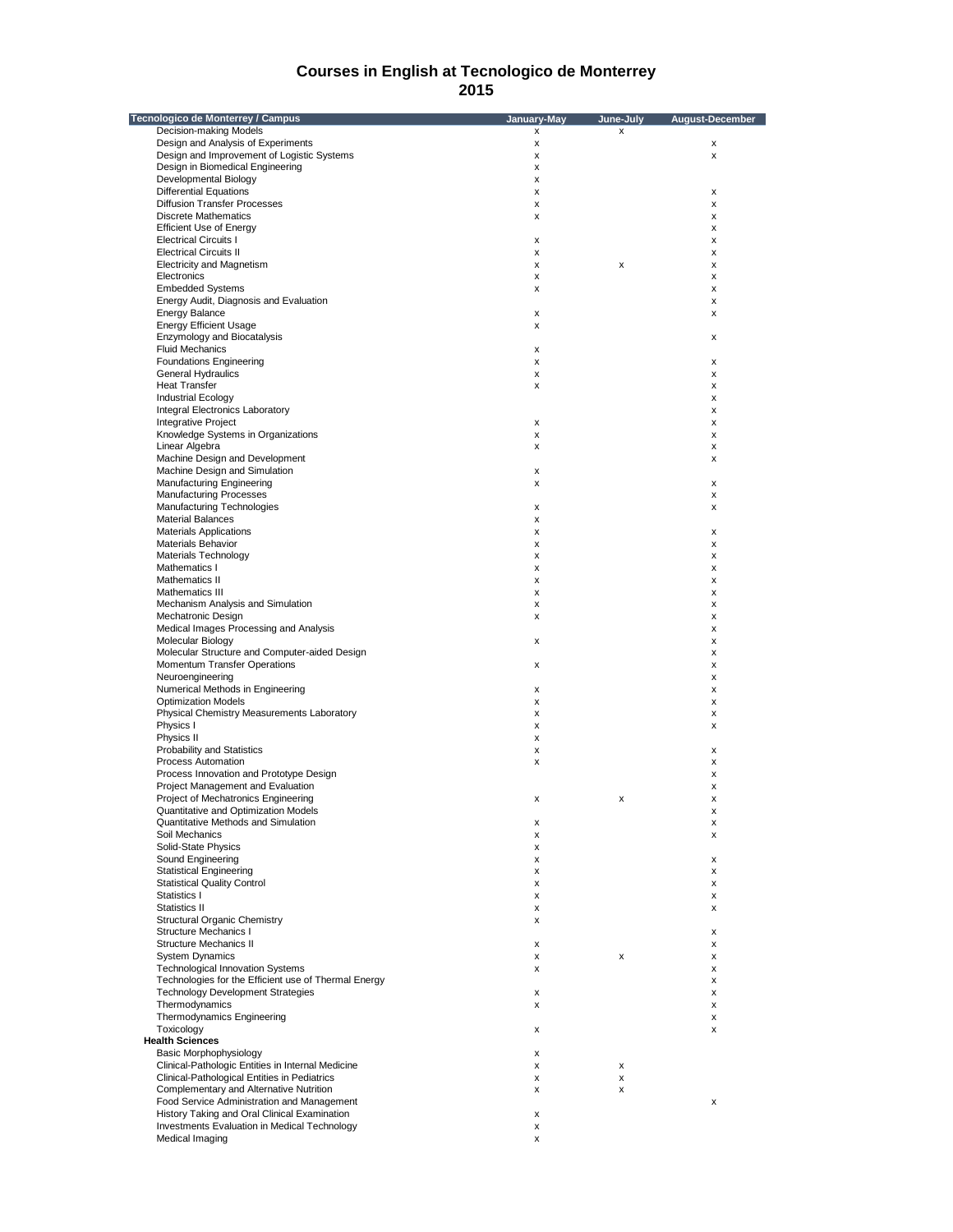| Tecnologico de Monterrey / Campus                    | January-May | June-July | August-December    |
|------------------------------------------------------|-------------|-----------|--------------------|
| Decision-making Models                               | x           | x         |                    |
| Design and Analysis of Experiments                   | x           |           | х                  |
| Design and Improvement of Logistic Systems           | x           |           | X                  |
| Design in Biomedical Engineering                     | x           |           |                    |
| Developmental Biology                                | x           |           |                    |
| <b>Differential Equations</b>                        | x           |           | х                  |
| <b>Diffusion Transfer Processes</b>                  | x           |           | х                  |
| <b>Discrete Mathematics</b>                          | x           |           | х                  |
| <b>Efficient Use of Energy</b>                       |             |           | х                  |
| <b>Electrical Circuits I</b>                         | x           |           | х                  |
| <b>Electrical Circuits II</b>                        | x           |           | х                  |
| <b>Electricity and Magnetism</b>                     | x           | x         | х                  |
| Electronics                                          | x           |           | x                  |
| <b>Embedded Systems</b>                              | x           |           | X                  |
| Energy Audit, Diagnosis and Evaluation               |             |           | х                  |
| <b>Energy Balance</b>                                | x           |           | х                  |
| <b>Energy Efficient Usage</b>                        | x           |           |                    |
| Enzymology and Biocatalysis                          |             |           | х                  |
| <b>Fluid Mechanics</b>                               | x           |           |                    |
| <b>Foundations Engineering</b>                       | x           |           | х                  |
| <b>General Hydraulics</b>                            | x           |           | х                  |
| <b>Heat Transfer</b>                                 | x           |           | x                  |
| <b>Industrial Ecology</b>                            |             |           | х                  |
| <b>Integral Electronics Laboratory</b>               |             |           | х                  |
| Integrative Project                                  | x           |           | х                  |
| Knowledge Systems in Organizations                   | x           |           | х                  |
| Linear Algebra                                       | x           |           | х                  |
| Machine Design and Development                       |             |           | x                  |
| Machine Design and Simulation                        | x           |           |                    |
| <b>Manufacturing Engineering</b>                     | x           |           | х                  |
| <b>Manufacturing Processes</b>                       |             |           | x                  |
| Manufacturing Technologies                           | x           |           | x                  |
| <b>Material Balances</b>                             | x           |           |                    |
| <b>Materials Applications</b>                        | x           |           | X                  |
|                                                      |             |           |                    |
| Materials Behavior                                   | x           |           | х                  |
| Materials Technology                                 | x           |           | х                  |
| Mathematics I                                        | x           |           | х                  |
| Mathematics II                                       | x           |           | х                  |
| Mathematics III                                      | x           |           | х                  |
| Mechanism Analysis and Simulation                    | x           |           | х                  |
| Mechatronic Design                                   | x           |           | х                  |
| Medical Images Processing and Analysis               |             |           | x                  |
| Molecular Biology                                    | x           |           | х                  |
| Molecular Structure and Computer-aided Design        |             |           | х                  |
| Momentum Transfer Operations                         | x           |           | х                  |
| Neuroengineering                                     |             |           | x                  |
| Numerical Methods in Engineering                     | x           |           | х                  |
| <b>Optimization Models</b>                           | x           |           | х                  |
| Physical Chemistry Measurements Laboratory           | x           |           | х                  |
| Physics I                                            | x           |           | х                  |
| Physics II                                           | x           |           |                    |
| <b>Probability and Statistics</b>                    | x           |           | х                  |
| Process Automation                                   | x           |           | х                  |
| Process Innovation and Prototype Design              |             |           | х                  |
| Project Management and Evaluation                    |             |           | x                  |
| Project of Mechatronics Engineering                  | х           | x         | x                  |
| Quantitative and Optimization Models                 |             |           | х                  |
| Quantitative Methods and Simulation                  | x           |           | x                  |
| Soil Mechanics                                       | x           |           | x                  |
| Solid-State Physics                                  | x           |           |                    |
| Sound Engineering                                    | x           |           | x                  |
| <b>Statistical Engineering</b>                       | x           |           | x                  |
| <b>Statistical Quality Control</b>                   | x           |           | x                  |
| Statistics I                                         | x           |           | x                  |
| Statistics II                                        | x           |           | x                  |
| <b>Structural Organic Chemistry</b>                  | x           |           |                    |
| <b>Structure Mechanics I</b>                         |             |           | x                  |
| <b>Structure Mechanics II</b>                        | x           |           | x                  |
| <b>System Dynamics</b>                               | x           | x         | х                  |
| <b>Technological Innovation Systems</b>              | x           |           | x                  |
| Technologies for the Efficient use of Thermal Energy |             |           | x                  |
| <b>Technology Development Strategies</b>             | x           |           | x                  |
| Thermodynamics                                       | x           |           | x                  |
| Thermodynamics Engineering                           |             |           | $\pmb{\mathsf{x}}$ |
| Toxicology                                           | x           |           | x                  |
| <b>Health Sciences</b>                               |             |           |                    |
| Basic Morphophysiology                               | x           |           |                    |
| Clinical-Pathologic Entities in Internal Medicine    | x           | x         |                    |
| Clinical-Pathological Entities in Pediatrics         | x           | x         |                    |
| Complementary and Alternative Nutrition              |             |           |                    |
|                                                      | x           | x         |                    |
| Food Service Administration and Management           |             |           | x                  |
| History Taking and Oral Clinical Examination         | x           |           |                    |
| Investments Evaluation in Medical Technology         | x           |           |                    |
| Medical Imaging                                      | x           |           |                    |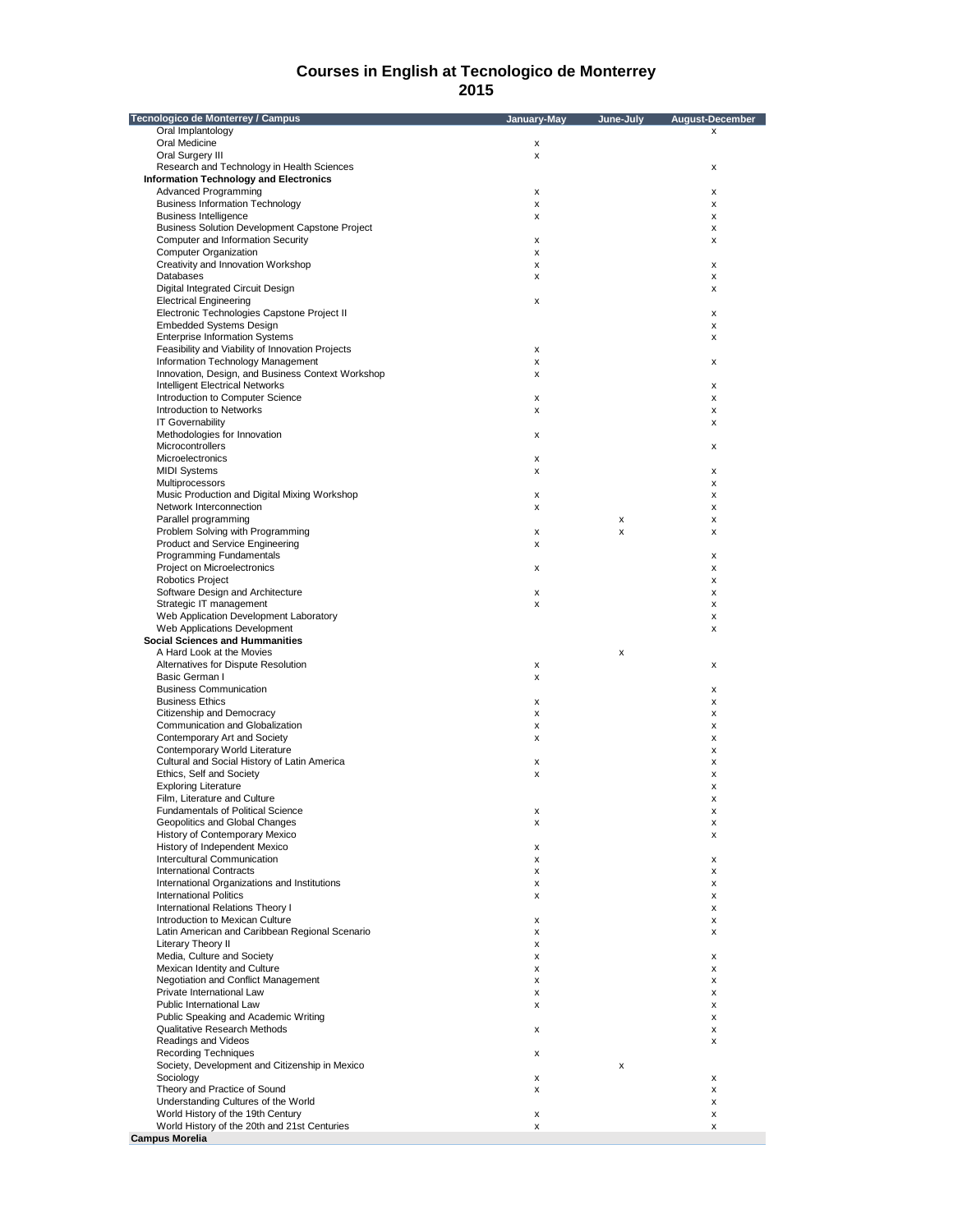| Tecnologico de Monterrey / Campus                                                 | January-May | June-July | August-December    |
|-----------------------------------------------------------------------------------|-------------|-----------|--------------------|
| Oral Implantology                                                                 |             |           | X                  |
| Oral Medicine                                                                     | x           |           |                    |
| Oral Surgery III                                                                  | x           |           |                    |
| Research and Technology in Health Sciences                                        |             |           | х                  |
| <b>Information Technology and Electronics</b>                                     |             |           |                    |
| Advanced Programming                                                              | x           |           | х                  |
| <b>Business Information Technology</b>                                            | x           |           | X                  |
| <b>Business Intelligence</b>                                                      | x           |           | х                  |
| <b>Business Solution Development Capstone Project</b>                             |             |           | х                  |
| Computer and Information Security                                                 | X           |           | X                  |
| <b>Computer Organization</b><br>Creativity and Innovation Workshop                | x           |           |                    |
| Databases                                                                         | x           |           | $\pmb{\times}$     |
| Digital Integrated Circuit Design                                                 | x           |           | х<br>x             |
| <b>Electrical Engineering</b>                                                     | х           |           |                    |
| Electronic Technologies Capstone Project II                                       |             |           | х                  |
| <b>Embedded Systems Design</b>                                                    |             |           | X                  |
| <b>Enterprise Information Systems</b>                                             |             |           | х                  |
| Feasibility and Viability of Innovation Projects                                  | x           |           |                    |
| Information Technology Management                                                 | x           |           | х                  |
| Innovation, Design, and Business Context Workshop                                 | x           |           |                    |
| Intelligent Electrical Networks                                                   |             |           | $\pmb{\times}$     |
| Introduction to Computer Science                                                  | x           |           | х                  |
| <b>Introduction to Networks</b>                                                   | x           |           | х                  |
| <b>IT Governability</b>                                                           |             |           | х                  |
| Methodologies for Innovation                                                      | x           |           |                    |
| Microcontrollers                                                                  |             |           | х                  |
| Microelectronics                                                                  | х           |           |                    |
| <b>MIDI Systems</b>                                                               | x           |           | x                  |
| Multiprocessors                                                                   |             |           | X                  |
| Music Production and Digital Mixing Workshop                                      | x           |           | х                  |
| Network Interconnection                                                           | x           |           | х                  |
| Parallel programming                                                              |             | x         | х                  |
| Problem Solving with Programming                                                  | x           | X         | x                  |
| Product and Service Engineering                                                   | x           |           |                    |
| Programming Fundamentals                                                          |             |           | х                  |
| Project on Microelectronics                                                       | x           |           | х                  |
| Robotics Project                                                                  |             |           | х                  |
| Software Design and Architecture                                                  | x           |           | х                  |
| Strategic IT management                                                           | x           |           | X                  |
| Web Application Development Laboratory                                            |             |           | х                  |
| Web Applications Development                                                      |             |           | х                  |
| <b>Social Sciences and Hummanities</b>                                            |             |           |                    |
| A Hard Look at the Movies                                                         |             | x         |                    |
| Alternatives for Dispute Resolution                                               | X           |           | х                  |
| Basic German I                                                                    | x           |           |                    |
| <b>Business Communication</b>                                                     |             |           | X                  |
| <b>Business Ethics</b>                                                            | х           |           | х                  |
| Citizenship and Democracy                                                         | x           |           | х                  |
| Communication and Globalization                                                   | x           |           | X                  |
| Contemporary Art and Society                                                      | x           |           | x                  |
| Contemporary World Literature                                                     |             |           | х                  |
| Cultural and Social History of Latin America                                      | х           |           | х                  |
| Ethics, Self and Society                                                          | x           |           | x                  |
| <b>Exploring Literature</b>                                                       |             |           | x                  |
| Film, Literature and Culture                                                      |             |           | $\pmb{\times}$     |
| <b>Fundamentals of Political Science</b>                                          | X           |           | $\pmb{\mathsf{x}}$ |
| Geopolitics and Global Changes                                                    | x           |           | х                  |
| History of Contemporary Mexico                                                    |             |           | x                  |
| History of Independent Mexico                                                     | x           |           |                    |
| Intercultural Communication                                                       | x           |           | x                  |
| <b>International Contracts</b>                                                    | x           |           | х                  |
| International Organizations and Institutions                                      | x           |           | х                  |
| <b>International Politics</b>                                                     | x           |           | х                  |
| International Relations Theory I                                                  |             |           | X                  |
| Introduction to Mexican Culture                                                   | x           |           | x                  |
| Latin American and Caribbean Regional Scenario                                    | x           |           | х                  |
| Literary Theory II                                                                | x           |           |                    |
| Media, Culture and Society                                                        | x           |           | х                  |
| Mexican Identity and Culture                                                      | x           |           | х                  |
| Negotiation and Conflict Management                                               | x           |           | х                  |
| Private International Law                                                         | x           |           | х                  |
| Public International Law                                                          | x           |           | х                  |
| Public Speaking and Academic Writing                                              |             |           | х                  |
| Qualitative Research Methods                                                      | x           |           | х                  |
| Readings and Videos                                                               |             |           | х                  |
| <b>Recording Techniques</b>                                                       | x           |           |                    |
| Society, Development and Citizenship in Mexico                                    |             | x         |                    |
| Sociology                                                                         |             |           |                    |
| Theory and Practice of Sound                                                      | x           |           | х                  |
|                                                                                   | x           |           | х                  |
| Understanding Cultures of the World                                               |             |           | х                  |
| World History of the 19th Century<br>World History of the 20th and 21st Centuries | x<br>x      |           | х<br>X             |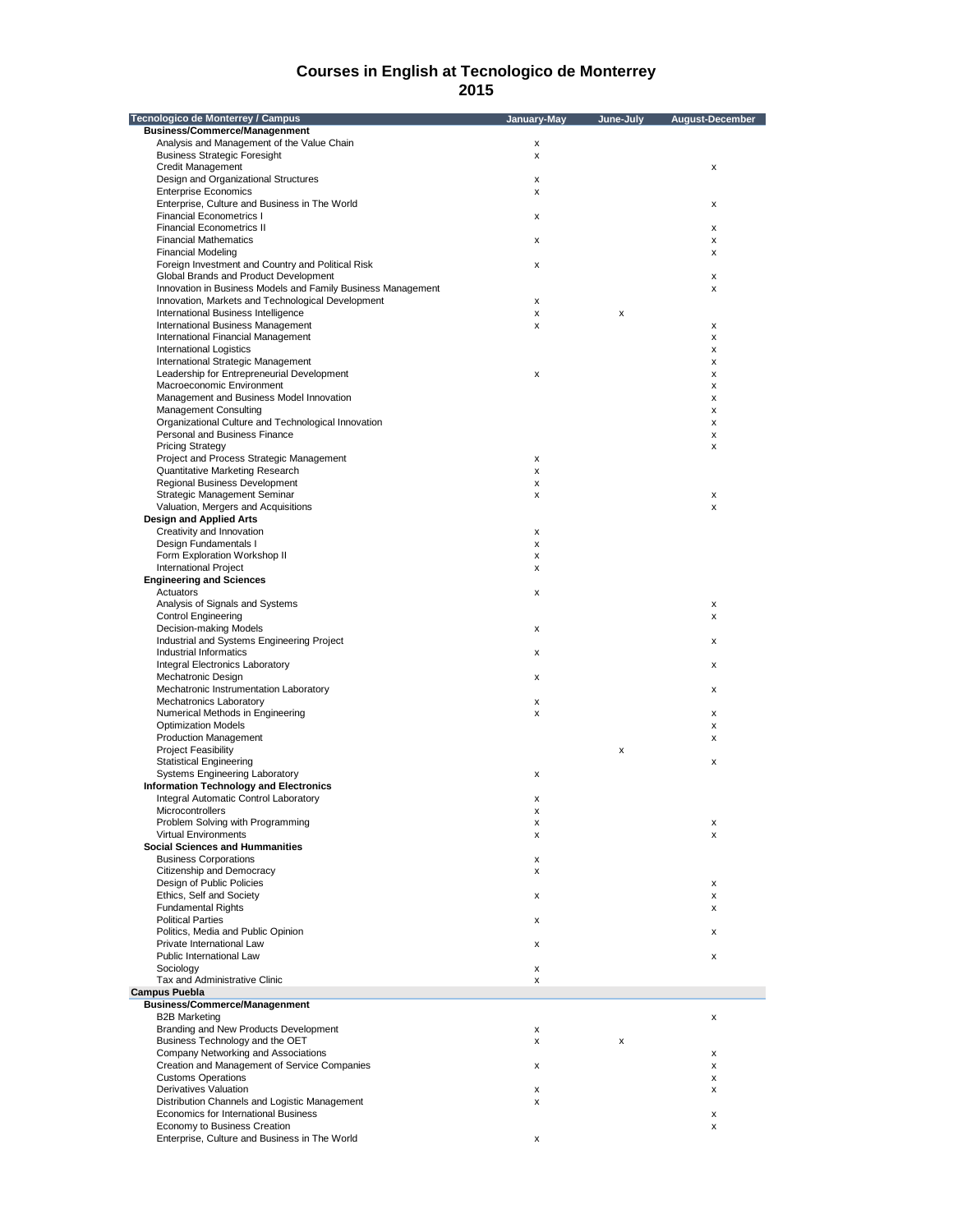| Tecnologico de Monterrey / Campus                            | January-May | June-July | August-December |
|--------------------------------------------------------------|-------------|-----------|-----------------|
| <b>Business/Commerce/Managenment</b>                         |             |           |                 |
| Analysis and Management of the Value Chain                   | х           |           |                 |
| <b>Business Strategic Foresight</b>                          | x           |           |                 |
| <b>Credit Management</b>                                     |             |           | x               |
| Design and Organizational Structures                         | x           |           |                 |
| <b>Enterprise Economics</b>                                  | X           |           |                 |
| Enterprise, Culture and Business in The World                |             |           | х               |
| <b>Financial Econometrics I</b>                              | x           |           |                 |
| <b>Financial Econometrics II</b>                             |             |           | x               |
| <b>Financial Mathematics</b>                                 | x           |           | x               |
| <b>Financial Modeling</b>                                    |             |           | x               |
| Foreign Investment and Country and Political Risk            | x           |           |                 |
| Global Brands and Product Development                        |             |           | x               |
| Innovation in Business Models and Family Business Management |             |           | x               |
| Innovation, Markets and Technological Development            | X           |           |                 |
| International Business Intelligence                          | X           | x         |                 |
| International Business Management                            | x           |           | x               |
| International Financial Management                           |             |           | x               |
| <b>International Logistics</b>                               |             |           | x               |
| International Strategic Management                           |             |           | х               |
| Leadership for Entrepreneurial Development                   | X           |           | x               |
| Macroeconomic Environment                                    |             |           | x               |
| Management and Business Model Innovation                     |             |           | x               |
| <b>Management Consulting</b>                                 |             |           | x               |
| Organizational Culture and Technological Innovation          |             |           |                 |
|                                                              |             |           | х               |
| Personal and Business Finance                                |             |           | x               |
| <b>Pricing Strategy</b>                                      |             |           | x               |
| Project and Process Strategic Management                     | х           |           |                 |
| Quantitative Marketing Research                              | x           |           |                 |
| Regional Business Development                                | x           |           |                 |
| Strategic Management Seminar                                 | х           |           | х               |
| Valuation, Mergers and Acquisitions                          |             |           | x               |
| <b>Design and Applied Arts</b>                               |             |           |                 |
| Creativity and Innovation                                    | х           |           |                 |
| Design Fundamentals I                                        | x           |           |                 |
| Form Exploration Workshop II                                 | х           |           |                 |
| <b>International Project</b>                                 | х           |           |                 |
| <b>Engineering and Sciences</b>                              |             |           |                 |
| Actuators                                                    | x           |           |                 |
| Analysis of Signals and Systems                              |             |           | х               |
| <b>Control Engineering</b>                                   |             |           | x               |
| Decision-making Models                                       | x           |           |                 |
| Industrial and Systems Engineering Project                   |             |           | x               |
| Industrial Informatics                                       | x           |           |                 |
| Integral Electronics Laboratory                              |             |           | х               |
|                                                              |             |           |                 |
| Mechatronic Design<br>Mechatronic Instrumentation Laboratory | x           |           |                 |
|                                                              |             |           | х               |
| <b>Mechatronics Laboratory</b>                               | x           |           |                 |
| Numerical Methods in Engineering                             | x           |           | x               |
| <b>Optimization Models</b>                                   |             |           | x               |
| <b>Production Management</b>                                 |             |           | x               |
| <b>Project Feasibility</b>                                   |             | x         |                 |
| <b>Statistical Engineering</b>                               |             |           | x               |
| Systems Engineering Laboratory                               | x           |           |                 |
| <b>Information Technology and Electronics</b>                |             |           |                 |
| <b>Integral Automatic Control Laboratory</b>                 | х           |           |                 |
| Microcontrollers                                             |             |           |                 |
| Problem Solving with Programming                             | x           |           | х               |
| <b>Virtual Environments</b>                                  | х           |           | x               |
| <b>Social Sciences and Hummanities</b>                       |             |           |                 |
| <b>Business Corporations</b>                                 | x           |           |                 |
| Citizenship and Democracy                                    | х           |           |                 |
| Design of Public Policies                                    |             |           | х               |
| Ethics, Self and Society                                     | x           |           | x               |
| <b>Fundamental Rights</b>                                    |             |           | х               |
| <b>Political Parties</b>                                     | х           |           |                 |
| Politics, Media and Public Opinion                           |             |           | х               |
| Private International Law                                    | x           |           |                 |
| Public International Law                                     |             |           | x               |
| Sociology                                                    |             |           |                 |
|                                                              | x           |           |                 |
| Tax and Administrative Clinic                                | x           |           |                 |
| <b>Campus Puebla</b>                                         |             |           |                 |
| <b>Business/Commerce/Managenment</b>                         |             |           |                 |
| <b>B2B Marketing</b>                                         |             |           | x               |
| Branding and New Products Development                        | х           |           |                 |
| Business Technology and the OET                              | х           | x         |                 |
| Company Networking and Associations                          |             |           | х               |
| Creation and Management of Service Companies                 | x           |           | x               |
| <b>Customs Operations</b>                                    |             |           | x               |
| Derivatives Valuation                                        | x           |           | х               |
| Distribution Channels and Logistic Management                | х           |           |                 |
| Economics for International Business                         |             |           | x               |
| Economy to Business Creation                                 |             |           | x               |
| Enterprise, Culture and Business in The World                | х           |           |                 |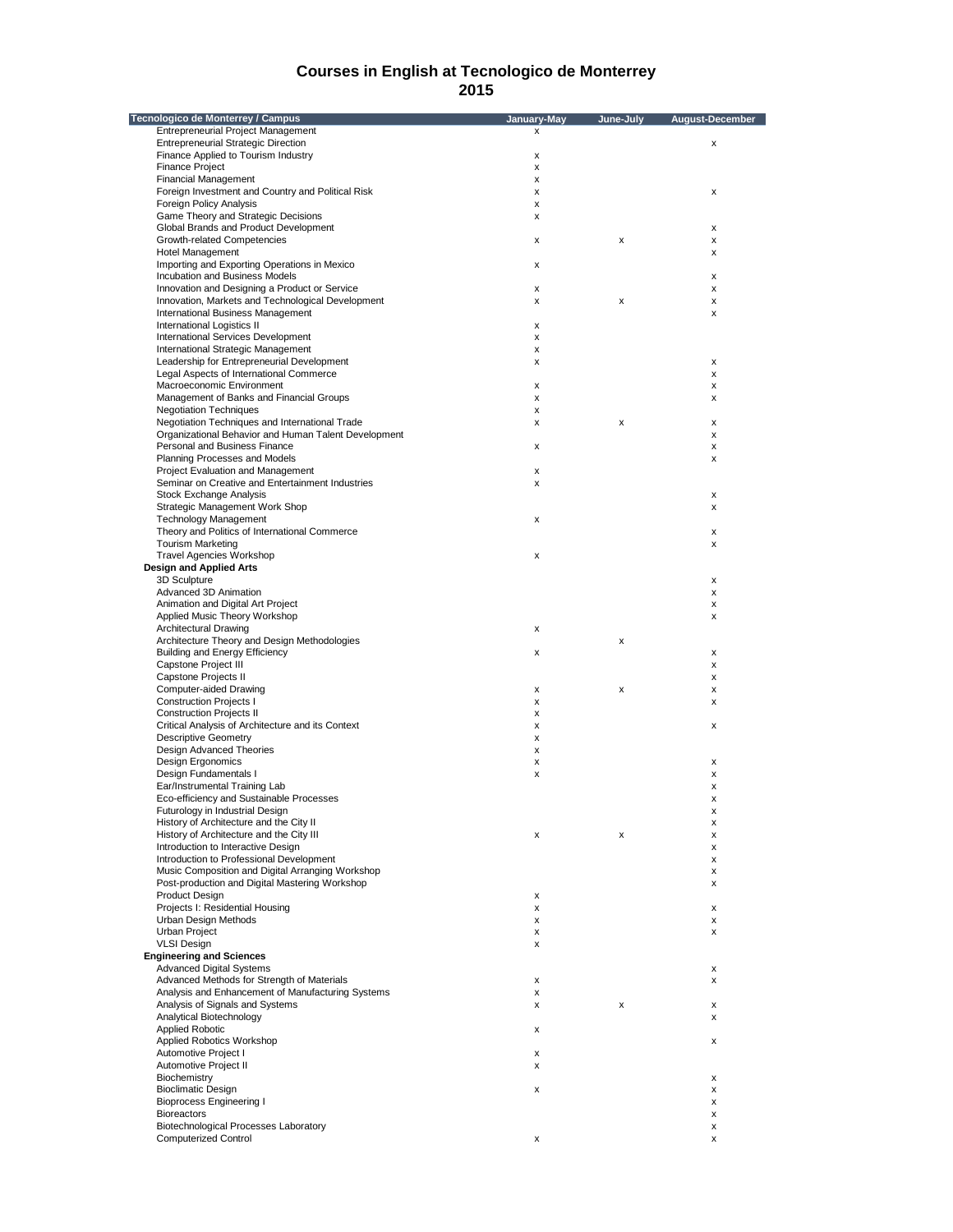| Tecnologico de Monterrey / Campus                                              | January-May | June-July | August-December    |
|--------------------------------------------------------------------------------|-------------|-----------|--------------------|
| <b>Entrepreneurial Project Management</b>                                      | x           |           |                    |
| <b>Entrepreneurial Strategic Direction</b>                                     |             |           | x                  |
| Finance Applied to Tourism Industry                                            | X           |           |                    |
| <b>Finance Project</b>                                                         | x           |           |                    |
| <b>Financial Management</b>                                                    | x           |           |                    |
| Foreign Investment and Country and Political Risk                              | x           |           | х                  |
| <b>Foreign Policy Analysis</b>                                                 | x           |           |                    |
| Game Theory and Strategic Decisions                                            | x           |           |                    |
| Global Brands and Product Development                                          |             |           | X                  |
| Growth-related Competencies                                                    | x           | x         | х                  |
| <b>Hotel Management</b>                                                        |             |           | x                  |
| Importing and Exporting Operations in Mexico<br>Incubation and Business Models | x           |           |                    |
| Innovation and Designing a Product or Service                                  | x           |           | x<br>X             |
| Innovation, Markets and Technological Development                              | x           | x         | x                  |
| International Business Management                                              |             |           | х                  |
| International Logistics II                                                     | x           |           |                    |
| International Services Development                                             | x           |           |                    |
| International Strategic Management                                             | x           |           |                    |
| Leadership for Entrepreneurial Development                                     | x           |           | х                  |
| Legal Aspects of International Commerce                                        |             |           | х                  |
| Macroeconomic Environment                                                      | x           |           | x                  |
| Management of Banks and Financial Groups                                       | x           |           | x                  |
| <b>Negotiation Techniques</b>                                                  | x           |           |                    |
| Negotiation Techniques and International Trade                                 | x           | x         | х                  |
| Organizational Behavior and Human Talent Development                           |             |           | х                  |
| Personal and Business Finance                                                  | x           |           | х                  |
| Planning Processes and Models                                                  |             |           | x                  |
| Project Evaluation and Management                                              | x           |           |                    |
| Seminar on Creative and Entertainment Industries                               | x           |           |                    |
| <b>Stock Exchange Analysis</b>                                                 |             |           | х                  |
| Strategic Management Work Shop                                                 |             |           | x                  |
| <b>Technology Management</b>                                                   | x           |           |                    |
| Theory and Politics of International Commerce                                  |             |           | $\pmb{\mathsf{x}}$ |
| <b>Tourism Marketing</b><br><b>Travel Agencies Workshop</b>                    |             |           | x                  |
| <b>Design and Applied Arts</b>                                                 | x           |           |                    |
| 3D Sculpture                                                                   |             |           | х                  |
| Advanced 3D Animation                                                          |             |           | X                  |
| Animation and Digital Art Project                                              |             |           | х                  |
| Applied Music Theory Workshop                                                  |             |           | х                  |
| <b>Architectural Drawing</b>                                                   | x           |           |                    |
| Architecture Theory and Design Methodologies                                   |             | x         |                    |
| <b>Building and Energy Efficiency</b>                                          | x           |           | X                  |
| Capstone Project III                                                           |             |           | х                  |
| Capstone Projects II                                                           |             |           | x                  |
| Computer-aided Drawing                                                         | x           | x         | x                  |
| <b>Construction Projects I</b>                                                 | x           |           | x                  |
| <b>Construction Projects II</b>                                                | x           |           |                    |
| Critical Analysis of Architecture and its Context                              | x           |           | х                  |
| <b>Descriptive Geometry</b>                                                    | x           |           |                    |
| Design Advanced Theories                                                       | x           |           |                    |
| Design Ergonomics                                                              | x           |           | x                  |
| Design Fundamentals I                                                          | x           |           | X                  |
| Ear/Instrumental Training Lab<br>Eco-efficiency and Sustainable Processes      |             |           | x                  |
| Futurology in Industrial Design                                                |             |           | x                  |
| History of Architecture and the City II                                        |             |           | х<br>x             |
| History of Architecture and the City III                                       | x           | x         | x                  |
| Introduction to Interactive Design                                             |             |           | х                  |
| Introduction to Professional Development                                       |             |           | x                  |
| Music Composition and Digital Arranging Workshop                               |             |           | x                  |
| Post-production and Digital Mastering Workshop                                 |             |           | x                  |
| <b>Product Design</b>                                                          | x           |           |                    |
| Projects I: Residential Housing                                                | x           |           | х                  |
| Urban Design Methods                                                           | x           |           | x                  |
| Urban Project                                                                  | x           |           | x                  |
| <b>VLSI Design</b>                                                             | x           |           |                    |
| <b>Engineering and Sciences</b>                                                |             |           |                    |
| <b>Advanced Digital Systems</b>                                                |             |           | х                  |
| Advanced Methods for Strength of Materials                                     | x           |           | x                  |
| Analysis and Enhancement of Manufacturing Systems                              | x           |           |                    |
| Analysis of Signals and Systems                                                | x           | x         | x                  |
| Analytical Biotechnology                                                       |             |           | X                  |
| <b>Applied Robotic</b>                                                         | x           |           |                    |
| Applied Robotics Workshop                                                      |             |           | x                  |
| Automotive Project I                                                           | x           |           |                    |
| Automotive Project II                                                          | x           |           |                    |
| Biochemistry<br><b>Bioclimatic Design</b>                                      | x           |           | X<br>х             |
| <b>Bioprocess Engineering I</b>                                                |             |           | x                  |
| <b>Bioreactors</b>                                                             |             |           | х                  |
| Biotechnological Processes Laboratory                                          |             |           | х                  |
| <b>Computerized Control</b>                                                    | x           |           | X                  |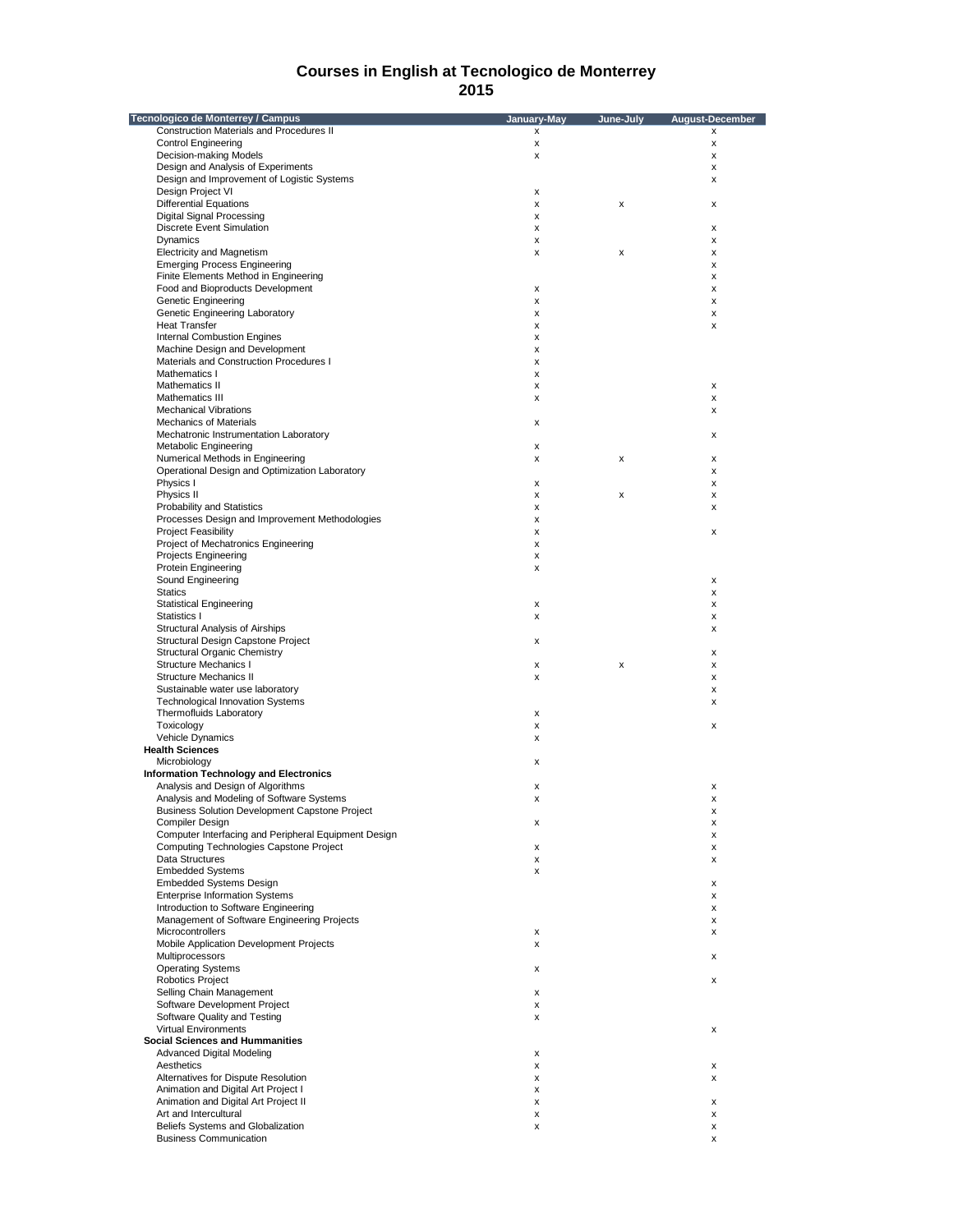| Tecnologico de Monterrey / Campus                    | January-May        | June-July | <b>August-December</b> |
|------------------------------------------------------|--------------------|-----------|------------------------|
| <b>Construction Materials and Procedures II</b>      | x                  |           | x                      |
| <b>Control Engineering</b>                           | х                  |           | x                      |
| Decision-making Models                               | х                  |           | x                      |
| Design and Analysis of Experiments                   |                    |           | X                      |
| Design and Improvement of Logistic Systems           |                    |           | x                      |
| Design Project VI                                    | х                  |           |                        |
| <b>Differential Equations</b>                        | х                  | х         | x                      |
|                                                      |                    |           |                        |
| Digital Signal Processing                            | x                  |           |                        |
| <b>Discrete Event Simulation</b>                     | х                  |           | x                      |
| Dynamics                                             | х                  |           | x                      |
| <b>Electricity and Magnetism</b>                     | x                  | х         | x                      |
| <b>Emerging Process Engineering</b>                  |                    |           | x                      |
| Finite Elements Method in Engineering                |                    |           | x                      |
| Food and Bioproducts Development                     | $\pmb{\mathsf{x}}$ |           |                        |
|                                                      |                    |           | X                      |
| Genetic Engineering                                  | х                  |           | x                      |
| Genetic Engineering Laboratory                       | x                  |           | x                      |
| <b>Heat Transfer</b>                                 | х                  |           | x                      |
| <b>Internal Combustion Engines</b>                   | х                  |           |                        |
| Machine Design and Development                       | х                  |           |                        |
| Materials and Construction Procedures I              | x                  |           |                        |
| Mathematics I                                        |                    |           |                        |
|                                                      | x                  |           |                        |
| Mathematics II                                       | х                  |           | x                      |
| Mathematics III                                      | x                  |           | x                      |
| <b>Mechanical Vibrations</b>                         |                    |           | x                      |
| <b>Mechanics of Materials</b>                        | х                  |           |                        |
| Mechatronic Instrumentation Laboratory               |                    |           | x                      |
|                                                      |                    |           |                        |
| Metabolic Engineering                                | х                  |           |                        |
| Numerical Methods in Engineering                     | x                  | х         | x                      |
| Operational Design and Optimization Laboratory       |                    |           | x                      |
| Physics I                                            | х                  |           | x                      |
| Physics II                                           | x                  | х         | x                      |
| Probability and Statistics                           | х                  |           | x                      |
| Processes Design and Improvement Methodologies       | х                  |           |                        |
|                                                      |                    |           |                        |
| <b>Project Feasibility</b>                           | х                  |           | X                      |
| Project of Mechatronics Engineering                  | х                  |           |                        |
| Projects Engineering                                 | x                  |           |                        |
| Protein Engineering                                  | х                  |           |                        |
| Sound Engineering                                    |                    |           | x                      |
| <b>Statics</b>                                       |                    |           | x                      |
|                                                      |                    |           |                        |
| <b>Statistical Engineering</b>                       | х                  |           | x                      |
| Statistics I                                         | x                  |           | x                      |
| Structural Analysis of Airships                      |                    |           | x                      |
| Structural Design Capstone Project                   | x                  |           |                        |
| <b>Structural Organic Chemistry</b>                  |                    |           | x                      |
| Structure Mechanics I                                | x                  | х         | x                      |
|                                                      |                    |           |                        |
| <b>Structure Mechanics II</b>                        | x                  |           | x                      |
| Sustainable water use laboratory                     |                    |           | x                      |
| <b>Technological Innovation Systems</b>              |                    |           | x                      |
| Thermofluids Laboratory                              | $\pmb{\mathsf{x}}$ |           |                        |
| Toxicology                                           | х                  |           | x                      |
| Vehicle Dynamics                                     | x                  |           |                        |
| <b>Health Sciences</b>                               |                    |           |                        |
|                                                      |                    |           |                        |
| Microbiology                                         | x                  |           |                        |
| <b>Information Technology and Electronics</b>        |                    |           |                        |
| Analysis and Design of Algorithms                    | х                  |           | x                      |
| Analysis and Modeling of Software Systems            | x                  |           | x                      |
| Business Solution Development Capstone Project       |                    |           | x                      |
| Compiler Design                                      | x                  |           | X                      |
| Computer Interfacing and Peripheral Equipment Design |                    |           |                        |
|                                                      |                    |           | X                      |
| Computing Technologies Capstone Project              | х                  |           | х                      |
| Data Structures                                      | x                  |           | x                      |
| <b>Embedded Systems</b>                              | x                  |           |                        |
| <b>Embedded Systems Design</b>                       |                    |           | x                      |
| <b>Enterprise Information Systems</b>                |                    |           | x                      |
| Introduction to Software Engineering                 |                    |           |                        |
|                                                      |                    |           | x                      |
| Management of Software Engineering Projects          |                    |           | x                      |
| Microcontrollers                                     | x                  |           | x                      |
| Mobile Application Development Projects              | x                  |           |                        |
| Multiprocessors                                      |                    |           | x                      |
| <b>Operating Systems</b>                             | х                  |           |                        |
| <b>Robotics Project</b>                              |                    |           | x                      |
|                                                      |                    |           |                        |
| Selling Chain Management                             | x                  |           |                        |
| Software Development Project                         | x                  |           |                        |
| Software Quality and Testing                         | х                  |           |                        |
| <b>Virtual Environments</b>                          |                    |           | х                      |
| <b>Social Sciences and Hummanities</b>               |                    |           |                        |
|                                                      |                    |           |                        |
| <b>Advanced Digital Modeling</b>                     | x                  |           |                        |
| Aesthetics                                           | x                  |           | x                      |
| Alternatives for Dispute Resolution                  | x                  |           | x                      |
| Animation and Digital Art Project I                  | х                  |           |                        |
| Animation and Digital Art Project II                 | x                  |           | x                      |
| Art and Intercultural                                | х                  |           | x                      |
|                                                      |                    |           |                        |
| Beliefs Systems and Globalization                    | x                  |           | x                      |
| <b>Business Communication</b>                        |                    |           | x                      |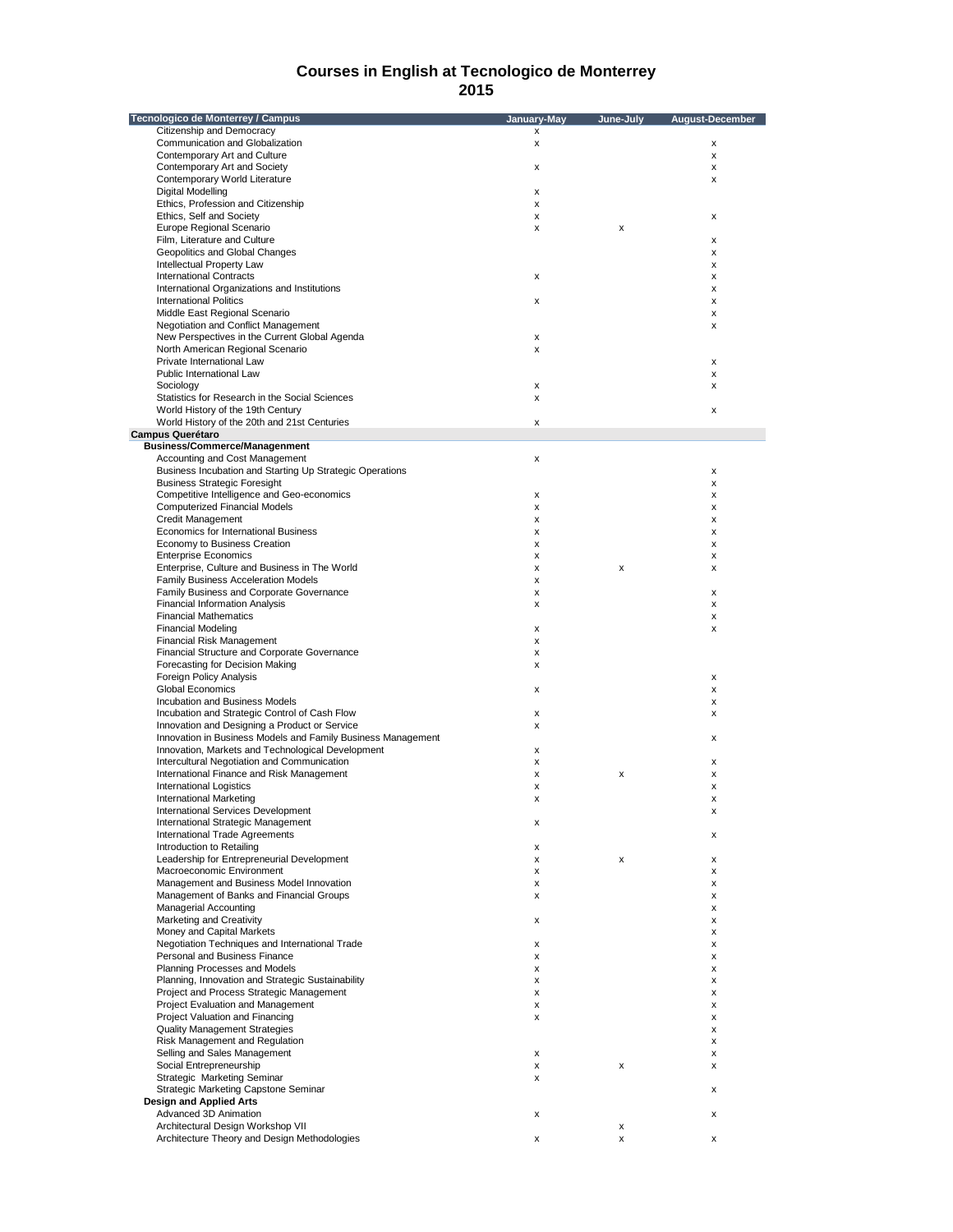| Tecnologico de Monterrey / Campus                                                                             | January-May | June-July | <b>August-December</b> |
|---------------------------------------------------------------------------------------------------------------|-------------|-----------|------------------------|
| Citizenship and Democracy                                                                                     | x           |           |                        |
| Communication and Globalization                                                                               | x           |           | x                      |
| Contemporary Art and Culture                                                                                  |             |           | x                      |
| Contemporary Art and Society                                                                                  | x           |           | x                      |
| Contemporary World Literature                                                                                 |             |           | х                      |
| Digital Modelling                                                                                             | x           |           |                        |
| Ethics, Profession and Citizenship                                                                            | x           |           |                        |
| Ethics, Self and Society                                                                                      | x           |           | х                      |
| Europe Regional Scenario                                                                                      | x           | х         |                        |
| Film, Literature and Culture                                                                                  |             |           | х                      |
| Geopolitics and Global Changes                                                                                |             |           | х                      |
| Intellectual Property Law                                                                                     |             |           | x                      |
| <b>International Contracts</b>                                                                                | x           |           | х                      |
| International Organizations and Institutions                                                                  |             |           | х                      |
| <b>International Politics</b>                                                                                 | x           |           | х                      |
| Middle East Regional Scenario                                                                                 |             |           | х                      |
| Negotiation and Conflict Management                                                                           |             |           | x                      |
| New Perspectives in the Current Global Agenda                                                                 | x           |           |                        |
| North American Regional Scenario                                                                              | x           |           |                        |
| Private International Law                                                                                     |             |           |                        |
| Public International Law                                                                                      |             |           | х                      |
|                                                                                                               |             |           | х                      |
| Sociology                                                                                                     | x           |           | x                      |
| Statistics for Research in the Social Sciences                                                                | x           |           |                        |
| World History of the 19th Century                                                                             |             |           | x                      |
| World History of the 20th and 21st Centuries                                                                  | x           |           |                        |
| <b>Campus Querétaro</b>                                                                                       |             |           |                        |
| <b>Business/Commerce/Managenment</b>                                                                          |             |           |                        |
| Accounting and Cost Management                                                                                | x           |           |                        |
| Business Incubation and Starting Up Strategic Operations                                                      |             |           | х                      |
| <b>Business Strategic Foresight</b>                                                                           |             |           | х                      |
| Competitive Intelligence and Geo-economics                                                                    | x           |           | х                      |
| <b>Computerized Financial Models</b>                                                                          | x           |           | x                      |
| <b>Credit Management</b>                                                                                      | x           |           | х                      |
| Economics for International Business                                                                          | x           |           | х                      |
| Economy to Business Creation                                                                                  | x           |           | х                      |
| <b>Enterprise Economics</b>                                                                                   | x           |           | x                      |
| Enterprise, Culture and Business in The World                                                                 | x           | x         | x                      |
| Family Business Acceleration Models                                                                           | x           |           |                        |
| Family Business and Corporate Governance                                                                      | x           |           | x                      |
| <b>Financial Information Analysis</b>                                                                         | x           |           | x                      |
| <b>Financial Mathematics</b>                                                                                  |             |           | x                      |
| <b>Financial Modeling</b>                                                                                     | x           |           | x                      |
| Financial Risk Management                                                                                     | x           |           |                        |
| Financial Structure and Corporate Governance                                                                  | x           |           |                        |
| Forecasting for Decision Making                                                                               | x           |           |                        |
| <b>Foreign Policy Analysis</b>                                                                                |             |           | x                      |
| <b>Global Economics</b>                                                                                       |             |           |                        |
| Incubation and Business Models                                                                                | x           |           | x                      |
|                                                                                                               |             |           | x                      |
| Incubation and Strategic Control of Cash Flow                                                                 | x           |           | x                      |
| Innovation and Designing a Product or Service<br>Innovation in Business Models and Family Business Management | x           |           |                        |
|                                                                                                               |             |           | x                      |
| Innovation, Markets and Technological Development                                                             | x           |           |                        |
| Intercultural Negotiation and Communication                                                                   | x           |           | x                      |
| International Finance and Risk Management                                                                     | x           | x         | x                      |
| <b>International Logistics</b>                                                                                | x           |           | х                      |
| <b>International Marketing</b>                                                                                | x           |           | x                      |
| International Services Development                                                                            |             |           |                        |
| International Strategic Management                                                                            | x           |           |                        |
| International Trade Agreements                                                                                |             |           | x                      |
| Introduction to Retailing                                                                                     | x           |           |                        |
| Leadership for Entrepreneurial Development                                                                    | x           | x         | x                      |
| Macroeconomic Environment                                                                                     | x           |           | x                      |
| Management and Business Model Innovation                                                                      | x           |           | x                      |
| Management of Banks and Financial Groups                                                                      | x           |           | x                      |
| <b>Managerial Accounting</b>                                                                                  |             |           | х                      |
| Marketing and Creativity                                                                                      | x           |           | x                      |
| Money and Capital Markets                                                                                     |             |           | x                      |
| Negotiation Techniques and International Trade                                                                | x           |           | x                      |
| Personal and Business Finance                                                                                 | x           |           | x                      |
| Planning Processes and Models                                                                                 | x           |           | х                      |
| Planning, Innovation and Strategic Sustainability                                                             | x           |           | x                      |
| Project and Process Strategic Management                                                                      | x           |           | x                      |
| Project Evaluation and Management                                                                             | x           |           | x                      |
| Project Valuation and Financing                                                                               | x           |           | x                      |
| <b>Quality Management Strategies</b>                                                                          |             |           | x                      |
| Risk Management and Regulation                                                                                |             |           | x                      |
| Selling and Sales Management                                                                                  | x           |           | x                      |
| Social Entrepreneurship                                                                                       | x           | x         | х                      |
| Strategic Marketing Seminar                                                                                   | x           |           |                        |
| Strategic Marketing Capstone Seminar                                                                          |             |           | х                      |
| <b>Design and Applied Arts</b>                                                                                |             |           |                        |
| Advanced 3D Animation                                                                                         |             |           |                        |
|                                                                                                               | x           |           | x                      |
| Architectural Design Workshop VII                                                                             |             | x         |                        |
| Architecture Theory and Design Methodologies                                                                  | x           | x         | x                      |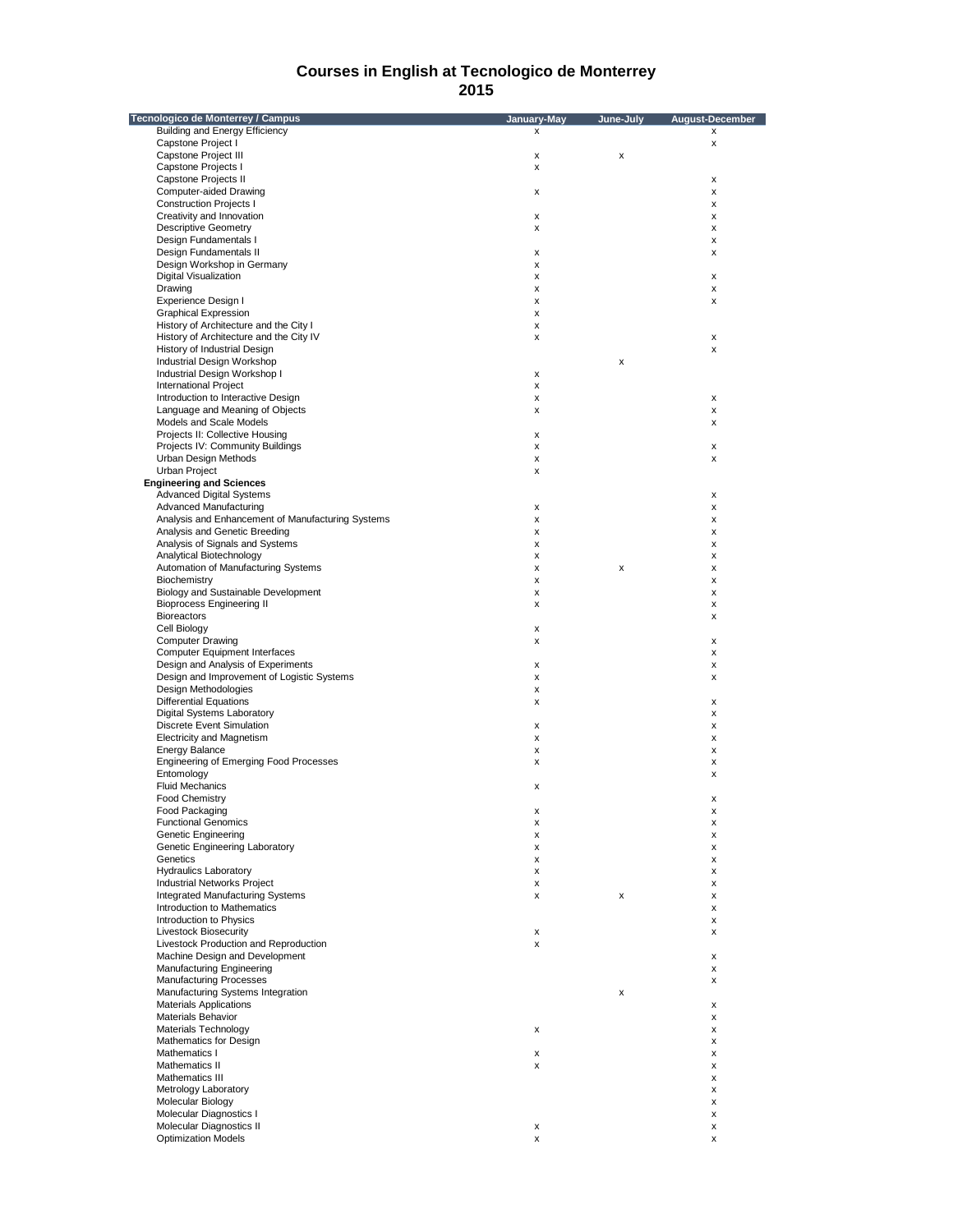| Tecnologico de Monterrey / Campus                 | January-May | June-July | August-December |
|---------------------------------------------------|-------------|-----------|-----------------|
| <b>Building and Energy Efficiency</b>             | x           |           | x               |
| Capstone Project I                                |             |           | x               |
| Capstone Project III                              | х           | x         |                 |
| Capstone Projects I                               | x           |           |                 |
| Capstone Projects II                              |             |           | x               |
| Computer-aided Drawing                            | х           |           | x               |
| <b>Construction Projects I</b>                    |             |           | x               |
| Creativity and Innovation                         | x           |           | x               |
| <b>Descriptive Geometry</b>                       | x           |           | x               |
| Design Fundamentals I                             |             |           | x               |
| Design Fundamentals II                            | х           |           | x               |
|                                                   |             |           |                 |
| Design Workshop in Germany                        | x           |           |                 |
| <b>Digital Visualization</b>                      | X           |           | x               |
| Drawing                                           | х           |           | X               |
| Experience Design I                               | х           |           | x               |
| <b>Graphical Expression</b>                       | х           |           |                 |
| History of Architecture and the City I            | x           |           |                 |
| History of Architecture and the City IV           | x           |           | x               |
| History of Industrial Design                      |             |           | x               |
| Industrial Design Workshop                        |             | x         |                 |
| Industrial Design Workshop I                      | х           |           |                 |
| <b>International Project</b>                      | x           |           |                 |
| Introduction to Interactive Design                | х           |           | x               |
| Language and Meaning of Objects                   | х           |           | x               |
| Models and Scale Models                           |             |           | x               |
| Projects II: Collective Housing                   | х           |           |                 |
| Projects IV: Community Buildings                  | x           |           | x               |
| Urban Design Methods                              | х           |           | x               |
| Urban Project                                     | x           |           |                 |
| <b>Engineering and Sciences</b>                   |             |           |                 |
| <b>Advanced Digital Systems</b>                   |             |           |                 |
|                                                   |             |           | x               |
| Advanced Manufacturing                            | х           |           | x               |
| Analysis and Enhancement of Manufacturing Systems | х           |           | x               |
| Analysis and Genetic Breeding                     | х           |           | x               |
| Analysis of Signals and Systems                   | х           |           | x               |
| Analytical Biotechnology                          | х           |           | x               |
| Automation of Manufacturing Systems               | x           | x         | x               |
| Biochemistry                                      | х           |           | x               |
| Biology and Sustainable Development               | x           |           | x               |
| <b>Bioprocess Engineering II</b>                  | х           |           | x               |
| <b>Bioreactors</b>                                |             |           | x               |
| Cell Biology                                      | х           |           |                 |
| <b>Computer Drawing</b>                           | х           |           | x               |
| <b>Computer Equipment Interfaces</b>              |             |           | x               |
| Design and Analysis of Experiments                | x           |           | x               |
| Design and Improvement of Logistic Systems        | х           |           | x               |
| Design Methodologies                              | x           |           |                 |
| <b>Differential Equations</b>                     | х           |           | x               |
| <b>Digital Systems Laboratory</b>                 |             |           | x               |
| <b>Discrete Event Simulation</b>                  | х           |           | x               |
| <b>Electricity and Magnetism</b>                  | х           |           | x               |
| <b>Energy Balance</b>                             | x           |           | x               |
|                                                   |             |           |                 |
| <b>Engineering of Emerging Food Processes</b>     | x           |           | x               |
| Entomology                                        |             |           | x               |
| <b>Fluid Mechanics</b>                            | x           |           |                 |
| <b>Food Chemistry</b>                             |             |           | x               |
| Food Packaging                                    | х           |           | х               |
| <b>Functional Genomics</b>                        | x           |           | x               |
| Genetic Engineering                               | x           |           | х               |
| Genetic Engineering Laboratory                    | х           |           | x               |
| Genetics                                          | х           |           | x               |
| <b>Hydraulics Laboratory</b>                      | x           |           | x               |
| <b>Industrial Networks Project</b>                | х           |           | x               |
| <b>Integrated Manufacturing Systems</b>           | х           | x         | x               |
| Introduction to Mathematics                       |             |           | x               |
| Introduction to Physics                           |             |           | x               |
| <b>Livestock Biosecurity</b>                      | х           |           | x               |
| Livestock Production and Reproduction             | x           |           |                 |
| Machine Design and Development                    |             |           | x               |
| <b>Manufacturing Engineering</b>                  |             |           | x               |
| <b>Manufacturing Processes</b>                    |             |           | x               |
| Manufacturing Systems Integration                 |             | x         |                 |
| <b>Materials Applications</b>                     |             |           | x               |
| <b>Materials Behavior</b>                         |             |           | x               |
|                                                   |             |           |                 |
| Materials Technology                              | x           |           | x               |
| Mathematics for Design                            |             |           | x               |
| Mathematics I                                     | x           |           | x               |
| Mathematics II                                    | x           |           | x               |
| Mathematics III                                   |             |           | x               |
| Metrology Laboratory                              |             |           | x               |
| Molecular Biology                                 |             |           | x               |
| Molecular Diagnostics I                           |             |           | x               |
| Molecular Diagnostics II                          | x           |           | x               |
| <b>Optimization Models</b>                        | x           |           | x               |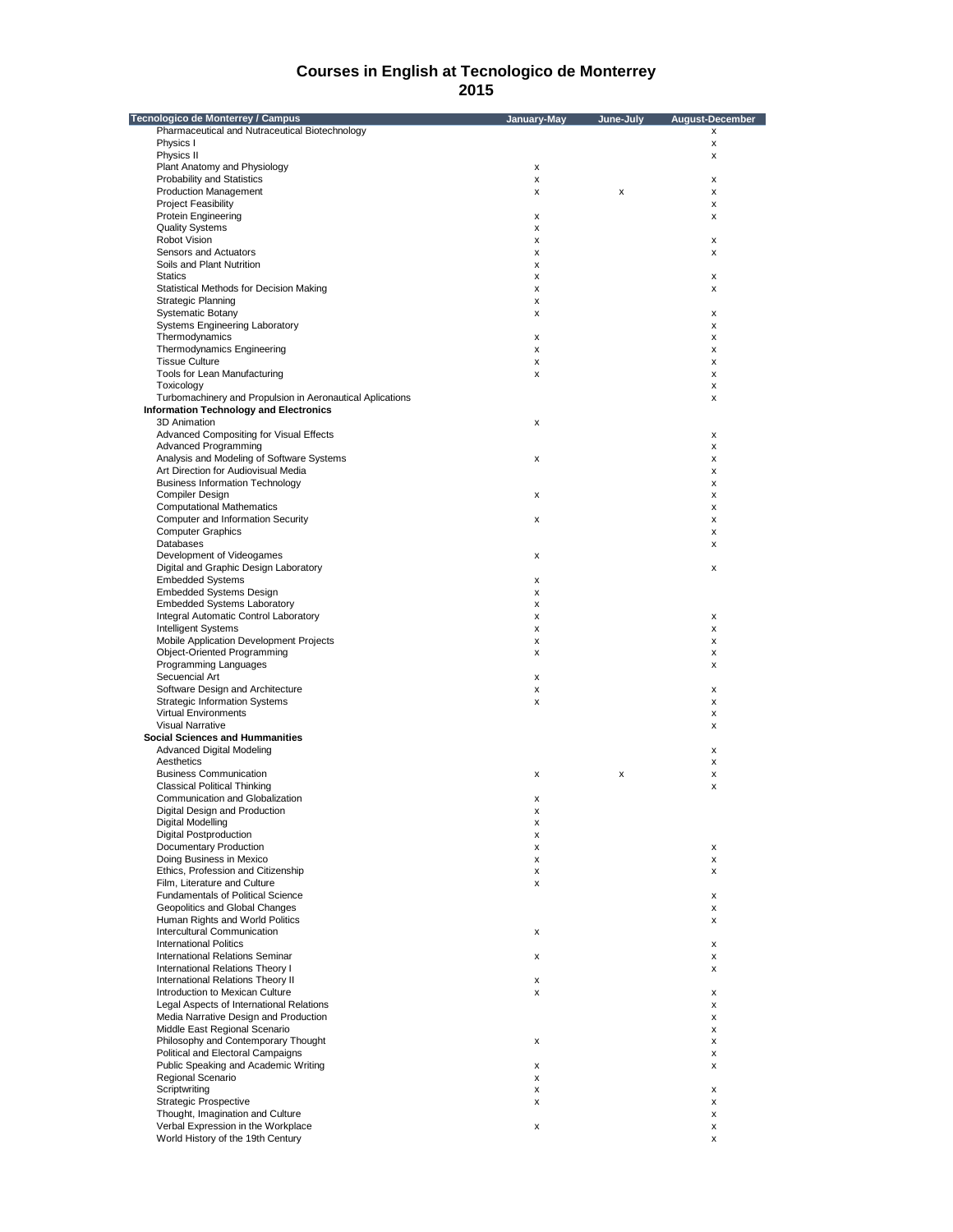| Tecnologico de Monterrey / Campus                         | January-May | June-July | August-December |
|-----------------------------------------------------------|-------------|-----------|-----------------|
| Pharmaceutical and Nutraceutical Biotechnology            |             |           | x               |
| Physics I                                                 |             |           | x               |
| Physics II                                                |             |           | x               |
| Plant Anatomy and Physiology                              | х           |           |                 |
| <b>Probability and Statistics</b>                         | х           |           | x               |
| <b>Production Management</b>                              | x           | х         | x               |
| <b>Project Feasibility</b>                                |             |           | x               |
| <b>Protein Engineering</b>                                |             |           |                 |
|                                                           | х           |           | x               |
| <b>Quality Systems</b>                                    | x           |           |                 |
| Robot Vision                                              | х           |           | x               |
| Sensors and Actuators                                     | x           |           | x               |
| Soils and Plant Nutrition                                 | X           |           |                 |
| <b>Statics</b>                                            | х           |           | x               |
| Statistical Methods for Decision Making                   | x           |           | x               |
| <b>Strategic Planning</b>                                 | х           |           |                 |
| <b>Systematic Botany</b>                                  | x           |           | x               |
| <b>Systems Engineering Laboratory</b>                     |             |           | x               |
| Thermodynamics                                            | x           |           | x               |
|                                                           |             |           |                 |
| Thermodynamics Engineering                                | x           |           | x               |
| <b>Tissue Culture</b>                                     | х           |           | x               |
| Tools for Lean Manufacturing                              | x           |           | x               |
| Toxicology                                                |             |           | x               |
| Turbomachinery and Propulsion in Aeronautical Aplications |             |           | x               |
| <b>Information Technology and Electronics</b>             |             |           |                 |
| 3D Animation                                              | х           |           |                 |
| Advanced Compositing for Visual Effects                   |             |           | x               |
| <b>Advanced Programming</b>                               |             |           |                 |
|                                                           |             |           | x               |
| Analysis and Modeling of Software Systems                 | x           |           | x               |
| Art Direction for Audiovisual Media                       |             |           | x               |
| <b>Business Information Technology</b>                    |             |           | x               |
| <b>Compiler Design</b>                                    | x           |           | x               |
| <b>Computational Mathematics</b>                          |             |           | x               |
| Computer and Information Security                         | x           |           | x               |
| <b>Computer Graphics</b>                                  |             |           | x               |
|                                                           |             |           |                 |
| Databases                                                 |             |           | x               |
| Development of Videogames                                 | х           |           |                 |
| Digital and Graphic Design Laboratory                     |             |           | x               |
| <b>Embedded Systems</b>                                   | х           |           |                 |
| <b>Embedded Systems Design</b>                            | x           |           |                 |
| <b>Embedded Systems Laboratory</b>                        | х           |           |                 |
| Integral Automatic Control Laboratory                     | X           |           | x               |
| <b>Intelligent Systems</b>                                | X           |           | x               |
|                                                           |             |           |                 |
| Mobile Application Development Projects                   | x           |           | x               |
| Object-Oriented Programming                               | x           |           | x               |
| Programming Languages                                     |             |           | x               |
| Secuencial Art                                            | x           |           |                 |
| Software Design and Architecture                          | x           |           | x               |
| <b>Strategic Information Systems</b>                      | x           |           | x               |
| <b>Virtual Environments</b>                               |             |           | x               |
| <b>Visual Narrative</b>                                   |             |           | x               |
|                                                           |             |           |                 |
| <b>Social Sciences and Hummanities</b>                    |             |           |                 |
| Advanced Digital Modeling                                 |             |           | x               |
| Aesthetics                                                |             |           | x               |
| <b>Business Communication</b>                             | x           | X         | x               |
| <b>Classical Political Thinking</b>                       |             |           | x               |
| Communication and Globalization                           | x           |           |                 |
| Digital Design and Production                             | x           |           |                 |
| Digital Modelling                                         |             |           |                 |
|                                                           | х           |           |                 |
| <b>Digital Postproduction</b>                             | x           |           |                 |
| Documentary Production                                    | х           |           | x               |
| Doing Business in Mexico                                  | х           |           | x               |
| Ethics, Profession and Citizenship                        | х           |           | x               |
| Film, Literature and Culture                              | X           |           |                 |
| Fundamentals of Political Science                         |             |           | х               |
| Geopolitics and Global Changes                            |             |           | x               |
| Human Rights and World Politics                           |             |           | x               |
|                                                           |             |           |                 |
| Intercultural Communication                               | x           |           |                 |
| <b>International Politics</b>                             |             |           | x               |
| International Relations Seminar                           | x           |           | x               |
| International Relations Theory I                          |             |           | x               |
| <b>International Relations Theory II</b>                  | x           |           |                 |
| Introduction to Mexican Culture                           | x           |           | x               |
| Legal Aspects of International Relations                  |             |           | x               |
| Media Narrative Design and Production                     |             |           |                 |
|                                                           |             |           | x               |
| Middle East Regional Scenario                             |             |           | x               |
| Philosophy and Contemporary Thought                       | x           |           | x               |
| Political and Electoral Campaigns                         |             |           | x               |
| Public Speaking and Academic Writing                      | x           |           | x               |
| Regional Scenario                                         | x           |           |                 |
| Scriptwriting                                             | х           |           | x               |
| <b>Strategic Prospective</b>                              |             |           |                 |
|                                                           | x           |           | x               |
| Thought, Imagination and Culture                          |             |           | x               |
| Verbal Expression in the Workplace                        | x           |           | x               |
| World History of the 19th Century                         |             |           | x               |
|                                                           |             |           |                 |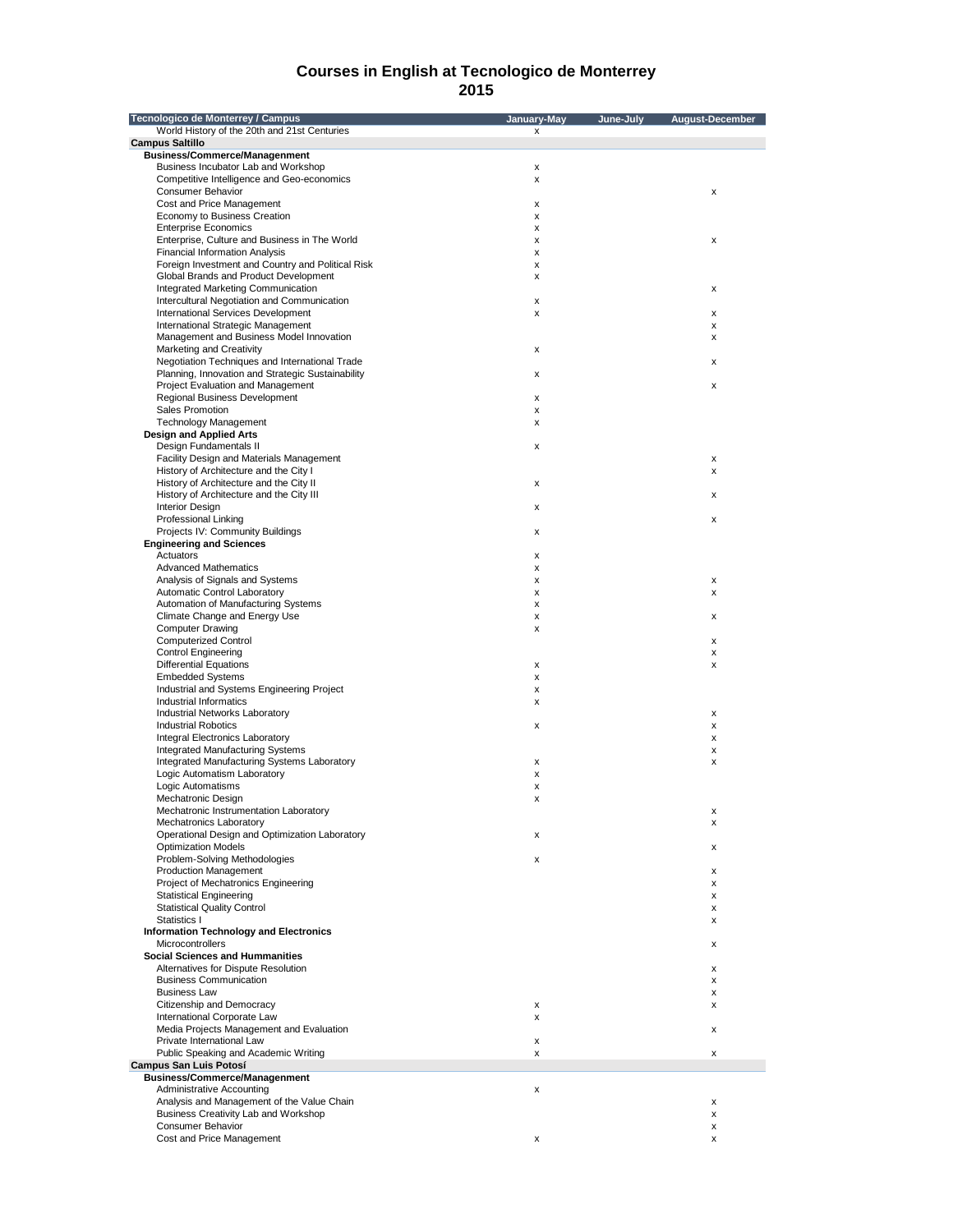| Tecnologico de Monterrey / Campus                                          | January-May | June-July | August-December |
|----------------------------------------------------------------------------|-------------|-----------|-----------------|
| World History of the 20th and 21st Centuries                               | x           |           |                 |
| <b>Campus Saltillo</b>                                                     |             |           |                 |
| <b>Business/Commerce/Managenment</b>                                       |             |           |                 |
| Business Incubator Lab and Workshop                                        | x           |           |                 |
| Competitive Intelligence and Geo-economics<br><b>Consumer Behavior</b>     | x           |           | x               |
| Cost and Price Management                                                  | x           |           |                 |
| Economy to Business Creation                                               | x           |           |                 |
| <b>Enterprise Economics</b>                                                | x           |           |                 |
| Enterprise, Culture and Business in The World                              | x           |           | x               |
| <b>Financial Information Analysis</b>                                      | x           |           |                 |
| Foreign Investment and Country and Political Risk                          | x           |           |                 |
| Global Brands and Product Development                                      | x           |           |                 |
| Integrated Marketing Communication                                         |             |           | x               |
| Intercultural Negotiation and Communication                                | x           |           |                 |
| International Services Development                                         | x           |           | x               |
| International Strategic Management                                         |             |           | x               |
| Management and Business Model Innovation                                   |             |           | x               |
| Marketing and Creativity<br>Negotiation Techniques and International Trade | x           |           |                 |
| Planning, Innovation and Strategic Sustainability                          | x           |           | x               |
| Project Evaluation and Management                                          |             |           | x               |
| Regional Business Development                                              | x           |           |                 |
| Sales Promotion                                                            | x           |           |                 |
| <b>Technology Management</b>                                               | x           |           |                 |
| <b>Design and Applied Arts</b>                                             |             |           |                 |
| Design Fundamentals II                                                     | x           |           |                 |
| Facility Design and Materials Management                                   |             |           | x               |
| History of Architecture and the City I                                     |             |           | x               |
| History of Architecture and the City II                                    | x           |           |                 |
| History of Architecture and the City III                                   |             |           | x               |
| <b>Interior Design</b>                                                     | x           |           |                 |
| Professional Linking                                                       |             |           | x               |
| Projects IV: Community Buildings                                           | x           |           |                 |
| <b>Engineering and Sciences</b>                                            |             |           |                 |
| Actuators                                                                  | x           |           |                 |
| <b>Advanced Mathematics</b>                                                | x           |           |                 |
| Analysis of Signals and Systems                                            | x           |           | x               |
| Automatic Control Laboratory                                               | x           |           | x               |
| Automation of Manufacturing Systems                                        | x           |           |                 |
| Climate Change and Energy Use<br><b>Computer Drawing</b>                   | x<br>x      |           | x               |
| <b>Computerized Control</b>                                                |             |           | x               |
| <b>Control Engineering</b>                                                 |             |           | x               |
| <b>Differential Equations</b>                                              | x           |           | X               |
| <b>Embedded Systems</b>                                                    | x           |           |                 |
| Industrial and Systems Engineering Project                                 | x           |           |                 |
| Industrial Informatics                                                     | x           |           |                 |
| Industrial Networks Laboratory                                             |             |           | x               |
| <b>Industrial Robotics</b>                                                 | x           |           | x               |
| Integral Electronics Laboratory                                            |             |           | x               |
| Integrated Manufacturing Systems                                           |             |           | x               |
| Integrated Manufacturing Systems Laboratory                                | x           |           | x               |
| Logic Automatism Laboratory                                                | x           |           |                 |
| Logic Automatisms                                                          | x           |           |                 |
| Mechatronic Design                                                         | x           |           |                 |
| Mechatronic Instrumentation Laboratory                                     |             |           |                 |
| <b>Mechatronics Laboratory</b>                                             |             |           | х               |
| Operational Design and Optimization Laboratory                             | x           |           |                 |
| <b>Optimization Models</b><br>Problem-Solving Methodologies                | x           |           | x               |
| <b>Production Management</b>                                               |             |           | x               |
| Project of Mechatronics Engineering                                        |             |           | х               |
| <b>Statistical Engineering</b>                                             |             |           | x               |
| <b>Statistical Quality Control</b>                                         |             |           | x               |
| Statistics I                                                               |             |           | x               |
| <b>Information Technology and Electronics</b>                              |             |           |                 |
| <b>Microcontrollers</b>                                                    |             |           | х               |
| <b>Social Sciences and Hummanities</b>                                     |             |           |                 |
| Alternatives for Dispute Resolution                                        |             |           | x               |
| <b>Business Communication</b>                                              |             |           | x               |
| <b>Business Law</b>                                                        |             |           | x               |
| Citizenship and Democracy                                                  | x           |           | х               |
| International Corporate Law                                                | x           |           |                 |
| Media Projects Management and Evaluation                                   |             |           | x               |
| Private International Law                                                  | x           |           |                 |
| Public Speaking and Academic Writing                                       | x           |           | x               |
| Campus San Luis Potosí                                                     |             |           |                 |
| <b>Business/Commerce/Managenment</b>                                       |             |           |                 |
| Administrative Accounting                                                  | x           |           |                 |
| Analysis and Management of the Value Chain                                 |             |           | х               |
| Business Creativity Lab and Workshop<br>Consumer Behavior                  |             |           | x               |
| Cost and Price Management                                                  | x           |           | x<br>x          |
|                                                                            |             |           |                 |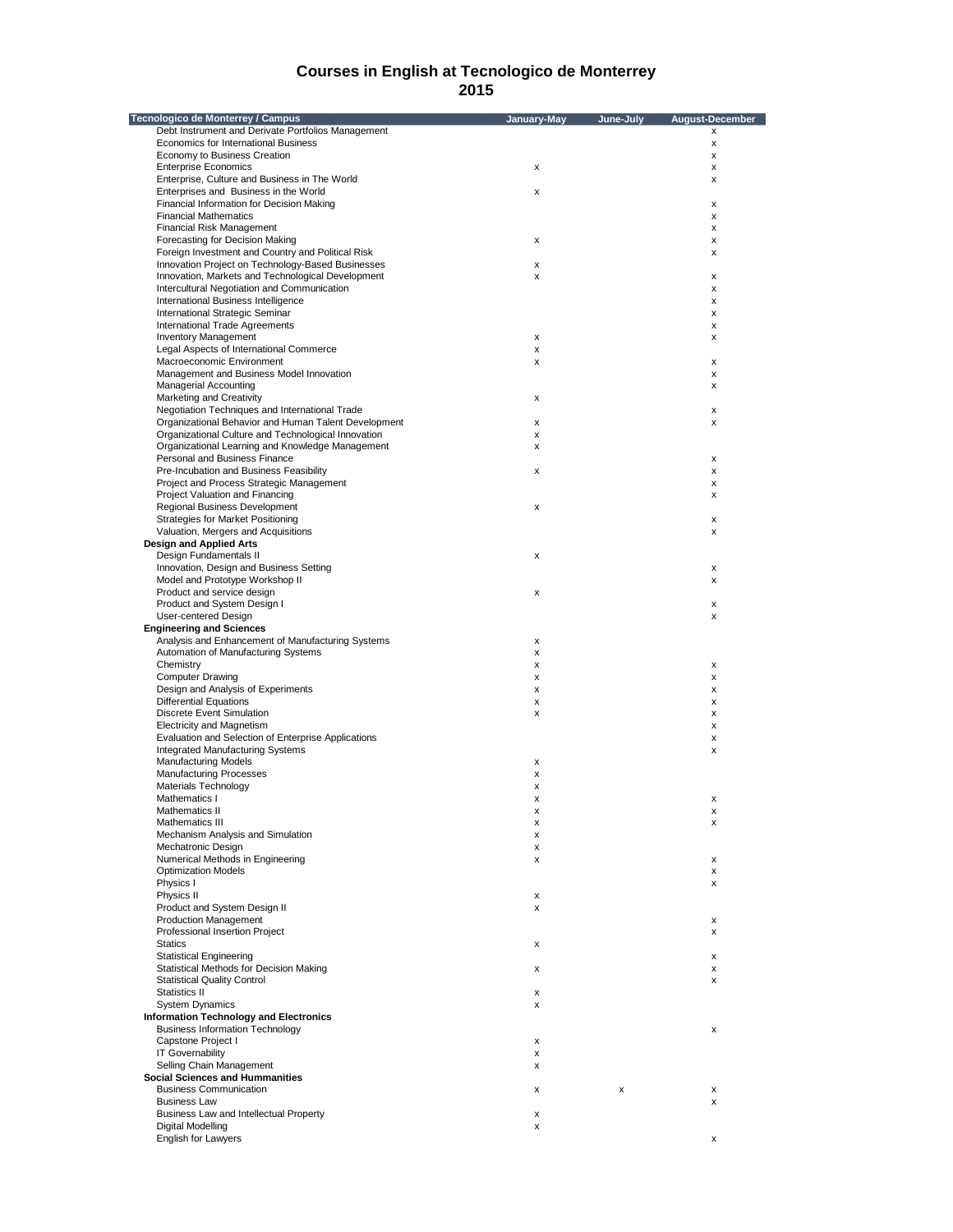| Tecnologico de Monterrey / Campus                                                    | January-May | June-July | <b>August-December</b> |
|--------------------------------------------------------------------------------------|-------------|-----------|------------------------|
| Debt Instrument and Derivate Portfolios Management                                   |             |           | x                      |
| Economics for International Business                                                 |             |           | $\pmb{\times}$         |
| Economy to Business Creation                                                         |             |           | x                      |
| <b>Enterprise Economics</b>                                                          | x           |           | x                      |
| Enterprise, Culture and Business in The World                                        |             |           | x                      |
| Enterprises and Business in the World<br>Financial Information for Decision Making   | x           |           | x                      |
| <b>Financial Mathematics</b>                                                         |             |           | х                      |
| Financial Risk Management                                                            |             |           | x                      |
| Forecasting for Decision Making                                                      | X           |           | x                      |
| Foreign Investment and Country and Political Risk                                    |             |           | x                      |
| Innovation Project on Technology-Based Businesses                                    | x           |           |                        |
| Innovation, Markets and Technological Development                                    | x           |           | х                      |
| Intercultural Negotiation and Communication                                          |             |           | x                      |
| International Business Intelligence                                                  |             |           | x                      |
| International Strategic Seminar                                                      |             |           | x                      |
| <b>International Trade Agreements</b>                                                |             |           | х                      |
| <b>Inventory Management</b><br>Legal Aspects of International Commerce               | х<br>x      |           | x                      |
| Macroeconomic Environment                                                            | X           |           | x                      |
| Management and Business Model Innovation                                             |             |           | х                      |
| <b>Managerial Accounting</b>                                                         |             |           | х                      |
| Marketing and Creativity                                                             | x           |           |                        |
| Negotiation Techniques and International Trade                                       |             |           | x                      |
| Organizational Behavior and Human Talent Development                                 | x           |           | x                      |
| Organizational Culture and Technological Innovation                                  | x           |           |                        |
| Organizational Learning and Knowledge Management                                     | x           |           |                        |
| Personal and Business Finance                                                        |             |           | х                      |
| Pre-Incubation and Business Feasibility                                              | x           |           | x                      |
| Project and Process Strategic Management<br>Project Valuation and Financing          |             |           | x<br>x                 |
| Regional Business Development                                                        | x           |           |                        |
| <b>Strategies for Market Positioning</b>                                             |             |           | x                      |
| Valuation, Mergers and Acquisitions                                                  |             |           | x                      |
| <b>Design and Applied Arts</b>                                                       |             |           |                        |
| Design Fundamentals II                                                               | x           |           |                        |
| Innovation, Design and Business Setting                                              |             |           | $\pmb{\times}$         |
| Model and Prototype Workshop II                                                      |             |           | x                      |
| Product and service design                                                           | x           |           |                        |
| Product and System Design I                                                          |             |           | x                      |
| User-centered Design                                                                 |             |           | x                      |
| <b>Engineering and Sciences</b><br>Analysis and Enhancement of Manufacturing Systems |             |           |                        |
| Automation of Manufacturing Systems                                                  | х<br>x      |           |                        |
| Chemistry                                                                            | x           |           | x                      |
| <b>Computer Drawing</b>                                                              | x           |           | x                      |
| Design and Analysis of Experiments                                                   | x           |           | x                      |
| <b>Differential Equations</b>                                                        | x           |           | х                      |
| <b>Discrete Event Simulation</b>                                                     | x           |           | x                      |
| <b>Electricity and Magnetism</b>                                                     |             |           | x                      |
| Evaluation and Selection of Enterprise Applications                                  |             |           | x                      |
| <b>Integrated Manufacturing Systems</b>                                              |             |           | x                      |
| <b>Manufacturing Models</b>                                                          | х           |           |                        |
| <b>Manufacturing Processes</b>                                                       | x           |           |                        |
| Materials Technology<br>Mathematics I                                                | x           |           | x                      |
| Mathematics II                                                                       | x<br>X      |           | X                      |
| Mathematics III                                                                      | x           |           | x                      |
| Mechanism Analysis and Simulation                                                    | x           |           |                        |
| Mechatronic Design                                                                   | х           |           |                        |
| Numerical Methods in Engineering                                                     | x           |           | x                      |
| <b>Optimization Models</b>                                                           |             |           | x                      |
| Physics I                                                                            |             |           | х                      |
| Physics II                                                                           | x           |           |                        |
| Product and System Design II                                                         | x           |           |                        |
| <b>Production Management</b>                                                         |             |           | x                      |
| Professional Insertion Project<br><b>Statics</b>                                     |             |           | x                      |
| <b>Statistical Engineering</b>                                                       | x           |           | x                      |
| Statistical Methods for Decision Making                                              | x           |           | x                      |
| <b>Statistical Quality Control</b>                                                   |             |           | х                      |
| Statistics II                                                                        | x           |           |                        |
| <b>System Dynamics</b>                                                               | x           |           |                        |
| <b>Information Technology and Electronics</b>                                        |             |           |                        |
| <b>Business Information Technology</b>                                               |             |           | х                      |
| Capstone Project I                                                                   | x           |           |                        |
| <b>IT Governability</b>                                                              | x           |           |                        |
| Selling Chain Management                                                             | x           |           |                        |
| <b>Social Sciences and Hummanities</b>                                               |             |           |                        |
| <b>Business Communication</b>                                                        | x           | x         | х                      |
| <b>Business Law</b>                                                                  |             |           | x                      |
| Business Law and Intellectual Property<br>Digital Modelling                          | x<br>x      |           |                        |
| English for Lawyers                                                                  |             |           | x                      |
|                                                                                      |             |           |                        |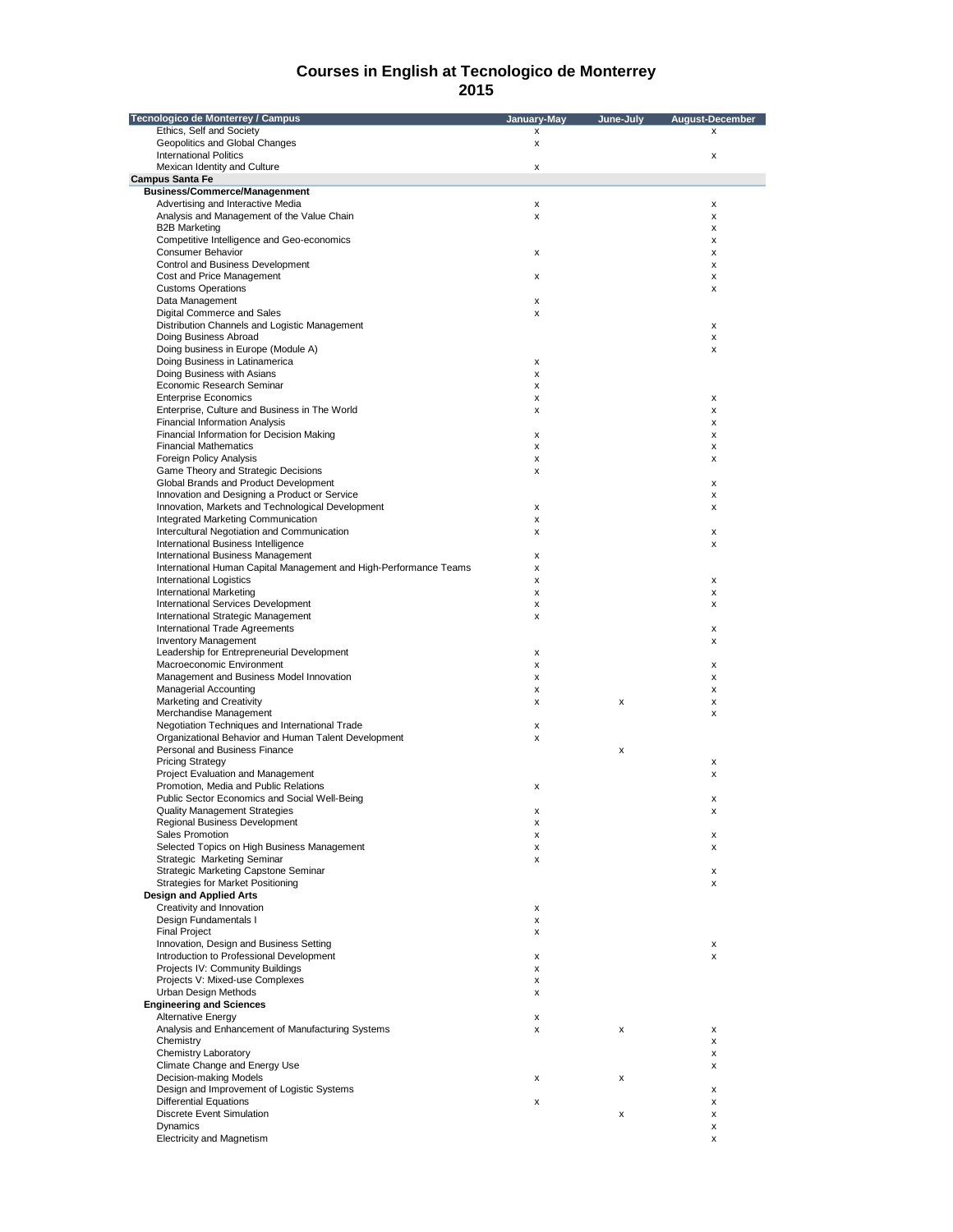| Tecnologico de Monterrey / Campus                                                                  | January-May | June-July | <b>August-December</b> |
|----------------------------------------------------------------------------------------------------|-------------|-----------|------------------------|
| Ethics, Self and Society                                                                           | x           |           | x                      |
| Geopolitics and Global Changes                                                                     | x           |           |                        |
| <b>International Politics</b><br>Mexican Identity and Culture                                      |             |           | $\pmb{\times}$         |
| <b>Campus Santa Fe</b>                                                                             | x           |           |                        |
| <b>Business/Commerce/Managenment</b>                                                               |             |           |                        |
| Advertising and Interactive Media                                                                  | X           |           | X                      |
| Analysis and Management of the Value Chain                                                         | x           |           | х                      |
| <b>B2B Marketing</b>                                                                               |             |           | x                      |
| Competitive Intelligence and Geo-economics<br><b>Consumer Behavior</b>                             |             |           | x<br>x                 |
| Control and Business Development                                                                   | x           |           | х                      |
| Cost and Price Management                                                                          | x           |           | х                      |
| <b>Customs Operations</b>                                                                          |             |           | x                      |
| Data Management                                                                                    | х           |           |                        |
| Digital Commerce and Sales                                                                         | x           |           |                        |
| Distribution Channels and Logistic Management<br>Doing Business Abroad                             |             |           | X<br>x                 |
| Doing business in Europe (Module A)                                                                |             |           | x                      |
| Doing Business in Latinamerica                                                                     | х           |           |                        |
| Doing Business with Asians                                                                         | x           |           |                        |
| Economic Research Seminar                                                                          | x           |           |                        |
| <b>Enterprise Economics</b>                                                                        | x           |           | х                      |
| Enterprise, Culture and Business in The World<br><b>Financial Information Analysis</b>             | x           |           | x<br>x                 |
| Financial Information for Decision Making                                                          | x           |           | х                      |
| <b>Financial Mathematics</b>                                                                       | x           |           | х                      |
| Foreign Policy Analysis                                                                            | x           |           | x                      |
| Game Theory and Strategic Decisions                                                                | x           |           |                        |
| Global Brands and Product Development                                                              |             |           | x                      |
| Innovation and Designing a Product or Service<br>Innovation, Markets and Technological Development |             |           | x                      |
| Integrated Marketing Communication                                                                 | x<br>x      |           | x                      |
| Intercultural Negotiation and Communication                                                        | x           |           | x                      |
| International Business Intelligence                                                                |             |           | x                      |
| International Business Management                                                                  | x           |           |                        |
| International Human Capital Management and High-Performance Teams                                  | x           |           |                        |
| <b>International Logistics</b>                                                                     | x           |           | х                      |
| <b>International Marketing</b><br>International Services Development                               | x           |           | x                      |
| International Strategic Management                                                                 | x<br>x      |           | x                      |
| International Trade Agreements                                                                     |             |           | х                      |
| <b>Inventory Management</b>                                                                        |             |           | х                      |
| Leadership for Entrepreneurial Development                                                         | x           |           |                        |
| Macroeconomic Environment                                                                          | X           |           | x                      |
| Management and Business Model Innovation                                                           | x           |           | x                      |
| <b>Managerial Accounting</b><br>Marketing and Creativity                                           | x           | x         | X                      |
| Merchandise Management                                                                             | x           |           | x<br>x                 |
| Negotiation Techniques and International Trade                                                     | х           |           |                        |
| Organizational Behavior and Human Talent Development                                               | x           |           |                        |
| Personal and Business Finance                                                                      |             | x         |                        |
| <b>Pricing Strategy</b>                                                                            |             |           | х                      |
| Project Evaluation and Management                                                                  |             |           | x                      |
| Promotion. Media and Public Relations                                                              | x           |           |                        |
| Public Sector Economics and Social Well-Being<br><b>Quality Management Strategies</b>              | X           |           | x<br>X                 |
| Regional Business Development                                                                      | x           |           |                        |
| Sales Promotion                                                                                    | x           |           | x                      |
| Selected Topics on High Business Management                                                        | x           |           | x                      |
| Strategic Marketing Seminar                                                                        | x           |           |                        |
| Strategic Marketing Capstone Seminar                                                               |             |           | х                      |
| Strategies for Market Positioning                                                                  |             |           | х                      |
| <b>Design and Applied Arts</b><br>Creativity and Innovation                                        | x           |           |                        |
| Design Fundamentals I                                                                              | X           |           |                        |
| <b>Final Project</b>                                                                               | x           |           |                        |
| Innovation, Design and Business Setting                                                            |             |           | х                      |
| Introduction to Professional Development                                                           | x           |           | x                      |
| Projects IV: Community Buildings                                                                   | x           |           |                        |
| Projects V: Mixed-use Complexes                                                                    | x           |           |                        |
| Urban Design Methods<br><b>Engineering and Sciences</b>                                            | x           |           |                        |
| <b>Alternative Energy</b>                                                                          | x           |           |                        |
| Analysis and Enhancement of Manufacturing Systems                                                  | x           | x         | x                      |
| Chemistry                                                                                          |             |           | x                      |
| Chemistry Laboratory                                                                               |             |           | х                      |
| Climate Change and Energy Use                                                                      |             |           | x                      |
| Decision-making Models                                                                             | x           | x         |                        |
| Design and Improvement of Logistic Systems                                                         |             |           | х                      |
| <b>Differential Equations</b>                                                                      | X           |           | x                      |
| Discrete Event Simulation<br>Dynamics                                                              |             | x         | x<br>х                 |
| Electricity and Magnetism                                                                          |             |           | x                      |
|                                                                                                    |             |           |                        |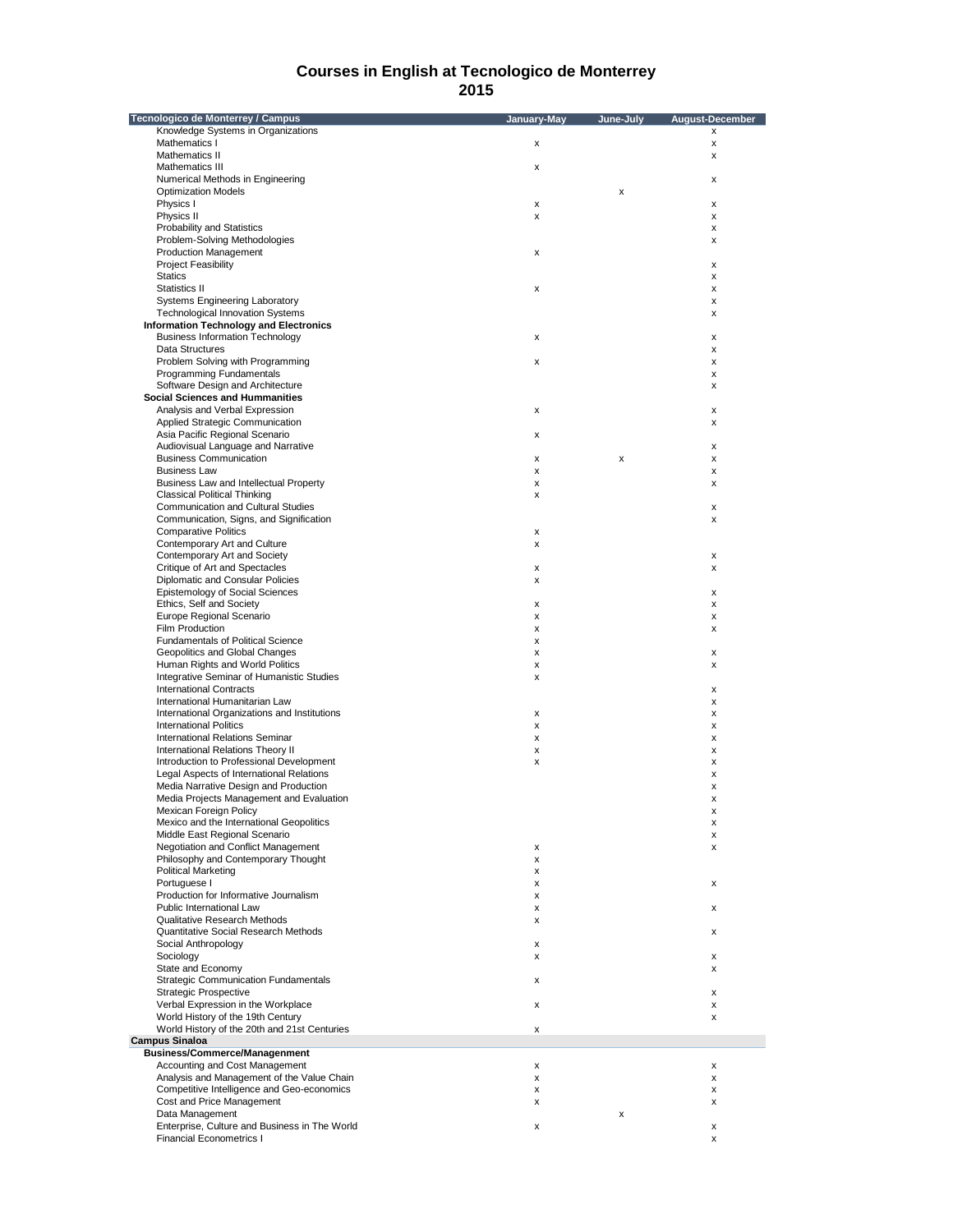| Tecnologico de Monterrey / Campus                                             | January-May | June-July | August-December |
|-------------------------------------------------------------------------------|-------------|-----------|-----------------|
| Knowledge Systems in Organizations                                            |             |           | X               |
| Mathematics I                                                                 | x           |           | x               |
| Mathematics II                                                                |             |           | x               |
| Mathematics III                                                               | x           |           |                 |
| Numerical Methods in Engineering                                              |             |           | x               |
| <b>Optimization Models</b>                                                    |             | x         |                 |
| Physics I                                                                     | x           |           | х               |
| Physics II                                                                    | x           |           | х               |
| <b>Probability and Statistics</b>                                             |             |           | х               |
| Problem-Solving Methodologies                                                 |             |           | х               |
| <b>Production Management</b>                                                  | x           |           |                 |
| <b>Project Feasibility</b>                                                    |             |           | х               |
| <b>Statics</b>                                                                |             |           | х               |
| Statistics II                                                                 | x           |           | х               |
| Systems Engineering Laboratory                                                |             |           | х               |
| <b>Technological Innovation Systems</b>                                       |             |           | x               |
| <b>Information Technology and Electronics</b>                                 |             |           |                 |
| <b>Business Information Technology</b>                                        | x           |           | х               |
| Data Structures                                                               |             |           | х               |
| Problem Solving with Programming                                              | x           |           | х               |
| Programming Fundamentals                                                      |             |           | x               |
| Software Design and Architecture                                              |             |           | х               |
| <b>Social Sciences and Hummanities</b>                                        |             |           |                 |
| Analysis and Verbal Expression                                                | x           |           | х               |
| Applied Strategic Communication                                               |             |           | x               |
| Asia Pacific Regional Scenario                                                | x           |           |                 |
| Audiovisual Language and Narrative                                            |             |           | х               |
| <b>Business Communication</b>                                                 | x           | x         | х               |
| <b>Business Law</b>                                                           | x           |           | х               |
| Business Law and Intellectual Property                                        | X           |           | x               |
| <b>Classical Political Thinking</b>                                           | x           |           |                 |
| <b>Communication and Cultural Studies</b>                                     |             |           | x               |
| Communication, Signs, and Signification                                       |             |           | х               |
| <b>Comparative Politics</b>                                                   | x           |           |                 |
| Contemporary Art and Culture                                                  | x           |           |                 |
| Contemporary Art and Society                                                  |             |           | x               |
| Critique of Art and Spectacles                                                | x           |           | x               |
| Diplomatic and Consular Policies                                              | x           |           |                 |
| Epistemology of Social Sciences                                               |             |           | x               |
| Ethics, Self and Society                                                      | x           |           | x               |
| Europe Regional Scenario                                                      | x           |           |                 |
| Film Production                                                               | x           |           | х<br>х          |
| <b>Fundamentals of Political Science</b>                                      | x           |           |                 |
| Geopolitics and Global Changes                                                | x           |           | x               |
| Human Rights and World Politics                                               |             |           | x               |
| Integrative Seminar of Humanistic Studies                                     | x           |           |                 |
| <b>International Contracts</b>                                                | x           |           |                 |
|                                                                               |             |           | х               |
| International Humanitarian Law                                                |             |           | x               |
| International Organizations and Institutions<br><b>International Politics</b> | x           |           | x               |
|                                                                               | x           |           | x               |
| <b>International Relations Seminar</b>                                        | x           |           | х               |
| International Relations Theory II                                             | x           |           | х               |
| Introduction to Professional Development                                      | x           |           | x               |
| Legal Aspects of International Relations                                      |             |           | x               |
| Media Narrative Design and Production                                         |             |           | x               |
| Media Projects Management and Evaluation                                      |             |           | x               |
| Mexican Foreign Policy                                                        |             |           | ᆺ               |
| Mexico and the International Geopolitics                                      |             |           | x               |
| Middle East Regional Scenario                                                 |             |           | x               |
| Negotiation and Conflict Management                                           | x           |           | x               |
| Philosophy and Contemporary Thought                                           | x           |           |                 |
| <b>Political Marketing</b>                                                    | x           |           |                 |
| Portuguese I                                                                  | x           |           | x               |
| Production for Informative Journalism                                         | x           |           |                 |
| Public International Law                                                      | x           |           | х               |
| Qualitative Research Methods                                                  | x           |           |                 |
| Quantitative Social Research Methods                                          |             |           | х               |
| Social Anthropology                                                           | x           |           |                 |
| Sociology                                                                     | x           |           | x               |
| State and Economy                                                             |             |           | x               |
| <b>Strategic Communication Fundamentals</b>                                   | x           |           |                 |
| <b>Strategic Prospective</b>                                                  |             |           | x               |
| Verbal Expression in the Workplace                                            | x           |           | x               |
| World History of the 19th Century                                             |             |           | x               |
| World History of the 20th and 21st Centuries                                  | x           |           |                 |
| <b>Campus Sinaloa</b>                                                         |             |           |                 |
| <b>Business/Commerce/Managenment</b>                                          |             |           |                 |
| Accounting and Cost Management                                                | x           |           | х               |
| Analysis and Management of the Value Chain                                    | x           |           | х               |
| Competitive Intelligence and Geo-economics                                    | x           |           | х               |
| Cost and Price Management                                                     | x           |           | х               |
| Data Management                                                               |             | x         |                 |
| Enterprise, Culture and Business in The World                                 | x           |           | х               |
| <b>Financial Econometrics I</b>                                               |             |           | х               |
|                                                                               |             |           |                 |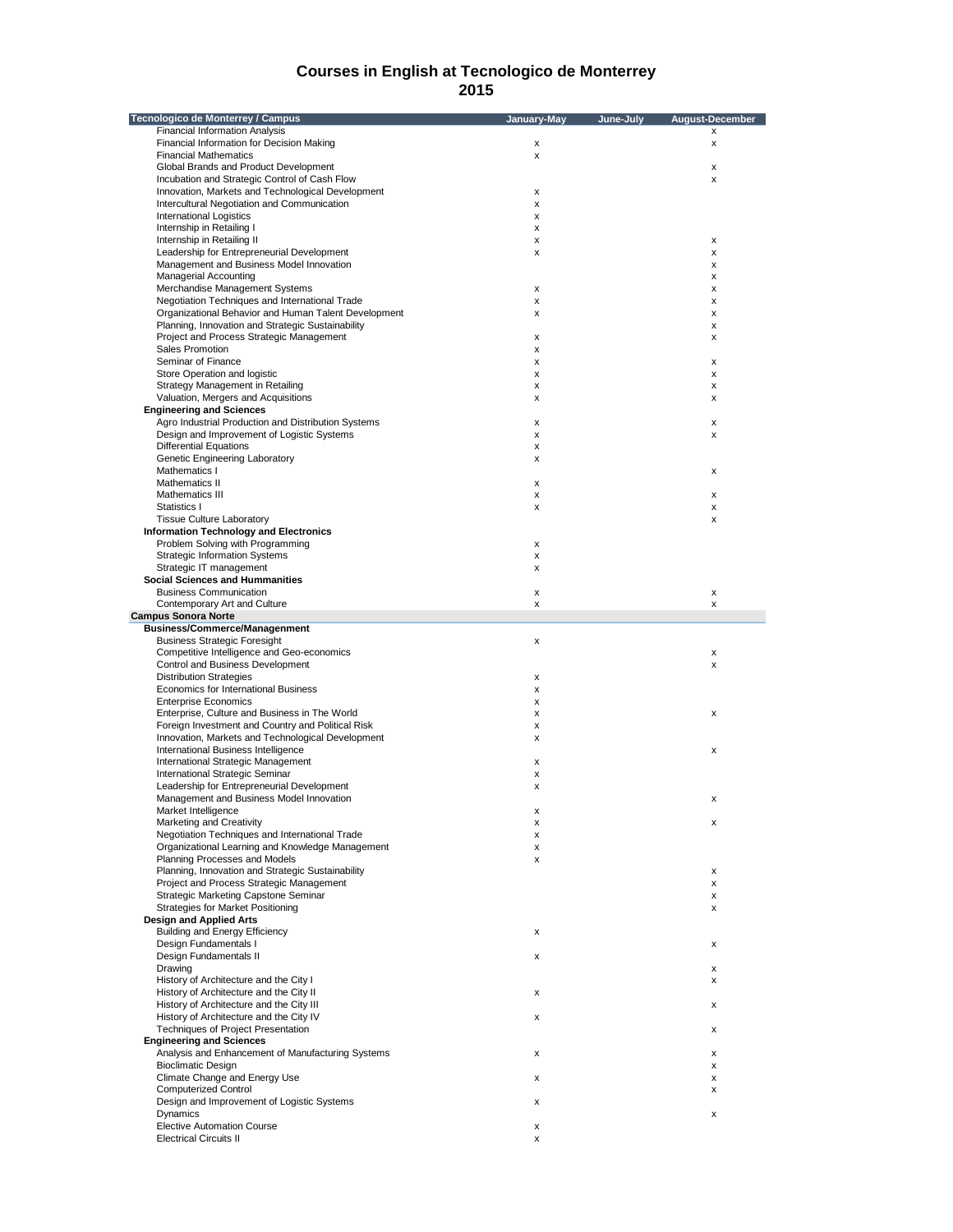| <b>Tecnologico de Monterrey / Campus</b>             | January-May | June-July | <b>August-December</b> |
|------------------------------------------------------|-------------|-----------|------------------------|
| <b>Financial Information Analysis</b>                |             |           | x                      |
| Financial Information for Decision Making            | x           |           | x                      |
| <b>Financial Mathematics</b>                         | X           |           |                        |
| Global Brands and Product Development                |             |           | Χ                      |
| Incubation and Strategic Control of Cash Flow        |             |           | x                      |
| Innovation, Markets and Technological Development    | х           |           |                        |
| Intercultural Negotiation and Communication          | x           |           |                        |
| <b>International Logistics</b>                       | X           |           |                        |
| Internship in Retailing I                            | х           |           |                        |
| Internship in Retailing II                           | х           |           | x                      |
| Leadership for Entrepreneurial Development           | х           |           | x                      |
| Management and Business Model Innovation             |             |           | x                      |
| <b>Managerial Accounting</b>                         |             |           | x                      |
| Merchandise Management Systems                       | x           |           | x                      |
| Negotiation Techniques and International Trade       | х           |           | x                      |
| Organizational Behavior and Human Talent Development | х           |           | x                      |
| Planning, Innovation and Strategic Sustainability    |             |           | x                      |
| Project and Process Strategic Management             | X           |           | x                      |
| Sales Promotion                                      | х           |           |                        |
| Seminar of Finance                                   | х           |           | x                      |
| Store Operation and logistic                         | х           |           | x                      |
| Strategy Management in Retailing                     | х           |           | x                      |
| Valuation, Mergers and Acquisitions                  | X           |           | x                      |
| <b>Engineering and Sciences</b>                      |             |           |                        |
| Agro Industrial Production and Distribution Systems  | х           |           | x                      |
| Design and Improvement of Logistic Systems           | х           |           | x                      |
| <b>Differential Equations</b>                        | x           |           |                        |
| Genetic Engineering Laboratory                       | X           |           |                        |
| Mathematics I                                        |             |           | x                      |
| Mathematics II                                       | х           |           |                        |
| Mathematics III                                      | х           |           | x                      |
| Statistics I                                         | x           |           | x                      |
| <b>Tissue Culture Laboratory</b>                     |             |           | x                      |
| <b>Information Technology and Electronics</b>        |             |           |                        |
| Problem Solving with Programming                     | х           |           |                        |
| <b>Strategic Information Systems</b>                 | х           |           |                        |
| Strategic IT management                              | x           |           |                        |
| <b>Social Sciences and Hummanities</b>               |             |           |                        |
| <b>Business Communication</b>                        | x           |           | x                      |
| Contemporary Art and Culture                         | x           |           | x                      |
| <b>Campus Sonora Norte</b>                           |             |           |                        |
| <b>Business/Commerce/Managenment</b>                 |             |           |                        |
| <b>Business Strategic Foresight</b>                  | х           |           |                        |
| Competitive Intelligence and Geo-economics           |             |           | x                      |
| Control and Business Development                     |             |           | x                      |
| <b>Distribution Strategies</b>                       | х           |           |                        |
| Economics for International Business                 | x           |           |                        |
| <b>Enterprise Economics</b>                          | X           |           |                        |
| Enterprise, Culture and Business in The World        | х           |           | x                      |
| Foreign Investment and Country and Political Risk    | х           |           |                        |
| Innovation, Markets and Technological Development    | х           |           |                        |
| International Business Intelligence                  |             |           | x                      |
| International Strategic Management                   | х           |           |                        |
| International Strategic Seminar                      | x           |           |                        |
| Leadership for Entrepreneurial Development           | х           |           |                        |
| Management and Business Model Innovation             |             |           | x                      |
| Market Intelligence                                  | х           |           |                        |
| <b>Marketing and Creativity</b>                      | х           |           | Χ                      |
| Negotiation Techniques and International Trade       | х           |           |                        |
| Organizational Learning and Knowledge Management     | х           |           |                        |
| Planning Processes and Models                        | х           |           |                        |
| Planning, Innovation and Strategic Sustainability    |             |           | x                      |
| Project and Process Strategic Management             |             |           | x                      |
| Strategic Marketing Capstone Seminar                 |             |           | x                      |
| Strategies for Market Positioning                    |             |           | x                      |
| <b>Design and Applied Arts</b>                       |             |           |                        |
| <b>Building and Energy Efficiency</b>                | х           |           |                        |
| Design Fundamentals I                                |             |           | x                      |
| Design Fundamentals II                               | x           |           |                        |
| Drawing                                              |             |           | x                      |
| History of Architecture and the City I               |             |           | x                      |
| History of Architecture and the City II              | х           |           |                        |
| History of Architecture and the City III             |             |           | x                      |
| History of Architecture and the City IV              | х           |           |                        |
| <b>Techniques of Project Presentation</b>            |             |           | x                      |
| <b>Engineering and Sciences</b>                      |             |           |                        |
| Analysis and Enhancement of Manufacturing Systems    | х           |           | x                      |
| <b>Bioclimatic Design</b>                            |             |           | x                      |
| Climate Change and Energy Use                        | x           |           | х                      |
| <b>Computerized Control</b>                          |             |           | x                      |
| Design and Improvement of Logistic Systems           | х           |           |                        |
| Dynamics                                             |             |           | x                      |
| <b>Elective Automation Course</b>                    | x           |           |                        |
| <b>Electrical Circuits II</b>                        | х           |           |                        |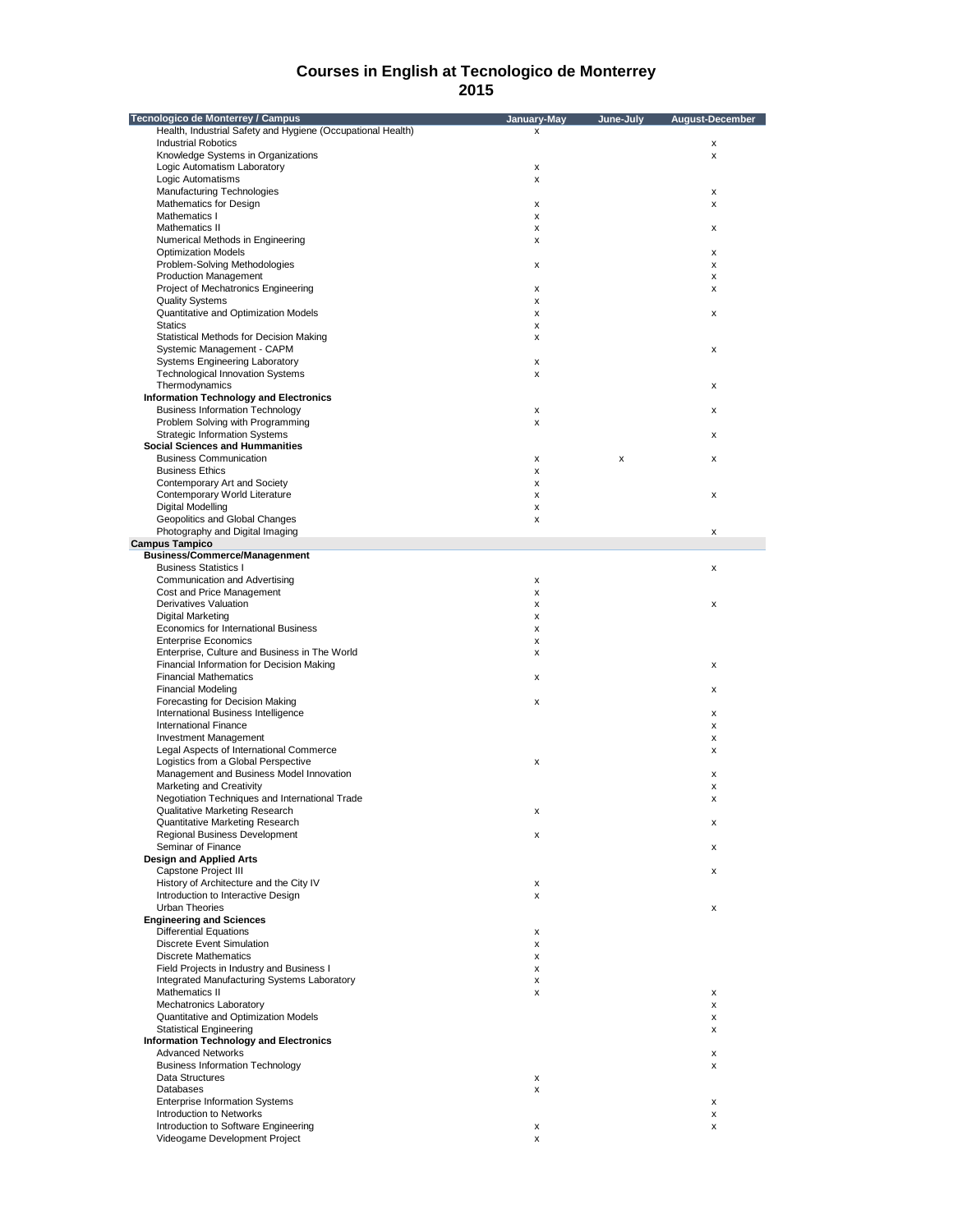| Tecnologico de Monterrey / Campus                           | January-May | June-July | August-December |
|-------------------------------------------------------------|-------------|-----------|-----------------|
| Health, Industrial Safety and Hygiene (Occupational Health) | x           |           |                 |
| <b>Industrial Robotics</b>                                  |             |           | х               |
| Knowledge Systems in Organizations                          |             |           | x               |
| Logic Automatism Laboratory                                 | х           |           |                 |
| Logic Automatisms                                           | х           |           |                 |
| Manufacturing Technologies                                  |             |           |                 |
|                                                             |             |           | х               |
| Mathematics for Design                                      | х           |           | x               |
| Mathematics I                                               | х           |           |                 |
| Mathematics II                                              | x           |           | х               |
| Numerical Methods in Engineering                            | х           |           |                 |
| <b>Optimization Models</b>                                  |             |           | х               |
| Problem-Solving Methodologies                               | х           |           | x               |
| <b>Production Management</b>                                |             |           | х               |
| Project of Mechatronics Engineering                         | х           |           | х               |
| <b>Quality Systems</b>                                      | х           |           |                 |
|                                                             |             |           |                 |
| Quantitative and Optimization Models                        | x           |           | x               |
| <b>Statics</b>                                              | х           |           |                 |
| Statistical Methods for Decision Making                     | х           |           |                 |
| Systemic Management - CAPM                                  |             |           | х               |
| <b>Systems Engineering Laboratory</b>                       | x           |           |                 |
| <b>Technological Innovation Systems</b>                     | x           |           |                 |
| Thermodynamics                                              |             |           | х               |
| <b>Information Technology and Electronics</b>               |             |           |                 |
|                                                             |             |           |                 |
| <b>Business Information Technology</b>                      | х           |           | x               |
| Problem Solving with Programming                            | х           |           |                 |
| <b>Strategic Information Systems</b>                        |             |           | х               |
| <b>Social Sciences and Hummanities</b>                      |             |           |                 |
| <b>Business Communication</b>                               | х           | x         | х               |
| <b>Business Ethics</b>                                      | x           |           |                 |
| Contemporary Art and Society                                | x           |           |                 |
|                                                             |             |           |                 |
| Contemporary World Literature                               | X           |           | x               |
| Digital Modelling                                           | х           |           |                 |
| Geopolitics and Global Changes                              | x           |           |                 |
| Photography and Digital Imaging                             |             |           | x               |
| <b>Campus Tampico</b>                                       |             |           |                 |
| <b>Business/Commerce/Managenment</b>                        |             |           |                 |
| <b>Business Statistics I</b>                                |             |           | x               |
|                                                             |             |           |                 |
| Communication and Advertising                               | х           |           |                 |
| Cost and Price Management                                   | x           |           |                 |
| Derivatives Valuation                                       | x           |           | x               |
| <b>Digital Marketing</b>                                    | X           |           |                 |
| Economics for International Business                        | X           |           |                 |
| <b>Enterprise Economics</b>                                 | х           |           |                 |
| Enterprise, Culture and Business in The World               | х           |           |                 |
|                                                             |             |           |                 |
| Financial Information for Decision Making                   |             |           | x               |
| <b>Financial Mathematics</b>                                | х           |           |                 |
| <b>Financial Modeling</b>                                   |             |           | x               |
| Forecasting for Decision Making                             | x           |           |                 |
| International Business Intelligence                         |             |           | x               |
| <b>International Finance</b>                                |             |           | x               |
| <b>Investment Management</b>                                |             |           | x               |
| Legal Aspects of International Commerce                     |             |           |                 |
|                                                             |             |           | x               |
| Logistics from a Global Perspective                         | x           |           |                 |
| Management and Business Model Innovation                    |             |           | х               |
| Marketing and Creativity                                    |             |           | x               |
| Negotiation Techniques and International Trade              |             |           | x               |
| Qualitative Marketing Research                              | x           |           |                 |
| Quantitative Marketing Research                             |             |           | х               |
| Regional Business Development                               |             |           |                 |
|                                                             | х           |           |                 |
| Seminar of Finance                                          |             |           | х               |
| <b>Design and Applied Arts</b>                              |             |           |                 |
| Capstone Project III                                        |             |           | x               |
| History of Architecture and the City IV                     | x           |           |                 |
| Introduction to Interactive Design                          | х           |           |                 |
| Urban Theories                                              |             |           | x               |
| <b>Engineering and Sciences</b>                             |             |           |                 |
| <b>Differential Equations</b>                               | х           |           |                 |
|                                                             |             |           |                 |
| <b>Discrete Event Simulation</b>                            | х           |           |                 |
| <b>Discrete Mathematics</b>                                 | х           |           |                 |
| Field Projects in Industry and Business I                   | х           |           |                 |
| Integrated Manufacturing Systems Laboratory                 | х           |           |                 |
| Mathematics II                                              | х           |           | x               |
| Mechatronics Laboratory                                     |             |           | x               |
|                                                             |             |           |                 |
| Quantitative and Optimization Models                        |             |           | x               |
| <b>Statistical Engineering</b>                              |             |           | x               |
| <b>Information Technology and Electronics</b>               |             |           |                 |
| <b>Advanced Networks</b>                                    |             |           | x               |
| <b>Business Information Technology</b>                      |             |           | x               |
| Data Structures                                             | x           |           |                 |
| Databases                                                   | x           |           |                 |
|                                                             |             |           |                 |
| <b>Enterprise Information Systems</b>                       |             |           | x               |
| Introduction to Networks                                    |             |           | x               |
| Introduction to Software Engineering                        | x           |           | x               |
| Videogame Development Project                               | х           |           |                 |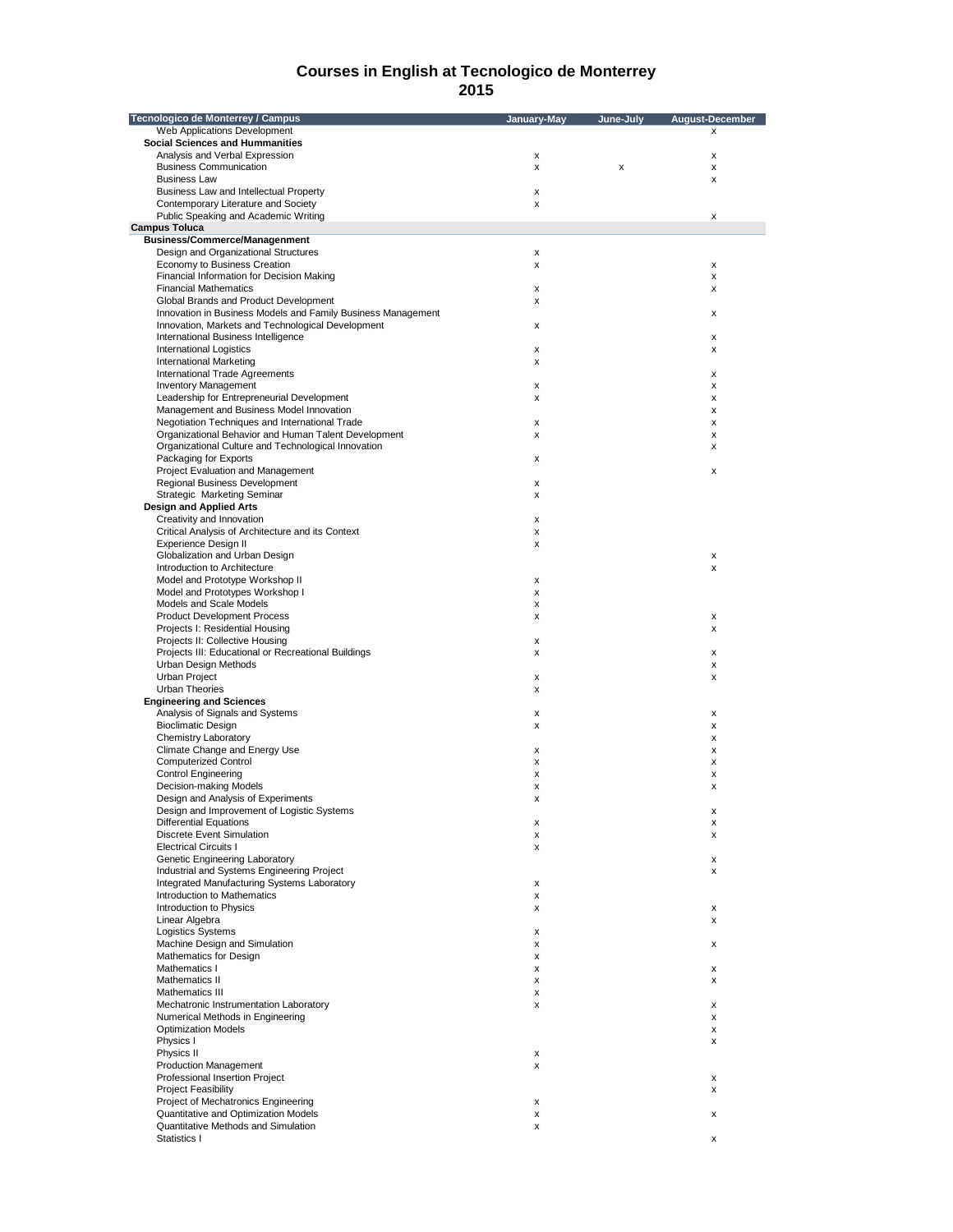| Tecnologico de Monterrey / Campus                            | January-May | June-July | <b>August-December</b> |
|--------------------------------------------------------------|-------------|-----------|------------------------|
| Web Applications Development                                 |             |           | x                      |
| <b>Social Sciences and Hummanities</b>                       |             |           |                        |
| Analysis and Verbal Expression                               | x           |           | x                      |
| <b>Business Communication</b>                                | x           | х         | x                      |
| <b>Business Law</b>                                          |             |           | x                      |
| Business Law and Intellectual Property                       | x           |           |                        |
| Contemporary Literature and Society                          | X           |           |                        |
| Public Speaking and Academic Writing                         |             |           | x                      |
| <b>Campus Toluca</b>                                         |             |           |                        |
| <b>Business/Commerce/Managenment</b>                         |             |           |                        |
| Design and Organizational Structures                         | x           |           |                        |
| Economy to Business Creation                                 | x           |           | X                      |
| Financial Information for Decision Making                    |             |           | x                      |
| <b>Financial Mathematics</b>                                 | x           |           | x                      |
| Global Brands and Product Development                        | x           |           |                        |
| Innovation in Business Models and Family Business Management |             |           | x                      |
| Innovation, Markets and Technological Development            | x           |           |                        |
| International Business Intelligence                          |             |           | x                      |
| <b>International Logistics</b>                               | x           |           | x                      |
| <b>International Marketing</b>                               | x           |           |                        |
| International Trade Agreements                               |             |           | x                      |
| <b>Inventory Management</b>                                  | x           |           | x                      |
| Leadership for Entrepreneurial Development                   | x           |           | x                      |
| Management and Business Model Innovation                     |             |           | x                      |
| Negotiation Techniques and International Trade               | x           |           | x                      |
| Organizational Behavior and Human Talent Development         | x           |           | x                      |
| Organizational Culture and Technological Innovation          |             |           | x                      |
| Packaging for Exports                                        | x           |           |                        |
| Project Evaluation and Management                            |             |           | x                      |
| Regional Business Development                                | x           |           |                        |
|                                                              |             |           |                        |
| Strategic Marketing Seminar                                  | x           |           |                        |
| <b>Design and Applied Arts</b>                               |             |           |                        |
| Creativity and Innovation                                    | x           |           |                        |
| Critical Analysis of Architecture and its Context            | x           |           |                        |
| Experience Design II                                         | x           |           |                        |
| Globalization and Urban Design                               |             |           | X                      |
| Introduction to Architecture                                 |             |           | x                      |
| Model and Prototype Workshop II                              | x           |           |                        |
| Model and Prototypes Workshop I                              | x           |           |                        |
| Models and Scale Models                                      | x           |           |                        |
| <b>Product Development Process</b>                           | x           |           | X                      |
| Projects I: Residential Housing                              |             |           | x                      |
| Projects II: Collective Housing                              | x           |           |                        |
| Projects III: Educational or Recreational Buildings          | x           |           | x                      |
| Urban Design Methods                                         |             |           | x                      |
| <b>Urban Project</b>                                         | X           |           | x                      |
| Urban Theories                                               | x           |           |                        |
| <b>Engineering and Sciences</b>                              |             |           |                        |
| Analysis of Signals and Systems                              | x           |           | x                      |
| <b>Bioclimatic Design</b>                                    | x           |           | x                      |
| Chemistry Laboratory                                         |             |           | x                      |
| Climate Change and Energy Use                                | x           |           | x                      |
| <b>Computerized Control</b>                                  | x           |           | x                      |
| <b>Control Engineering</b>                                   | x           |           | x                      |
| Decision-making Models                                       | x           |           | x                      |
| Design and Analysis of Experiments                           | X           |           |                        |
| Design and Improvement of Logistic Systems                   |             |           | х                      |
| <b>Differential Equations</b>                                | x           |           | х                      |
| <b>Discrete Event Simulation</b>                             | x           |           | x                      |
| <b>Electrical Circuits I</b>                                 | x           |           |                        |
| Genetic Engineering Laboratory                               |             |           | X                      |
| Industrial and Systems Engineering Project                   |             |           | x                      |
| Integrated Manufacturing Systems Laboratory                  | x           |           |                        |
| Introduction to Mathematics                                  | x           |           |                        |
| Introduction to Physics                                      | x           |           | х                      |
| Linear Algebra                                               |             |           | x                      |
| <b>Logistics Systems</b>                                     | x           |           |                        |
| Machine Design and Simulation                                |             |           |                        |
| Mathematics for Design                                       | x           |           | x                      |
|                                                              | x           |           |                        |
| Mathematics I                                                | x           |           | х                      |
| Mathematics II                                               | x           |           | x                      |
| Mathematics III                                              | x           |           |                        |
| Mechatronic Instrumentation Laboratory                       | x           |           | x                      |
| Numerical Methods in Engineering                             |             |           | x                      |
| <b>Optimization Models</b>                                   |             |           | х                      |
| Physics I                                                    |             |           | x                      |
| Physics II                                                   | x           |           |                        |
| <b>Production Management</b>                                 | x           |           |                        |
| Professional Insertion Project                               |             |           | x                      |
| <b>Project Feasibility</b>                                   |             |           | x                      |
| Project of Mechatronics Engineering                          | X           |           |                        |
| Quantitative and Optimization Models                         | x           |           | x                      |
| Quantitative Methods and Simulation                          | x           |           |                        |
| Statistics I                                                 |             |           | x                      |